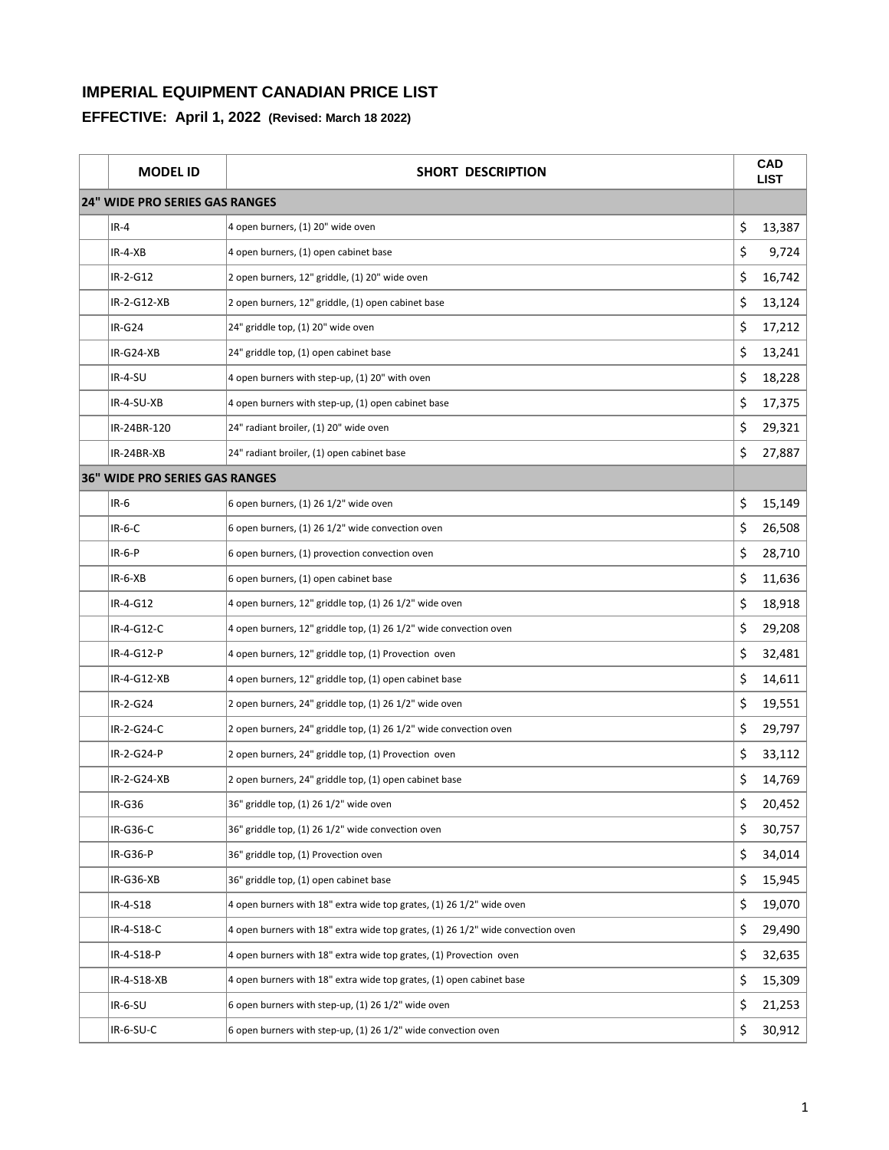| <b>MODEL ID</b>                       | SHORT DESCRIPTION                                                               | CAD<br><b>LIST</b> |
|---------------------------------------|---------------------------------------------------------------------------------|--------------------|
| <b>24" WIDE PRO SERIES GAS RANGES</b> |                                                                                 |                    |
| $IR-4$                                | 4 open burners, (1) 20" wide oven                                               | \$<br>13,387       |
| IR-4-XB                               | 4 open burners, (1) open cabinet base                                           | \$<br>9,724        |
| IR-2-G12                              | 2 open burners, 12" griddle, (1) 20" wide oven                                  | \$<br>16,742       |
| IR-2-G12-XB                           | 2 open burners, 12" griddle, (1) open cabinet base                              | \$<br>13,124       |
| <b>IR-G24</b>                         | 24" griddle top, (1) 20" wide oven                                              | \$<br>17,212       |
| IR-G24-XB                             | 24" griddle top, (1) open cabinet base                                          | \$<br>13,241       |
| IR-4-SU                               | 4 open burners with step-up, (1) 20" with oven                                  | \$<br>18,228       |
| IR-4-SU-XB                            | 4 open burners with step-up, (1) open cabinet base                              | \$<br>17,375       |
| IR-24BR-120                           | 24" radiant broiler, (1) 20" wide oven                                          | \$<br>29,321       |
| IR-24BR-XB                            | 24" radiant broiler, (1) open cabinet base                                      | \$<br>27,887       |
| <b>36" WIDE PRO SERIES GAS RANGES</b> |                                                                                 |                    |
| $IR-6$                                | 6 open burners, (1) 26 1/2" wide oven                                           | \$<br>15,149       |
| $IR-6-C$                              | 6 open burners, (1) 26 1/2" wide convection oven                                | \$<br>26,508       |
| $IR-6-P$                              | 6 open burners, (1) provection convection oven                                  | \$<br>28,710       |
| $IR-6-XB$                             | 6 open burners, (1) open cabinet base                                           | \$<br>11,636       |
| IR-4-G12                              | 4 open burners, 12" griddle top, (1) 26 1/2" wide oven                          | \$<br>18,918       |
| IR-4-G12-C                            | 4 open burners, 12" griddle top, (1) 26 1/2" wide convection oven               | \$<br>29,208       |
| IR-4-G12-P                            | 4 open burners, 12" griddle top, (1) Provection oven                            | \$<br>32,481       |
| IR-4-G12-XB                           | 4 open burners, 12" griddle top, (1) open cabinet base                          | \$<br>14,611       |
| IR-2-G24                              | 2 open burners, 24" griddle top, (1) 26 1/2" wide oven                          | \$<br>19,551       |
| IR-2-G24-C                            | 2 open burners, 24" griddle top, (1) 26 1/2" wide convection oven               | \$<br>29,797       |
| IR-2-G24-P                            | 2 open burners, 24" griddle top, (1) Provection oven                            | \$<br>33,112       |
| IR-2-G24-XB                           | 2 open burners, 24" griddle top, (1) open cabinet base                          | \$<br>14,769       |
| IR-G36                                | 36" griddle top, (1) 26 1/2" wide oven                                          | \$<br>20,452       |
| $IR-G36-C$                            | 36" griddle top, (1) 26 1/2" wide convection oven                               | \$<br>30,757       |
| $IR-G36-P$                            | 36" griddle top, (1) Provection oven                                            | \$<br>34,014       |
| IR-G36-XB                             | 36" griddle top, (1) open cabinet base                                          | \$<br>15,945       |
| IR-4-S18                              | 4 open burners with 18" extra wide top grates, (1) 26 1/2" wide oven            | \$<br>19,070       |
| IR-4-S18-C                            | 4 open burners with 18" extra wide top grates, (1) 26 1/2" wide convection oven | \$<br>29,490       |
| IR-4-S18-P                            | 4 open burners with 18" extra wide top grates, (1) Provection oven              | \$<br>32,635       |
| IR-4-S18-XB                           | 4 open burners with 18" extra wide top grates, (1) open cabinet base            | \$<br>15,309       |
| $IR-6-SU$                             | 6 open burners with step-up, (1) 26 1/2" wide oven                              | \$<br>21,253       |
| IR-6-SU-C                             | 6 open burners with step-up, (1) 26 1/2" wide convection oven                   | \$<br>30,912       |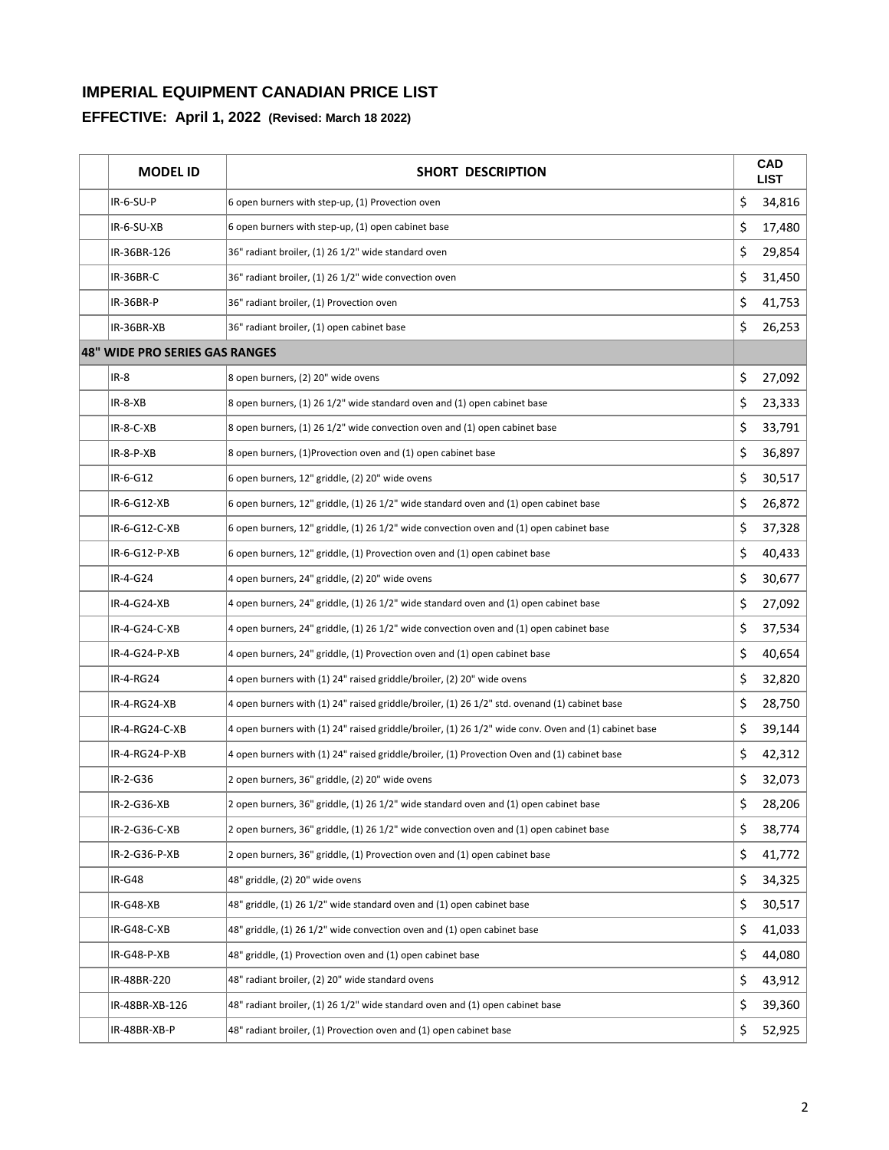| <b>MODEL ID</b>                | <b>SHORT DESCRIPTION</b>                                                                             | <b>CAD</b><br><b>LIST</b> |
|--------------------------------|------------------------------------------------------------------------------------------------------|---------------------------|
| $IR-6-SU-P$                    | 6 open burners with step-up, (1) Provection oven                                                     | \$<br>34,816              |
| IR-6-SU-XB                     | 6 open burners with step-up, (1) open cabinet base                                                   | \$<br>17,480              |
| IR-36BR-126                    | 36" radiant broiler, (1) 26 1/2" wide standard oven                                                  | \$<br>29,854              |
| IR-36BR-C                      | 36" radiant broiler, (1) 26 1/2" wide convection oven                                                | \$<br>31,450              |
| IR-36BR-P                      | 36" radiant broiler, (1) Provection oven                                                             | \$<br>41,753              |
| IR-36BR-XB                     | 36" radiant broiler, (1) open cabinet base                                                           | \$<br>26,253              |
| 48" WIDE PRO SERIES GAS RANGES |                                                                                                      |                           |
| IR-8                           | 8 open burners, (2) 20" wide ovens                                                                   | \$<br>27,092              |
| $IR-8-XB$                      | 8 open burners, (1) 26 1/2" wide standard oven and (1) open cabinet base                             | \$<br>23,333              |
| $IR-8-C-XB$                    | 8 open burners, (1) 26 1/2" wide convection oven and (1) open cabinet base                           | \$<br>33,791              |
| $IR - 8 - P - XB$              | 8 open burners, (1) Provection oven and (1) open cabinet base                                        | \$<br>36,897              |
| IR-6-G12                       | 6 open burners, 12" griddle, (2) 20" wide ovens                                                      | \$<br>30,517              |
| IR-6-G12-XB                    | 6 open burners, 12" griddle, (1) 26 1/2" wide standard oven and (1) open cabinet base                | \$<br>26,872              |
| IR-6-G12-C-XB                  | 6 open burners, 12" griddle, (1) 26 1/2" wide convection oven and (1) open cabinet base              | \$<br>37,328              |
| IR-6-G12-P-XB                  | 6 open burners, 12" griddle, (1) Provection oven and (1) open cabinet base                           | \$<br>40,433              |
| IR-4-G24                       | 4 open burners, 24" griddle, (2) 20" wide ovens                                                      | \$<br>30,677              |
| IR-4-G24-XB                    | 4 open burners, 24" griddle, (1) 26 1/2" wide standard oven and (1) open cabinet base                | \$<br>27,092              |
| IR-4-G24-C-XB                  | 4 open burners, 24" griddle, (1) 26 1/2" wide convection oven and (1) open cabinet base              | \$<br>37,534              |
| IR-4-G24-P-XB                  | 4 open burners, 24" griddle, (1) Provection oven and (1) open cabinet base                           | \$<br>40,654              |
| IR-4-RG24                      | 4 open burners with (1) 24" raised griddle/broiler, (2) 20" wide ovens                               | \$<br>32,820              |
| IR-4-RG24-XB                   | 4 open burners with (1) 24" raised griddle/broiler, (1) 26 1/2" std. ovenand (1) cabinet base        | \$<br>28,750              |
| IR-4-RG24-C-XB                 | 4 open burners with (1) 24" raised griddle/broiler, (1) 26 1/2" wide conv. Oven and (1) cabinet base | \$<br>39,144              |
| IR-4-RG24-P-XB                 | 4 open burners with (1) 24" raised griddle/broiler, (1) Provection Oven and (1) cabinet base         | \$<br>42,312              |
| IR-2-G36                       | 2 open burners, 36" griddle, (2) 20" wide ovens                                                      | \$<br>32,073              |
| IR-2-G36-XB                    | 2 open burners, 36" griddle, (1) 26 1/2" wide standard oven and (1) open cabinet base                | \$<br>28,206              |
| IR-2-G36-C-XB                  | 2 open burners, 36" griddle, (1) 26 1/2" wide convection oven and (1) open cabinet base              | \$<br>38,774              |
| IR-2-G36-P-XB                  | 2 open burners, 36" griddle, (1) Provection oven and (1) open cabinet base                           | \$<br>41,772              |
| <b>IR-G48</b>                  | 48" griddle, (2) 20" wide ovens                                                                      | \$<br>34,325              |
| IR-G48-XB                      | 48" griddle, (1) 26 1/2" wide standard oven and (1) open cabinet base                                | \$<br>30,517              |
| IR-G48-C-XB                    | 48" griddle, (1) 26 1/2" wide convection oven and (1) open cabinet base                              | \$<br>41,033              |
| IR-G48-P-XB                    | 48" griddle, (1) Provection oven and (1) open cabinet base                                           | \$<br>44,080              |
| IR-48BR-220                    | 48" radiant broiler, (2) 20" wide standard ovens                                                     | \$<br>43,912              |
| IR-48BR-XB-126                 | 48" radiant broiler, (1) 26 1/2" wide standard oven and (1) open cabinet base                        | \$<br>39,360              |
| IR-48BR-XB-P                   | 48" radiant broiler, (1) Provection oven and (1) open cabinet base                                   | \$<br>52,925              |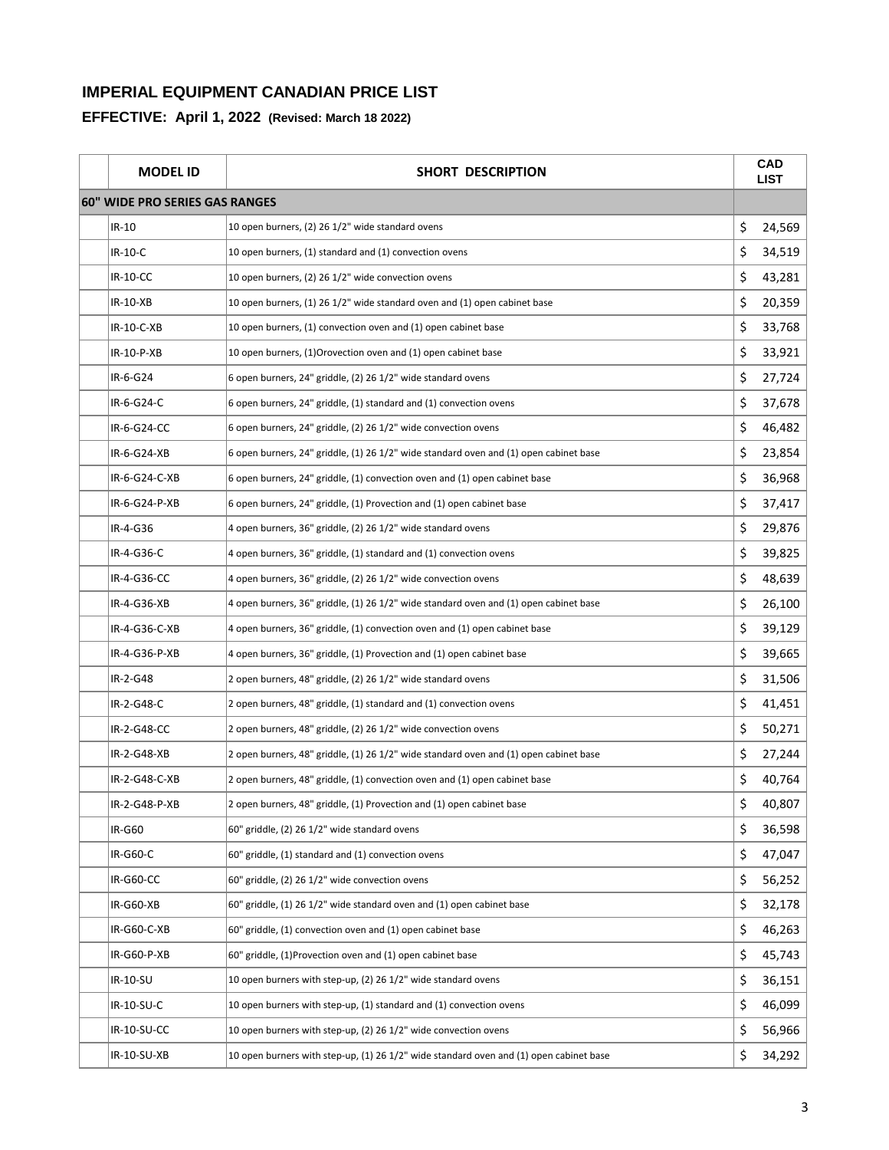| <b>MODEL ID</b>                | SHORT DESCRIPTION                                                                      |    | <b>CAD</b><br><b>LIST</b> |
|--------------------------------|----------------------------------------------------------------------------------------|----|---------------------------|
| 60" WIDE PRO SERIES GAS RANGES |                                                                                        |    |                           |
| IR-10                          | 10 open burners, (2) 26 1/2" wide standard ovens                                       | \$ | 24,569                    |
| IR-10-C                        | 10 open burners, (1) standard and (1) convection ovens                                 | \$ | 34,519                    |
| <b>IR-10-CC</b>                | 10 open burners, (2) 26 1/2" wide convection ovens                                     | \$ | 43,281                    |
| IR-10-XB                       | 10 open burners, (1) 26 1/2" wide standard oven and (1) open cabinet base              | \$ | 20,359                    |
| IR-10-C-XB                     | 10 open burners, (1) convection oven and (1) open cabinet base                         | \$ | 33,768                    |
| IR-10-P-XB                     | 10 open burners, (1) Orovection oven and (1) open cabinet base                         | \$ | 33,921                    |
| IR-6-G24                       | 6 open burners, 24" griddle, (2) 26 1/2" wide standard ovens                           | \$ | 27,724                    |
| IR-6-G24-C                     | 6 open burners, 24" griddle, (1) standard and (1) convection ovens                     | \$ | 37,678                    |
| IR-6-G24-CC                    | 6 open burners, 24" griddle, (2) 26 1/2" wide convection ovens                         | \$ | 46,482                    |
| IR-6-G24-XB                    | 6 open burners, 24" griddle, (1) 26 1/2" wide standard oven and (1) open cabinet base  | \$ | 23,854                    |
| IR-6-G24-C-XB                  | 6 open burners, 24" griddle, (1) convection oven and (1) open cabinet base             | \$ | 36,968                    |
| IR-6-G24-P-XB                  | 6 open burners, 24" griddle, (1) Provection and (1) open cabinet base                  | \$ | 37,417                    |
| IR-4-G36                       | 4 open burners, 36" griddle, (2) 26 1/2" wide standard ovens                           | \$ | 29,876                    |
| IR-4-G36-C                     | 4 open burners, 36" griddle, (1) standard and (1) convection ovens                     | \$ | 39,825                    |
| IR-4-G36-CC                    | 4 open burners, 36" griddle, (2) 26 1/2" wide convection ovens                         | \$ | 48,639                    |
| IR-4-G36-XB                    | 4 open burners, 36" griddle, (1) 26 1/2" wide standard oven and (1) open cabinet base  | \$ | 26,100                    |
| IR-4-G36-C-XB                  | 4 open burners, 36" griddle, (1) convection oven and (1) open cabinet base             | \$ | 39,129                    |
| IR-4-G36-P-XB                  | 4 open burners, 36" griddle, (1) Provection and (1) open cabinet base                  | \$ | 39,665                    |
| IR-2-G48                       | 2 open burners, 48" griddle, (2) 26 1/2" wide standard ovens                           | \$ | 31,506                    |
| IR-2-G48-C                     | 2 open burners, 48" griddle, (1) standard and (1) convection ovens                     | \$ | 41,451                    |
| IR-2-G48-CC                    | 2 open burners, 48" griddle, (2) 26 1/2" wide convection ovens                         | \$ | 50,271                    |
| IR-2-G48-XB                    | 2 open burners, 48" griddle, (1) 26 1/2" wide standard oven and (1) open cabinet base  | \$ | 27,244                    |
| IR-2-G48-C-XB                  | 2 open burners, 48" griddle, (1) convection oven and (1) open cabinet base             | \$ | 40,764                    |
| IR-2-G48-P-XB                  | 2 open burners, 48" griddle, (1) Provection and (1) open cabinet base                  | Ş  | 40,807                    |
| IR-G60                         | 60" griddle, (2) 26 1/2" wide standard ovens                                           | \$ | 36,598                    |
| IR-G60-C                       | 60" griddle, (1) standard and (1) convection ovens                                     | \$ | 47,047                    |
| IR-G60-CC                      | 60" griddle, (2) 26 1/2" wide convection ovens                                         | \$ | 56,252                    |
| IR-G60-XB                      | 60" griddle, (1) 26 1/2" wide standard oven and (1) open cabinet base                  | \$ | 32,178                    |
| IR-G60-C-XB                    | 60" griddle, (1) convection oven and (1) open cabinet base                             | \$ | 46,263                    |
| IR-G60-P-XB                    | 60" griddle, (1)Provection oven and (1) open cabinet base                              | \$ | 45,743                    |
| IR-10-SU                       | 10 open burners with step-up, (2) 26 1/2" wide standard ovens                          | \$ | 36,151                    |
| IR-10-SU-C                     | 10 open burners with step-up, (1) standard and (1) convection ovens                    | \$ | 46,099                    |
| IR-10-SU-CC                    | 10 open burners with step-up, (2) 26 1/2" wide convection ovens                        | \$ | 56,966                    |
| IR-10-SU-XB                    | 10 open burners with step-up, (1) 26 1/2" wide standard oven and (1) open cabinet base | \$ | 34,292                    |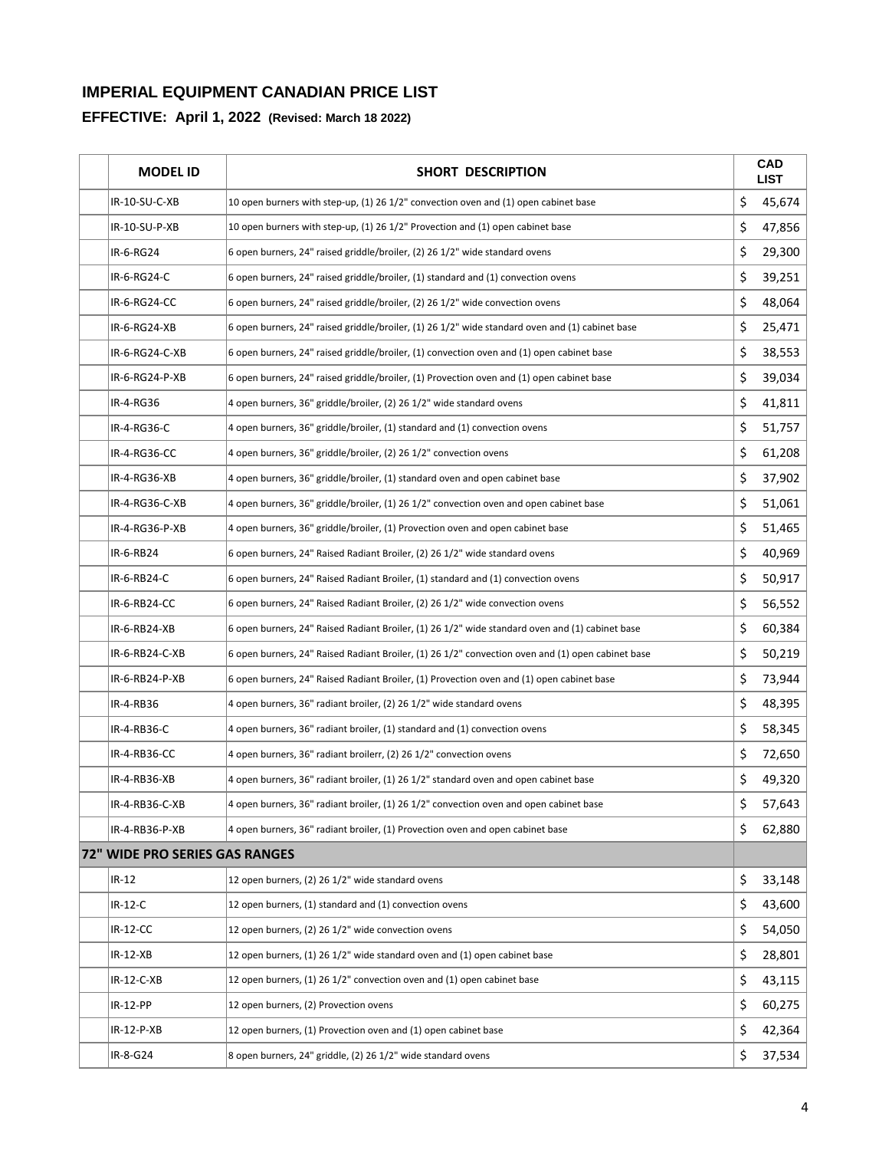| <b>MODEL ID</b>                | SHORT DESCRIPTION                                                                                 |    | <b>CAD</b><br><b>LIST</b> |
|--------------------------------|---------------------------------------------------------------------------------------------------|----|---------------------------|
| IR-10-SU-C-XB                  | 10 open burners with step-up, (1) 26 1/2" convection oven and (1) open cabinet base               | \$ | 45,674                    |
| IR-10-SU-P-XB                  | 10 open burners with step-up, (1) 26 1/2" Provection and (1) open cabinet base                    | \$ | 47,856                    |
| IR-6-RG24                      | 6 open burners, 24" raised griddle/broiler, (2) 26 1/2" wide standard ovens                       | \$ | 29,300                    |
| IR-6-RG24-C                    | 6 open burners, 24" raised griddle/broiler, (1) standard and (1) convection ovens                 | \$ | 39,251                    |
| IR-6-RG24-CC                   | 6 open burners, 24" raised griddle/broiler, (2) 26 1/2" wide convection ovens                     | \$ | 48,064                    |
| IR-6-RG24-XB                   | 6 open burners, 24" raised griddle/broiler, (1) 26 1/2" wide standard oven and (1) cabinet base   | \$ | 25,471                    |
| IR-6-RG24-C-XB                 | 6 open burners, 24" raised griddle/broiler, (1) convection oven and (1) open cabinet base         | \$ | 38,553                    |
| IR-6-RG24-P-XB                 | 6 open burners, 24" raised griddle/broiler, (1) Provection oven and (1) open cabinet base         | \$ | 39,034                    |
| IR-4-RG36                      | 4 open burners, 36" griddle/broiler, (2) 26 1/2" wide standard ovens                              | \$ | 41,811                    |
| IR-4-RG36-C                    | 4 open burners, 36" griddle/broiler, (1) standard and (1) convection ovens                        | \$ | 51,757                    |
| IR-4-RG36-CC                   | 4 open burners, 36" griddle/broiler, (2) 26 1/2" convection ovens                                 | \$ | 61,208                    |
| IR-4-RG36-XB                   | 4 open burners, 36" griddle/broiler, (1) standard oven and open cabinet base                      | \$ | 37,902                    |
| IR-4-RG36-C-XB                 | 4 open burners, 36" griddle/broiler, (1) 26 1/2" convection oven and open cabinet base            | \$ | 51,061                    |
| IR-4-RG36-P-XB                 | 4 open burners, 36" griddle/broiler, (1) Provection oven and open cabinet base                    | \$ | 51,465                    |
| IR-6-RB24                      | 6 open burners, 24" Raised Radiant Broiler, (2) 26 1/2" wide standard ovens                       | \$ | 40,969                    |
| IR-6-RB24-C                    | 6 open burners, 24" Raised Radiant Broiler, (1) standard and (1) convection ovens                 | \$ | 50,917                    |
| IR-6-RB24-CC                   | 6 open burners, 24" Raised Radiant Broiler, (2) 26 1/2" wide convection ovens                     | \$ | 56,552                    |
| IR-6-RB24-XB                   | 6 open burners, 24" Raised Radiant Broiler, (1) 26 1/2" wide standard oven and (1) cabinet base   | \$ | 60,384                    |
| IR-6-RB24-C-XB                 | 6 open burners, 24" Raised Radiant Broiler, (1) 26 1/2" convection oven and (1) open cabinet base | \$ | 50,219                    |
| IR-6-RB24-P-XB                 | 6 open burners, 24" Raised Radiant Broiler, (1) Provection oven and (1) open cabinet base         | \$ | 73,944                    |
| IR-4-RB36                      | 4 open burners, 36" radiant broiler, (2) 26 1/2" wide standard ovens                              | \$ | 48,395                    |
| IR-4-RB36-C                    | 4 open burners, 36" radiant broiler, (1) standard and (1) convection ovens                        | \$ | 58,345                    |
| IR-4-RB36-CC                   | 4 open burners, 36" radiant broilerr, (2) 26 1/2" convection ovens                                | \$ | 72,650                    |
| IR-4-RB36-XB                   | 4 open burners, 36" radiant broiler, (1) 26 1/2" standard oven and open cabinet base              | \$ | 49,320                    |
| IR-4-RB36-C-XB                 | 4 open burners, 36" radiant broiler, (1) 26 1/2" convection oven and open cabinet base            | Ş  | 57,643                    |
| IR-4-RB36-P-XB                 | 4 open burners, 36" radiant broiler, (1) Provection oven and open cabinet base                    | \$ | 62,880                    |
| 72" WIDE PRO SERIES GAS RANGES |                                                                                                   |    |                           |
| $IR-12$                        | 12 open burners, (2) 26 1/2" wide standard ovens                                                  | \$ | 33,148                    |
| $IR-12-C$                      | 12 open burners, (1) standard and (1) convection ovens                                            | \$ | 43,600                    |
| $IR-12-CC$                     | 12 open burners, (2) 26 1/2" wide convection ovens                                                | \$ | 54,050                    |
| $IR-12-XB$                     | 12 open burners, (1) 26 1/2" wide standard oven and (1) open cabinet base                         | \$ | 28,801                    |
| IR-12-C-XB                     | 12 open burners, (1) 26 1/2" convection oven and (1) open cabinet base                            | \$ | 43,115                    |
| IR-12-PP                       | 12 open burners, (2) Provection ovens                                                             | \$ | 60,275                    |
| IR-12-P-XB                     | 12 open burners, (1) Provection oven and (1) open cabinet base                                    | \$ | 42,364                    |
| IR-8-G24                       | 8 open burners, 24" griddle, (2) 26 1/2" wide standard ovens                                      | \$ | 37,534                    |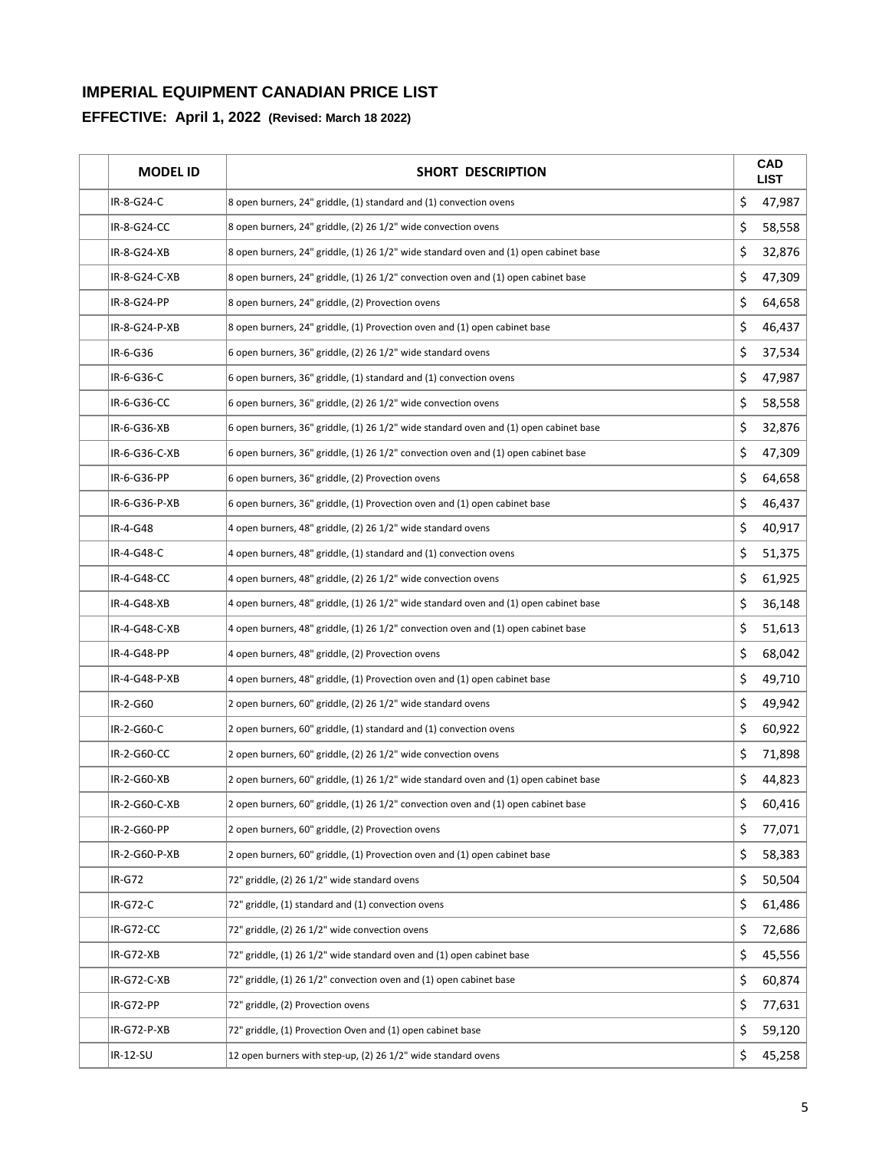| <b>MODEL ID</b> | <b>SHORT DESCRIPTION</b>                                                              | <b>CAD</b><br><b>LIST</b> |
|-----------------|---------------------------------------------------------------------------------------|---------------------------|
| IR-8-G24-C      | 8 open burners, 24" griddle, (1) standard and (1) convection ovens                    | \$<br>47,987              |
| IR-8-G24-CC     | 8 open burners, 24" griddle, (2) 26 1/2" wide convection ovens                        | \$<br>58,558              |
| IR-8-G24-XB     | 8 open burners, 24" griddle, (1) 26 1/2" wide standard oven and (1) open cabinet base | \$<br>32,876              |
| IR-8-G24-C-XB   | 8 open burners, 24" griddle, (1) 26 1/2" convection oven and (1) open cabinet base    | \$<br>47,309              |
| IR-8-G24-PP     | 8 open burners, 24" griddle, (2) Provection ovens                                     | \$<br>64,658              |
| IR-8-G24-P-XB   | 8 open burners, 24" griddle, (1) Provection oven and (1) open cabinet base            | \$<br>46,437              |
| IR-6-G36        | 6 open burners, 36" griddle, (2) 26 1/2" wide standard ovens                          | \$<br>37,534              |
| IR-6-G36-C      | 6 open burners, 36" griddle, (1) standard and (1) convection ovens                    | \$<br>47,987              |
| IR-6-G36-CC     | 6 open burners, 36" griddle, (2) 26 1/2" wide convection ovens                        | \$<br>58,558              |
| IR-6-G36-XB     | 6 open burners, 36" griddle, (1) 26 1/2" wide standard oven and (1) open cabinet base | \$<br>32,876              |
| IR-6-G36-C-XB   | 6 open burners, 36" griddle, (1) 26 1/2" convection oven and (1) open cabinet base    | \$<br>47,309              |
| IR-6-G36-PP     | 6 open burners, 36" griddle, (2) Provection ovens                                     | \$<br>64,658              |
| IR-6-G36-P-XB   | 6 open burners, 36" griddle, (1) Provection oven and (1) open cabinet base            | \$<br>46,437              |
| IR-4-G48        | 4 open burners, 48" griddle, (2) 26 1/2" wide standard ovens                          | \$<br>40,917              |
| IR-4-G48-C      | 4 open burners, 48" griddle, (1) standard and (1) convection ovens                    | \$<br>51,375              |
| IR-4-G48-CC     | 4 open burners, 48" griddle, (2) 26 1/2" wide convection ovens                        | \$<br>61,925              |
| IR-4-G48-XB     | 4 open burners, 48" griddle, (1) 26 1/2" wide standard oven and (1) open cabinet base | \$<br>36,148              |
| IR-4-G48-C-XB   | 4 open burners, 48" griddle, (1) 26 1/2" convection oven and (1) open cabinet base    | \$<br>51,613              |
| IR-4-G48-PP     | 4 open burners, 48" griddle, (2) Provection ovens                                     | \$<br>68,042              |
| IR-4-G48-P-XB   | 4 open burners, 48" griddle, (1) Provection oven and (1) open cabinet base            | \$<br>49,710              |
| IR-2-G60        | 2 open burners, 60" griddle, (2) 26 1/2" wide standard ovens                          | \$<br>49,942              |
| IR-2-G60-C      | 2 open burners, 60" griddle, (1) standard and (1) convection ovens                    | \$<br>60,922              |
| IR-2-G60-CC     | 2 open burners, 60" griddle, (2) 26 1/2" wide convection ovens                        | \$<br>71,898              |
| IR-2-G60-XB     | 2 open burners, 60" griddle, (1) 26 1/2" wide standard oven and (1) open cabinet base | \$<br>44,823              |
| IR-2-G60-C-XB   | 2 open burners, 60" griddle, (1) 26 1/2" convection oven and (1) open cabinet base    | \$<br>60,416              |
| IR-2-G60-PP     | 2 open burners, 60" griddle, (2) Provection ovens                                     | \$<br>77,071              |
| IR-2-G60-P-XB   | 2 open burners, 60" griddle, (1) Provection oven and (1) open cabinet base            | \$<br>58,383              |
| $IR-G72$        | 72" griddle, (2) 26 1/2" wide standard ovens                                          | \$<br>50,504              |
| <b>IR-G72-C</b> | 72" griddle, (1) standard and (1) convection ovens                                    | \$<br>61,486              |
| IR-G72-CC       | 72" griddle, (2) 26 1/2" wide convection ovens                                        | \$<br>72,686              |
| IR-G72-XB       | 72" griddle, (1) 26 1/2" wide standard oven and (1) open cabinet base                 | \$<br>45,556              |
| IR-G72-C-XB     | 72" griddle, (1) 26 1/2" convection oven and (1) open cabinet base                    | \$<br>60,874              |
| IR-G72-PP       | 72" griddle, (2) Provection ovens                                                     | \$<br>77,631              |
| IR-G72-P-XB     | 72" griddle, (1) Provection Oven and (1) open cabinet base                            | \$<br>59,120              |
| IR-12-SU        | 12 open burners with step-up, (2) 26 1/2" wide standard ovens                         | \$<br>45,258              |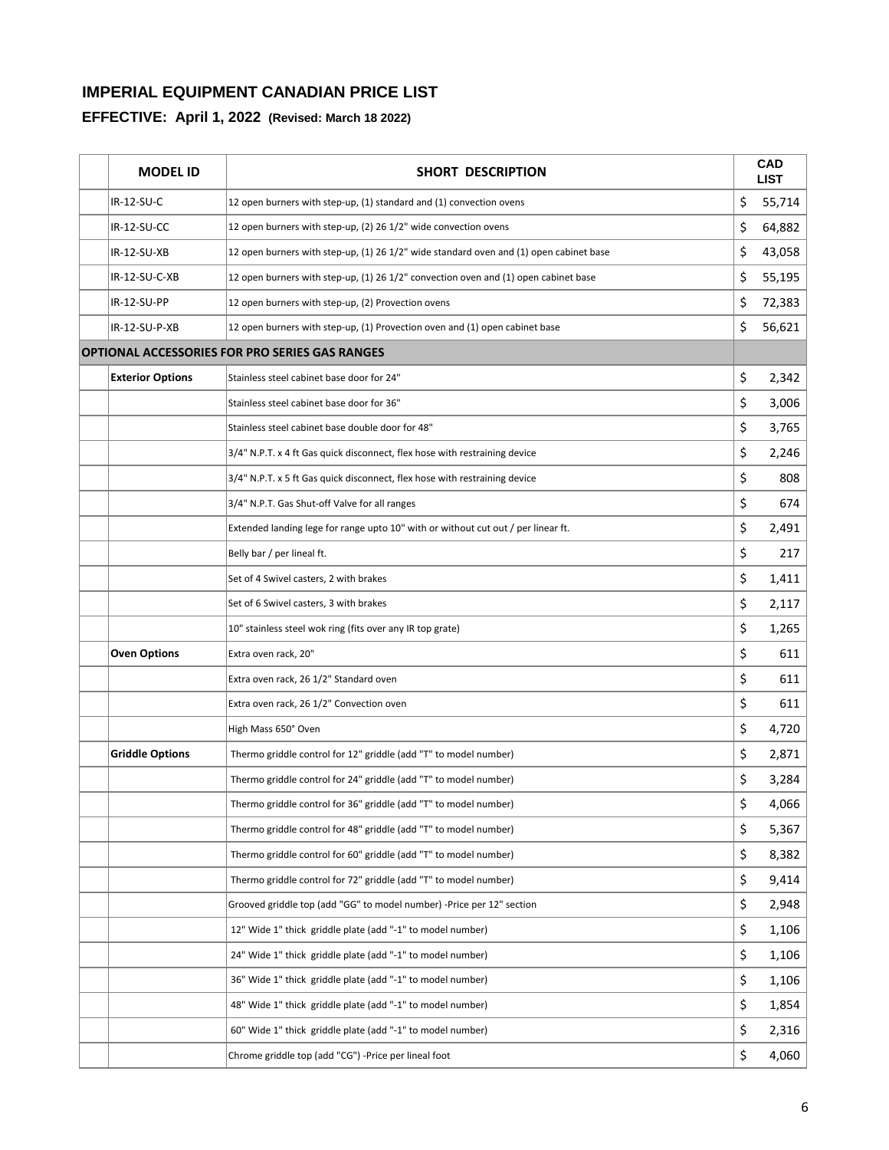| <b>MODEL ID</b>         | <b>SHORT DESCRIPTION</b>                                                               | <b>CAD</b><br><b>LIST</b> |
|-------------------------|----------------------------------------------------------------------------------------|---------------------------|
| IR-12-SU-C              | 12 open burners with step-up, (1) standard and (1) convection ovens                    | \$<br>55,714              |
| IR-12-SU-CC             | 12 open burners with step-up, (2) 26 1/2" wide convection ovens                        | \$<br>64,882              |
| IR-12-SU-XB             | 12 open burners with step-up, (1) 26 1/2" wide standard oven and (1) open cabinet base | \$<br>43,058              |
| IR-12-SU-C-XB           | 12 open burners with step-up, (1) 26 1/2" convection oven and (1) open cabinet base    | \$<br>55,195              |
| IR-12-SU-PP             | 12 open burners with step-up, (2) Provection ovens                                     | \$<br>72,383              |
| IR-12-SU-P-XB           | 12 open burners with step-up, (1) Provection oven and (1) open cabinet base            | \$<br>56,621              |
|                         | <b>OPTIONAL ACCESSORIES FOR PRO SERIES GAS RANGES</b>                                  |                           |
| <b>Exterior Options</b> | Stainless steel cabinet base door for 24"                                              | \$<br>2,342               |
|                         | Stainless steel cabinet base door for 36"                                              | \$<br>3,006               |
|                         | Stainless steel cabinet base double door for 48"                                       | \$<br>3,765               |
|                         | 3/4" N.P.T. x 4 ft Gas quick disconnect, flex hose with restraining device             | \$<br>2,246               |
|                         | 3/4" N.P.T. x 5 ft Gas quick disconnect, flex hose with restraining device             | \$<br>808                 |
|                         | 3/4" N.P.T. Gas Shut-off Valve for all ranges                                          | \$<br>674                 |
|                         | Extended landing lege for range upto 10" with or without cut out / per linear ft.      | \$<br>2,491               |
|                         | Belly bar / per lineal ft.                                                             | \$<br>217                 |
|                         | Set of 4 Swivel casters, 2 with brakes                                                 | \$<br>1,411               |
|                         | Set of 6 Swivel casters, 3 with brakes                                                 | \$<br>2,117               |
|                         | 10" stainless steel wok ring (fits over any IR top grate)                              | \$<br>1,265               |
| <b>Oven Options</b>     | Extra oven rack, 20"                                                                   | \$<br>611                 |
|                         | Extra oven rack, 26 1/2" Standard oven                                                 | \$<br>611                 |
|                         | Extra oven rack, 26 1/2" Convection oven                                               | \$<br>611                 |
|                         | High Mass 650° Oven                                                                    | \$<br>4,720               |
| <b>Griddle Options</b>  | Thermo griddle control for 12" griddle (add "T" to model number)                       | \$<br>2,871               |
|                         | Thermo griddle control for 24" griddle (add "T" to model number)                       | \$<br>3,284               |
|                         | Thermo griddle control for 36" griddle (add "T" to model number)                       | \$<br>4,066               |
|                         | Thermo griddle control for 48" griddle (add "T" to model number)                       | \$<br>5,367               |
|                         | Thermo griddle control for 60" griddle (add "T" to model number)                       | \$<br>8,382               |
|                         | Thermo griddle control for 72" griddle (add "T" to model number)                       | \$<br>9,414               |
|                         | Grooved griddle top (add "GG" to model number) -Price per 12" section                  | \$<br>2,948               |
|                         | 12" Wide 1" thick griddle plate (add "-1" to model number)                             | \$<br>1,106               |
|                         | 24" Wide 1" thick griddle plate (add "-1" to model number)                             | \$<br>1,106               |
|                         | 36" Wide 1" thick griddle plate (add "-1" to model number)                             | \$<br>1,106               |
|                         | 48" Wide 1" thick griddle plate (add "-1" to model number)                             | \$<br>1,854               |
|                         | 60" Wide 1" thick griddle plate (add "-1" to model number)                             | \$<br>2,316               |
|                         | Chrome griddle top (add "CG") -Price per lineal foot                                   | \$<br>4,060               |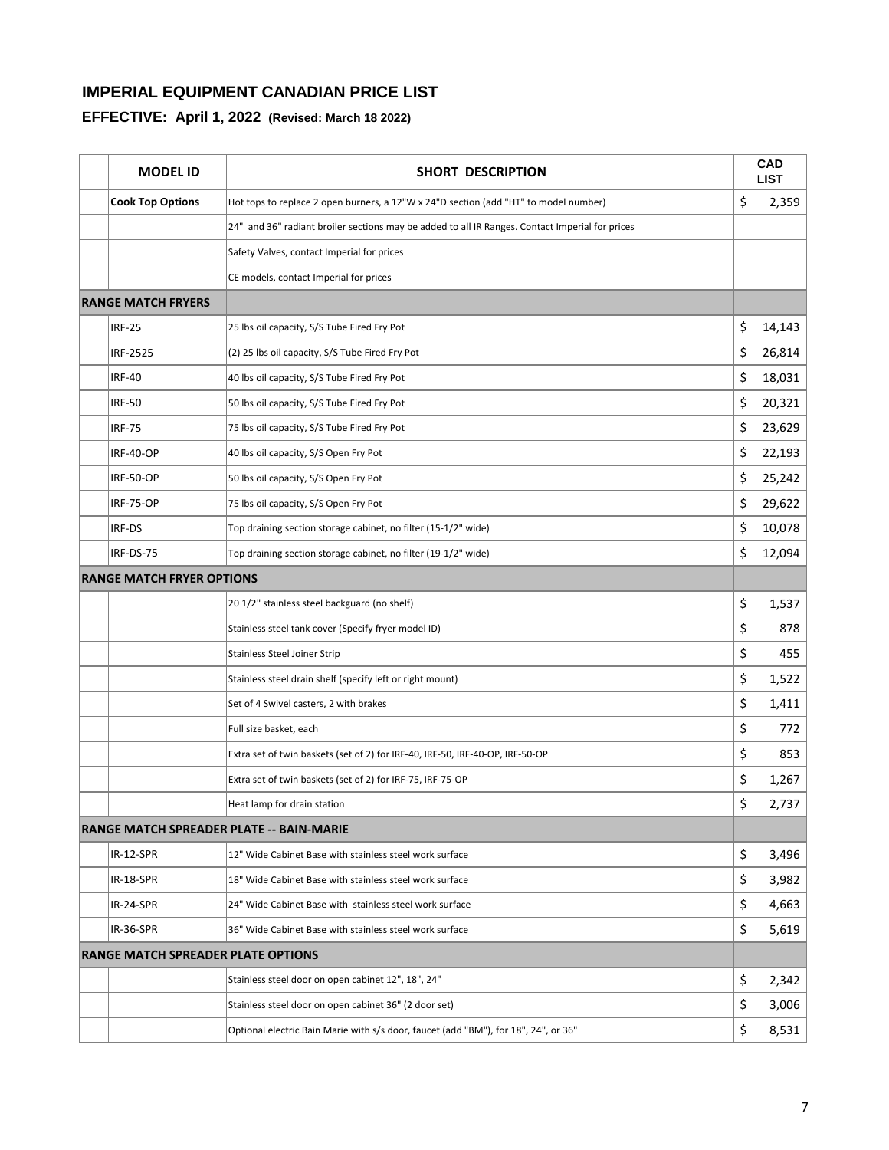| <b>MODEL ID</b>                           | <b>SHORT DESCRIPTION</b>                                                                        |    | <b>CAD</b><br><b>LIST</b> |
|-------------------------------------------|-------------------------------------------------------------------------------------------------|----|---------------------------|
| <b>Cook Top Options</b>                   | Hot tops to replace 2 open burners, a 12"W x 24"D section (add "HT" to model number)            | \$ | 2,359                     |
|                                           | 24" and 36" radiant broiler sections may be added to all IR Ranges. Contact Imperial for prices |    |                           |
|                                           | Safety Valves, contact Imperial for prices                                                      |    |                           |
|                                           | CE models, contact Imperial for prices                                                          |    |                           |
| <b>RANGE MATCH FRYERS</b>                 |                                                                                                 |    |                           |
| <b>IRF-25</b>                             | 25 lbs oil capacity, S/S Tube Fired Fry Pot                                                     | \$ | 14,143                    |
| IRF-2525                                  | (2) 25 lbs oil capacity, S/S Tube Fired Fry Pot                                                 | \$ | 26,814                    |
| <b>IRF-40</b>                             | 40 lbs oil capacity, S/S Tube Fired Fry Pot                                                     | \$ | 18,031                    |
| <b>IRF-50</b>                             | 50 lbs oil capacity, S/S Tube Fired Fry Pot                                                     | \$ | 20,321                    |
| <b>IRF-75</b>                             | 75 lbs oil capacity, S/S Tube Fired Fry Pot                                                     | \$ | 23,629                    |
| <b>IRF-40-OP</b>                          | 40 lbs oil capacity, S/S Open Fry Pot                                                           | \$ | 22,193                    |
| <b>IRF-50-OP</b>                          | 50 lbs oil capacity, S/S Open Fry Pot                                                           | \$ | 25,242                    |
| <b>IRF-75-OP</b>                          | 75 lbs oil capacity, S/S Open Fry Pot                                                           | \$ | 29,622                    |
| IRF-DS                                    | Top draining section storage cabinet, no filter (15-1/2" wide)                                  | \$ | 10,078                    |
| IRF-DS-75                                 | Top draining section storage cabinet, no filter (19-1/2" wide)                                  | \$ | 12,094                    |
| <b>RANGE MATCH FRYER OPTIONS</b>          |                                                                                                 |    |                           |
|                                           | 20 1/2" stainless steel backguard (no shelf)                                                    | \$ | 1,537                     |
|                                           | Stainless steel tank cover (Specify fryer model ID)                                             | \$ | 878                       |
|                                           | <b>Stainless Steel Joiner Strip</b>                                                             | \$ | 455                       |
|                                           | Stainless steel drain shelf (specify left or right mount)                                       | \$ | 1,522                     |
|                                           | Set of 4 Swivel casters, 2 with brakes                                                          | \$ | 1,411                     |
|                                           | Full size basket, each                                                                          | \$ | 772                       |
|                                           | Extra set of twin baskets (set of 2) for IRF-40, IRF-50, IRF-40-OP, IRF-50-OP                   | \$ | 853                       |
|                                           | Extra set of twin baskets (set of 2) for IRF-75, IRF-75-OP                                      | \$ | 1,267                     |
|                                           | Heat lamp for drain station                                                                     | Ş  | 2,737                     |
|                                           | <b>RANGE MATCH SPREADER PLATE -- BAIN-MARIE</b>                                                 |    |                           |
| IR-12-SPR                                 | 12" Wide Cabinet Base with stainless steel work surface                                         | \$ | 3,496                     |
| IR-18-SPR                                 | 18" Wide Cabinet Base with stainless steel work surface                                         | \$ | 3,982                     |
| IR-24-SPR                                 | 24" Wide Cabinet Base with stainless steel work surface                                         | \$ | 4,663                     |
| IR-36-SPR                                 | 36" Wide Cabinet Base with stainless steel work surface                                         | \$ | 5,619                     |
| <b>RANGE MATCH SPREADER PLATE OPTIONS</b> |                                                                                                 |    |                           |
|                                           | Stainless steel door on open cabinet 12", 18", 24"                                              | \$ | 2,342                     |
|                                           | Stainless steel door on open cabinet 36" (2 door set)                                           | \$ | 3,006                     |
|                                           | Optional electric Bain Marie with s/s door, faucet (add "BM"), for 18", 24", or 36"             | \$ | 8,531                     |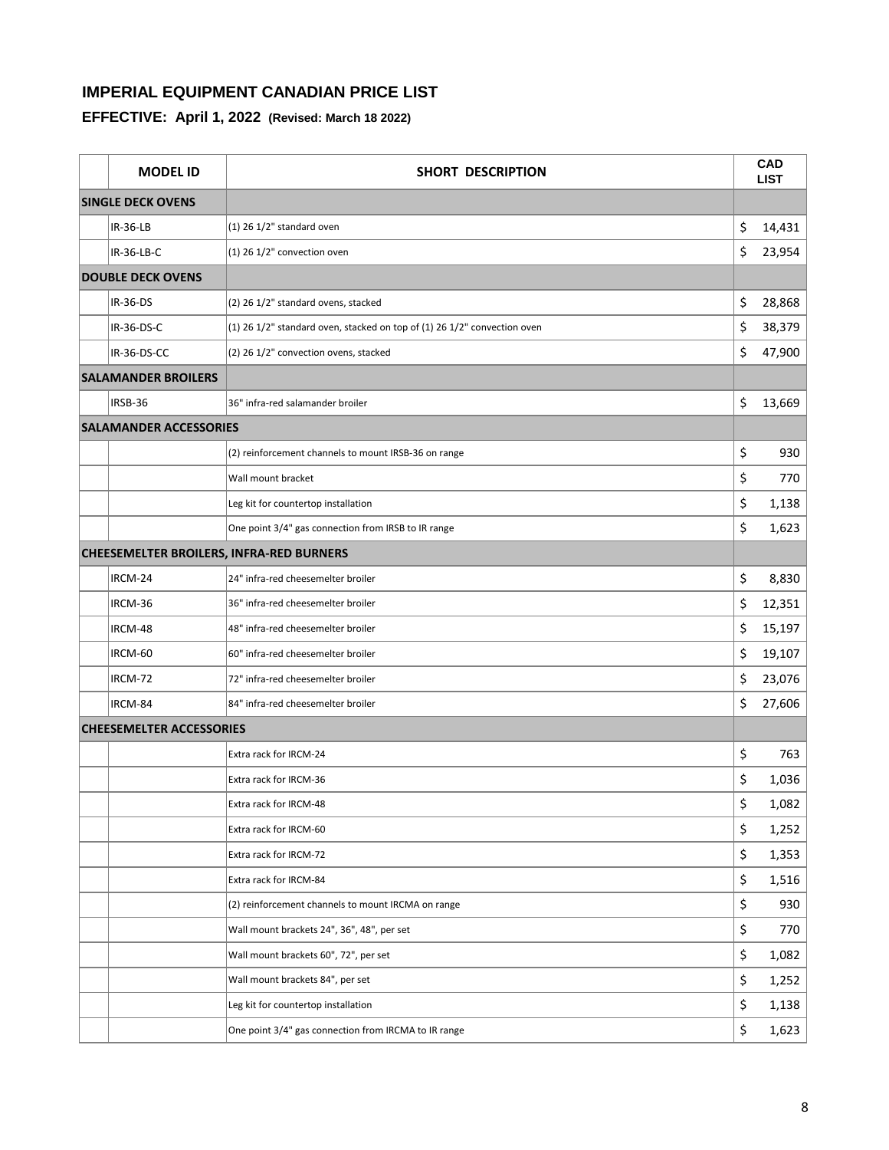| <b>MODEL ID</b>                 | SHORT DESCRIPTION                                                        |    | <b>CAD</b><br><b>LIST</b> |
|---------------------------------|--------------------------------------------------------------------------|----|---------------------------|
| <b>SINGLE DECK OVENS</b>        |                                                                          |    |                           |
| IR-36-LB                        | $(1)$ 26 $1/2$ " standard oven                                           | \$ | 14,431                    |
| IR-36-LB-C                      | $(1)$ 26 1/2" convection oven                                            | \$ | 23,954                    |
| <b>DOUBLE DECK OVENS</b>        |                                                                          |    |                           |
| IR-36-DS                        | (2) 26 1/2" standard ovens, stacked                                      | \$ | 28,868                    |
| IR-36-DS-C                      | (1) 26 1/2" standard oven, stacked on top of (1) 26 1/2" convection oven | \$ | 38,379                    |
| IR-36-DS-CC                     | (2) 26 1/2" convection ovens, stacked                                    | \$ | 47,900                    |
| <b>SALAMANDER BROILERS</b>      |                                                                          |    |                           |
| IRSB-36                         | 36" infra-red salamander broiler                                         | \$ | 13,669                    |
| <b>SALAMANDER ACCESSORIES</b>   |                                                                          |    |                           |
|                                 | (2) reinforcement channels to mount IRSB-36 on range                     | \$ | 930                       |
|                                 | Wall mount bracket                                                       | \$ | 770                       |
|                                 | Leg kit for countertop installation                                      | \$ | 1,138                     |
|                                 | One point 3/4" gas connection from IRSB to IR range                      | \$ | 1,623                     |
|                                 | <b>CHEESEMELTER BROILERS, INFRA-RED BURNERS</b>                          |    |                           |
| IRCM-24                         | 24" infra-red cheesemelter broiler                                       | \$ | 8,830                     |
| IRCM-36                         | 36" infra-red cheesemelter broiler                                       | \$ | 12,351                    |
| IRCM-48                         | 48" infra-red cheesemelter broiler                                       | \$ | 15,197                    |
| IRCM-60                         | 60" infra-red cheesemelter broiler                                       | \$ | 19,107                    |
| IRCM-72                         | 72" infra-red cheesemelter broiler                                       | \$ | 23,076                    |
| IRCM-84                         | 84" infra-red cheesemelter broiler                                       | \$ | 27,606                    |
| <b>CHEESEMELTER ACCESSORIES</b> |                                                                          |    |                           |
|                                 | Extra rack for IRCM-24                                                   | \$ | 763                       |
|                                 | Extra rack for IRCM-36                                                   | \$ | 1,036                     |
|                                 | Extra rack for IRCM-48                                                   | Ş  | 1,082                     |
|                                 | Extra rack for IRCM-60                                                   | \$ | 1,252                     |
|                                 | Extra rack for IRCM-72                                                   | \$ | 1,353                     |
|                                 | Extra rack for IRCM-84                                                   | \$ | 1,516                     |
|                                 | (2) reinforcement channels to mount IRCMA on range                       | \$ | 930                       |
|                                 | Wall mount brackets 24", 36", 48", per set                               | \$ | 770                       |
|                                 | Wall mount brackets 60", 72", per set                                    | \$ | 1,082                     |
|                                 | Wall mount brackets 84", per set                                         | \$ | 1,252                     |
|                                 | Leg kit for countertop installation                                      | \$ | 1,138                     |
|                                 | One point 3/4" gas connection from IRCMA to IR range                     | \$ | 1,623                     |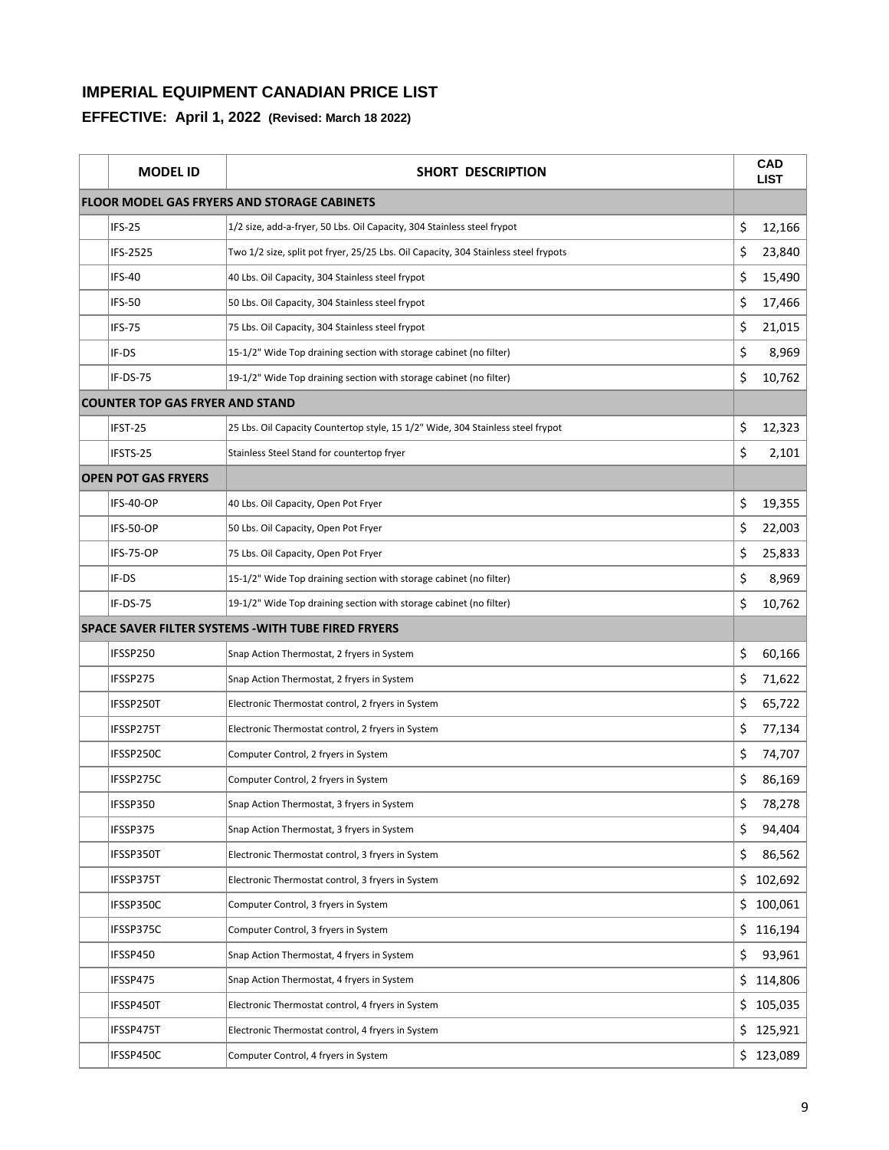| <b>MODEL ID</b>                        | SHORT DESCRIPTION                                                                   |     | <b>CAD</b><br><b>LIST</b> |
|----------------------------------------|-------------------------------------------------------------------------------------|-----|---------------------------|
|                                        | <b>FLOOR MODEL GAS FRYERS AND STORAGE CABINETS</b>                                  |     |                           |
| IFS-25                                 | 1/2 size, add-a-fryer, 50 Lbs. Oil Capacity, 304 Stainless steel frypot             | \$  | 12,166                    |
| IFS-2525                               | Two 1/2 size, split pot fryer, 25/25 Lbs. Oil Capacity, 304 Stainless steel frypots | \$  | 23,840                    |
| <b>IFS-40</b>                          | 40 Lbs. Oil Capacity, 304 Stainless steel frypot                                    | \$  | 15,490                    |
| <b>IFS-50</b>                          | 50 Lbs. Oil Capacity, 304 Stainless steel frypot                                    | \$  | 17,466                    |
| <b>IFS-75</b>                          | 75 Lbs. Oil Capacity, 304 Stainless steel frypot                                    | \$  | 21,015                    |
| IF-DS                                  | 15-1/2" Wide Top draining section with storage cabinet (no filter)                  | \$  | 8,969                     |
| IF-DS-75                               | 19-1/2" Wide Top draining section with storage cabinet (no filter)                  | \$  | 10,762                    |
| <b>COUNTER TOP GAS FRYER AND STAND</b> |                                                                                     |     |                           |
| IFST-25                                | 25 Lbs. Oil Capacity Countertop style, 15 1/2" Wide, 304 Stainless steel frypot     | \$  | 12,323                    |
| IFSTS-25                               | Stainless Steel Stand for countertop fryer                                          | \$  | 2,101                     |
| <b>OPEN POT GAS FRYERS</b>             |                                                                                     |     |                           |
| IFS-40-OP                              | 40 Lbs. Oil Capacity, Open Pot Fryer                                                | \$  | 19,355                    |
| IFS-50-OP                              | 50 Lbs. Oil Capacity, Open Pot Fryer                                                | \$  | 22,003                    |
| IFS-75-OP                              | 75 Lbs. Oil Capacity, Open Pot Fryer                                                | \$  | 25,833                    |
| IF-DS                                  | 15-1/2" Wide Top draining section with storage cabinet (no filter)                  | \$  | 8,969                     |
| IF-DS-75                               | 19-1/2" Wide Top draining section with storage cabinet (no filter)                  | \$  | 10,762                    |
|                                        | SPACE SAVER FILTER SYSTEMS - WITH TUBE FIRED FRYERS                                 |     |                           |
| IFSSP250                               | Snap Action Thermostat, 2 fryers in System                                          | \$  | 60,166                    |
| IFSSP275                               | Snap Action Thermostat, 2 fryers in System                                          | \$  | 71,622                    |
| IFSSP250T                              | Electronic Thermostat control, 2 fryers in System                                   | \$  | 65,722                    |
| IFSSP275T                              | Electronic Thermostat control, 2 fryers in System                                   | \$  | 77,134                    |
| IFSSP250C                              | Computer Control, 2 fryers in System                                                | \$  | 74,707                    |
| IFSSP275C                              | Computer Control, 2 fryers in System                                                | \$  | 86,169                    |
| IFSSP350                               | Snap Action Thermostat, 3 fryers in System                                          | \$  | 78,278                    |
| IFSSP375                               | Snap Action Thermostat, 3 fryers in System                                          | \$  | 94,404                    |
| IFSSP350T                              | Electronic Thermostat control, 3 fryers in System                                   | \$  | 86,562                    |
| IFSSP375T                              | Electronic Thermostat control, 3 fryers in System                                   | \$  | 102,692                   |
| IFSSP350C                              | Computer Control, 3 fryers in System                                                | \$. | 100,061                   |
| IFSSP375C                              | Computer Control, 3 fryers in System                                                | \$  | 116,194                   |
| IFSSP450                               | Snap Action Thermostat, 4 fryers in System                                          | \$  | 93,961                    |
| IFSSP475                               | Snap Action Thermostat, 4 fryers in System                                          | \$. | 114,806                   |
| IFSSP450T                              | Electronic Thermostat control, 4 fryers in System                                   |     | \$105,035                 |
| IFSSP475T                              | Electronic Thermostat control, 4 fryers in System                                   |     | \$125,921                 |
| IFSSP450C                              | Computer Control, 4 fryers in System                                                |     | \$123,089                 |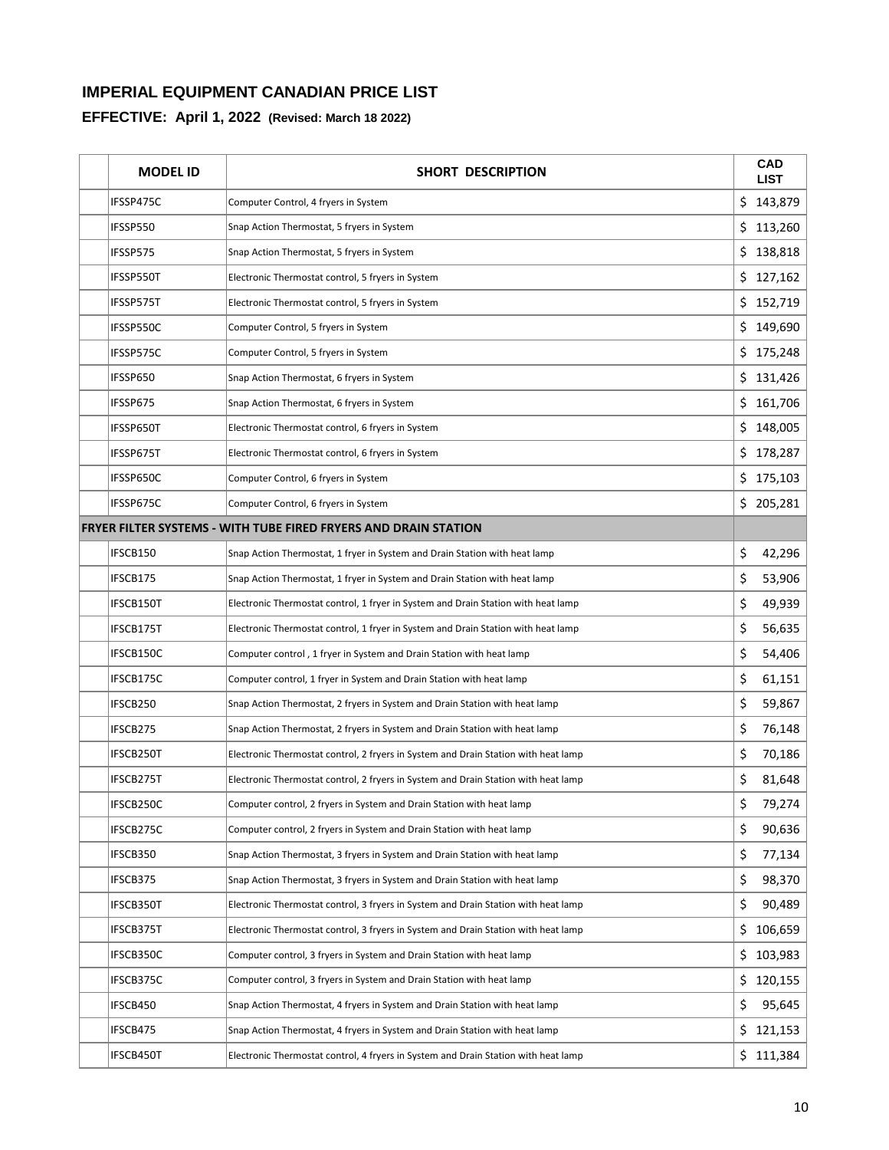| <b>MODEL ID</b> | <b>SHORT DESCRIPTION</b>                                                           |     | <b>CAD</b><br><b>LIST</b> |
|-----------------|------------------------------------------------------------------------------------|-----|---------------------------|
| IFSSP475C       | Computer Control, 4 fryers in System                                               |     | \$143,879                 |
| IFSSP550        | Snap Action Thermostat, 5 fryers in System                                         | \$. | 113,260                   |
| IFSSP575        | Snap Action Thermostat, 5 fryers in System                                         | \$  | 138,818                   |
| IFSSP550T       | Electronic Thermostat control, 5 fryers in System                                  | \$  | 127,162                   |
| IFSSP575T       | Electronic Thermostat control, 5 fryers in System                                  |     | \$152,719                 |
| IFSSP550C       | Computer Control, 5 fryers in System                                               | \$. | 149,690                   |
| IFSSP575C       | Computer Control, 5 fryers in System                                               |     | \$175,248                 |
| IFSSP650        | Snap Action Thermostat, 6 fryers in System                                         | \$  | 131,426                   |
| IFSSP675        | Snap Action Thermostat, 6 fryers in System                                         |     | \$161,706                 |
| IFSSP650T       | Electronic Thermostat control, 6 fryers in System                                  | \$  | 148,005                   |
| IFSSP675T       | Electronic Thermostat control, 6 fryers in System                                  | \$  | 178,287                   |
| IFSSP650C       | Computer Control, 6 fryers in System                                               | \$  | 175,103                   |
| IFSSP675C       | Computer Control, 6 fryers in System                                               | \$  | 205,281                   |
|                 | <b>FRYER FILTER SYSTEMS - WITH TUBE FIRED FRYERS AND DRAIN STATION</b>             |     |                           |
| IFSCB150        | Snap Action Thermostat, 1 fryer in System and Drain Station with heat lamp         | \$  | 42,296                    |
| IFSCB175        | Snap Action Thermostat, 1 fryer in System and Drain Station with heat lamp         | \$  | 53,906                    |
| IFSCB150T       | Electronic Thermostat control, 1 fryer in System and Drain Station with heat lamp  | \$  | 49,939                    |
| IFSCB175T       | Electronic Thermostat control, 1 fryer in System and Drain Station with heat lamp  | \$  | 56,635                    |
| IFSCB150C       | Computer control, 1 fryer in System and Drain Station with heat lamp               | \$  | 54,406                    |
| IFSCB175C       | Computer control, 1 fryer in System and Drain Station with heat lamp               | \$  | 61,151                    |
| IFSCB250        | Snap Action Thermostat, 2 fryers in System and Drain Station with heat lamp        | \$  | 59,867                    |
| IFSCB275        | Snap Action Thermostat, 2 fryers in System and Drain Station with heat lamp        | \$  | 76,148                    |
| IFSCB250T       | Electronic Thermostat control, 2 fryers in System and Drain Station with heat lamp | \$  | 70,186                    |
| IFSCB275T       | Electronic Thermostat control, 2 fryers in System and Drain Station with heat lamp | \$  | 81,648                    |
| IFSCB250C       | Computer control, 2 fryers in System and Drain Station with heat lamp              | \$  | 79,274                    |
| IFSCB275C       | Computer control, 2 fryers in System and Drain Station with heat lamp              | \$  | 90,636                    |
| IFSCB350        | Snap Action Thermostat, 3 fryers in System and Drain Station with heat lamp        | \$  | 77,134                    |
| IFSCB375        | Snap Action Thermostat, 3 fryers in System and Drain Station with heat lamp        | \$  | 98,370                    |
| IFSCB350T       | Electronic Thermostat control, 3 fryers in System and Drain Station with heat lamp | \$  | 90,489                    |
| IFSCB375T       | Electronic Thermostat control, 3 fryers in System and Drain Station with heat lamp | \$  | 106,659                   |
| IFSCB350C       | Computer control, 3 fryers in System and Drain Station with heat lamp              | \$  | 103,983                   |
| IFSCB375C       | Computer control, 3 fryers in System and Drain Station with heat lamp              | \$  | 120,155                   |
| IFSCB450        | Snap Action Thermostat, 4 fryers in System and Drain Station with heat lamp        | \$  | 95,645                    |
| IFSCB475        | Snap Action Thermostat, 4 fryers in System and Drain Station with heat lamp        | \$  | 121,153                   |
| IFSCB450T       | Electronic Thermostat control, 4 fryers in System and Drain Station with heat lamp |     | \$111,384                 |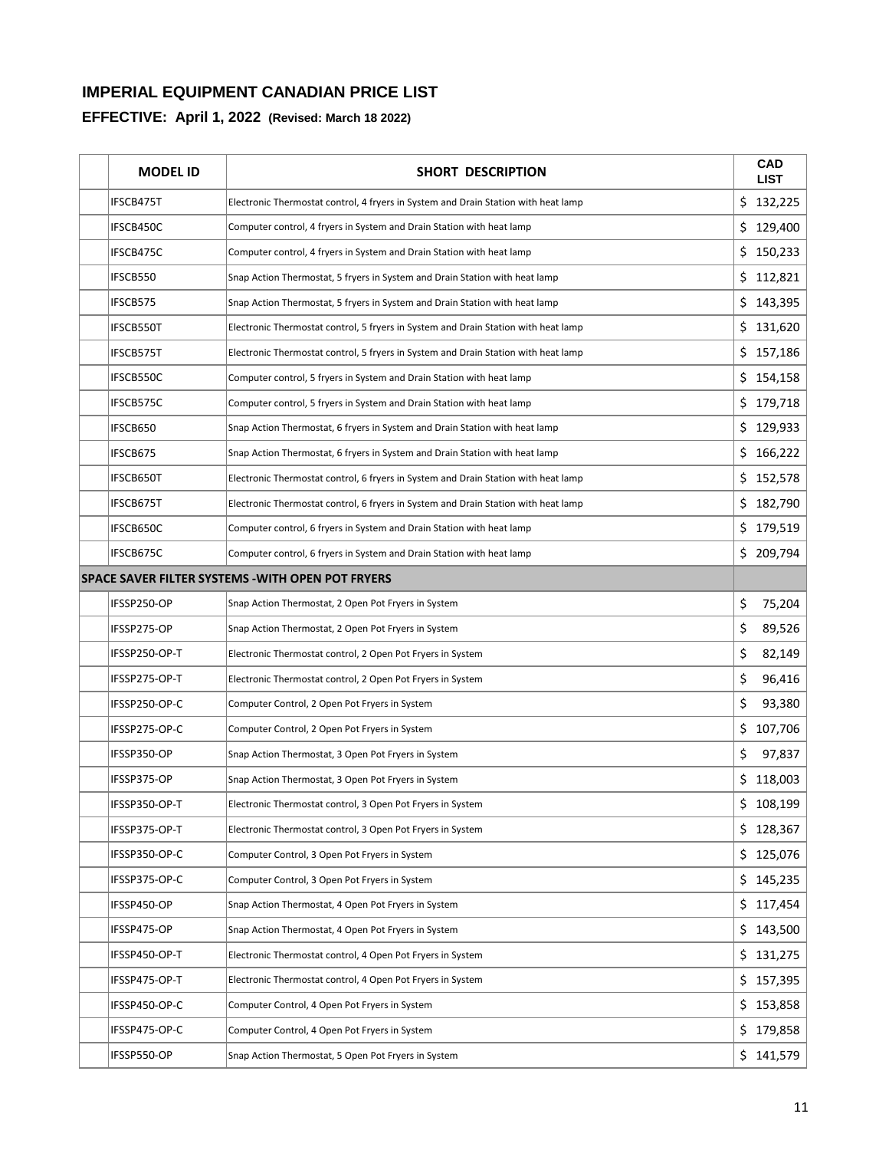| <b>MODEL ID</b> | SHORT DESCRIPTION                                                                  |     | CAD<br><b>LIST</b> |
|-----------------|------------------------------------------------------------------------------------|-----|--------------------|
| IFSCB475T       | Electronic Thermostat control, 4 fryers in System and Drain Station with heat lamp |     | \$132,225          |
| IFSCB450C       | Computer control, 4 fryers in System and Drain Station with heat lamp              | \$  | 129,400            |
| IFSCB475C       | Computer control, 4 fryers in System and Drain Station with heat lamp              |     | \$150,233          |
| IFSCB550        | Snap Action Thermostat, 5 fryers in System and Drain Station with heat lamp        | \$  | 112,821            |
| IFSCB575        | Snap Action Thermostat, 5 fryers in System and Drain Station with heat lamp        | \$  | 143,395            |
| IFSCB550T       | Electronic Thermostat control, 5 fryers in System and Drain Station with heat lamp | \$  | 131,620            |
| IFSCB575T       | Electronic Thermostat control, 5 fryers in System and Drain Station with heat lamp |     | \$157,186          |
| IFSCB550C       | Computer control, 5 fryers in System and Drain Station with heat lamp              |     | \$154,158          |
| IFSCB575C       | Computer control, 5 fryers in System and Drain Station with heat lamp              |     | \$179,718          |
| IFSCB650        | Snap Action Thermostat, 6 fryers in System and Drain Station with heat lamp        |     | \$129,933          |
| IFSCB675        | Snap Action Thermostat, 6 fryers in System and Drain Station with heat lamp        |     | \$166,222          |
| IFSCB650T       | Electronic Thermostat control, 6 fryers in System and Drain Station with heat lamp |     | \$152,578          |
| IFSCB675T       | Electronic Thermostat control, 6 fryers in System and Drain Station with heat lamp | \$  | 182,790            |
| IFSCB650C       | Computer control, 6 fryers in System and Drain Station with heat lamp              |     | \$179,519          |
| IFSCB675C       | Computer control, 6 fryers in System and Drain Station with heat lamp              |     | \$209,794          |
|                 | <b>SPACE SAVER FILTER SYSTEMS - WITH OPEN POT FRYERS</b>                           |     |                    |
| IFSSP250-OP     | Snap Action Thermostat, 2 Open Pot Fryers in System                                | \$  | 75,204             |
| IFSSP275-OP     | Snap Action Thermostat, 2 Open Pot Fryers in System                                | \$  | 89,526             |
| IFSSP250-OP-T   | Electronic Thermostat control, 2 Open Pot Fryers in System                         | \$  | 82,149             |
| IFSSP275-OP-T   | Electronic Thermostat control, 2 Open Pot Fryers in System                         | \$  | 96,416             |
| IFSSP250-OP-C   | Computer Control, 2 Open Pot Fryers in System                                      | \$  | 93,380             |
| IFSSP275-OP-C   | Computer Control, 2 Open Pot Fryers in System                                      | \$  | 107,706            |
| IFSSP350-OP     | Snap Action Thermostat, 3 Open Pot Fryers in System                                | \$  | 97,837             |
| IFSSP375-OP     | Snap Action Thermostat, 3 Open Pot Fryers in System                                | \$  | 118,003            |
| IFSSP350-OP-T   | Electronic Thermostat control, 3 Open Pot Fryers in System                         |     | \$108,199          |
| IFSSP375-OP-T   | Electronic Thermostat control, 3 Open Pot Fryers in System                         |     | \$128,367          |
| IFSSP350-OP-C   | Computer Control, 3 Open Pot Fryers in System                                      | \$. | 125,076            |
| IFSSP375-OP-C   | Computer Control, 3 Open Pot Fryers in System                                      |     | \$145,235          |
| IFSSP450-OP     | Snap Action Thermostat, 4 Open Pot Fryers in System                                | \$. | 117,454            |
| IFSSP475-OP     | Snap Action Thermostat, 4 Open Pot Fryers in System                                | \$  | 143,500            |
| IFSSP450-OP-T   | Electronic Thermostat control, 4 Open Pot Fryers in System                         | \$. | 131,275            |
| IFSSP475-OP-T   | Electronic Thermostat control, 4 Open Pot Fryers in System                         | \$  | 157,395            |
| IFSSP450-OP-C   | Computer Control, 4 Open Pot Fryers in System                                      |     | \$153,858          |
| IFSSP475-OP-C   | Computer Control, 4 Open Pot Fryers in System                                      | \$. | 179,858            |
| IFSSP550-OP     | Snap Action Thermostat, 5 Open Pot Fryers in System                                |     | \$141,579          |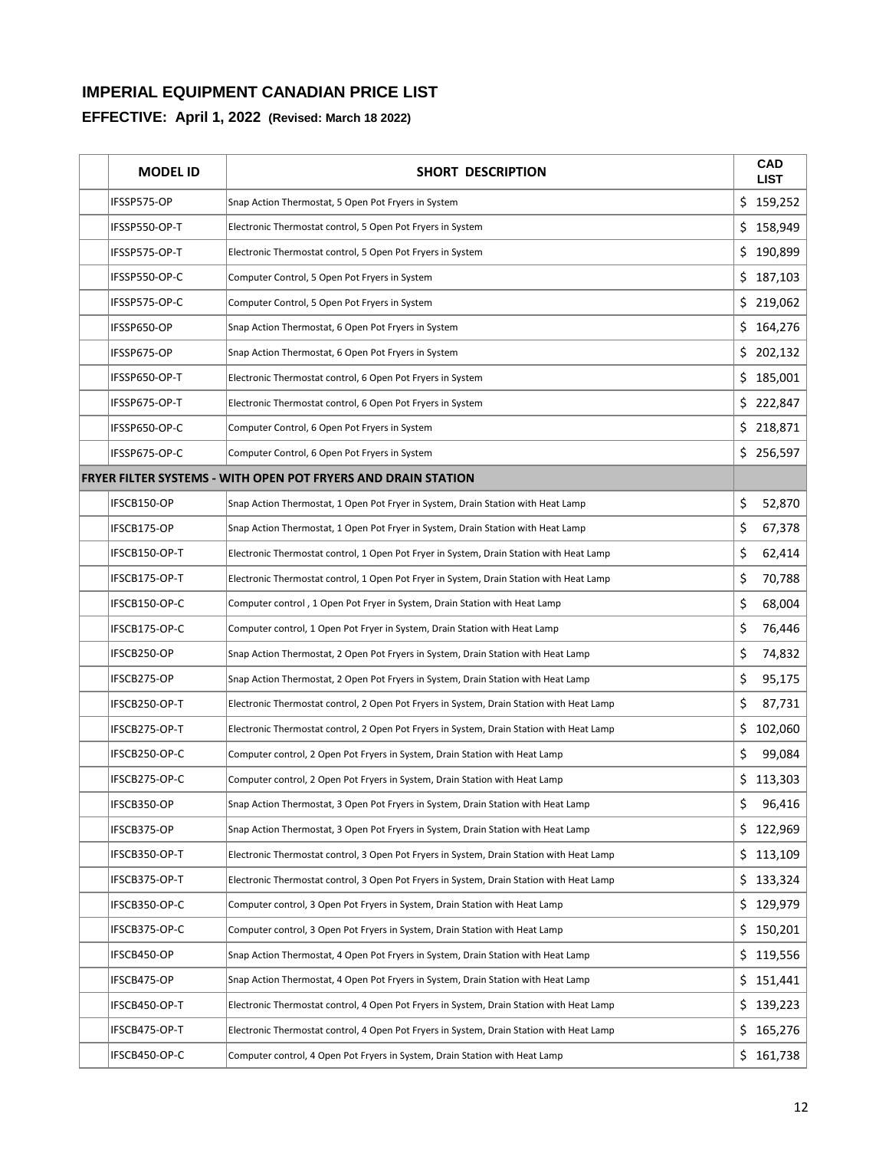| <b>MODEL ID</b> | <b>SHORT DESCRIPTION</b>                                                                 |     | <b>CAD</b><br><b>LIST</b> |
|-----------------|------------------------------------------------------------------------------------------|-----|---------------------------|
| IFSSP575-OP     | Snap Action Thermostat, 5 Open Pot Fryers in System                                      |     | \$159,252                 |
| IFSSP550-OP-T   | Electronic Thermostat control, 5 Open Pot Fryers in System                               |     | \$158,949                 |
| IFSSP575-OP-T   | Electronic Thermostat control, 5 Open Pot Fryers in System                               | \$. | 190,899                   |
| IFSSP550-OP-C   | Computer Control, 5 Open Pot Fryers in System                                            | \$. | 187,103                   |
| IFSSP575-OP-C   | Computer Control, 5 Open Pot Fryers in System                                            |     | \$219,062                 |
| IFSSP650-OP     | Snap Action Thermostat, 6 Open Pot Fryers in System                                      |     | \$164,276                 |
| IFSSP675-OP     | Snap Action Thermostat, 6 Open Pot Fryers in System                                      |     | \$202,132                 |
| IFSSP650-OP-T   | Electronic Thermostat control, 6 Open Pot Fryers in System                               |     | \$185,001                 |
| IFSSP675-OP-T   | Electronic Thermostat control, 6 Open Pot Fryers in System                               |     | \$222,847                 |
| IFSSP650-OP-C   | Computer Control, 6 Open Pot Fryers in System                                            |     | \$218,871                 |
| IFSSP675-OP-C   | Computer Control, 6 Open Pot Fryers in System                                            |     | \$256,597                 |
|                 | <b>FRYER FILTER SYSTEMS - WITH OPEN POT FRYERS AND DRAIN STATION</b>                     |     |                           |
| IFSCB150-OP     | Snap Action Thermostat, 1 Open Pot Fryer in System, Drain Station with Heat Lamp         | \$  | 52,870                    |
| IFSCB175-OP     | Snap Action Thermostat, 1 Open Pot Fryer in System, Drain Station with Heat Lamp         | \$  | 67,378                    |
| IFSCB150-OP-T   | Electronic Thermostat control, 1 Open Pot Fryer in System, Drain Station with Heat Lamp  | \$  | 62,414                    |
| IFSCB175-OP-T   | Electronic Thermostat control, 1 Open Pot Fryer in System, Drain Station with Heat Lamp  | \$  | 70,788                    |
| IFSCB150-OP-C   | Computer control, 1 Open Pot Fryer in System, Drain Station with Heat Lamp               | \$  | 68,004                    |
| IFSCB175-OP-C   | Computer control, 1 Open Pot Fryer in System, Drain Station with Heat Lamp               | \$  | 76,446                    |
| IFSCB250-OP     | Snap Action Thermostat, 2 Open Pot Fryers in System, Drain Station with Heat Lamp        | \$  | 74,832                    |
| IFSCB275-OP     | Snap Action Thermostat, 2 Open Pot Fryers in System, Drain Station with Heat Lamp        | \$  | 95,175                    |
| IFSCB250-OP-T   | Electronic Thermostat control, 2 Open Pot Fryers in System, Drain Station with Heat Lamp | \$  | 87,731                    |
| IFSCB275-OP-T   | Electronic Thermostat control, 2 Open Pot Fryers in System, Drain Station with Heat Lamp | \$  | 102,060                   |
| IFSCB250-OP-C   | Computer control, 2 Open Pot Fryers in System, Drain Station with Heat Lamp              | \$  | 99,084                    |
| IFSCB275-OP-C   | Computer control, 2 Open Pot Fryers in System, Drain Station with Heat Lamp              |     | \$113,303                 |
| IFSCB350-OP     | Snap Action Thermostat, 3 Open Pot Fryers in System, Drain Station with Heat Lamp        | \$  | 96,416                    |
| IFSCB375-OP     | Snap Action Thermostat, 3 Open Pot Fryers in System, Drain Station with Heat Lamp        |     | \$122,969                 |
| IFSCB350-OP-T   | Electronic Thermostat control, 3 Open Pot Fryers in System, Drain Station with Heat Lamp |     | \$113,109                 |
| IFSCB375-OP-T   | Electronic Thermostat control, 3 Open Pot Fryers in System, Drain Station with Heat Lamp | \$. | 133,324                   |
| IFSCB350-OP-C   | Computer control, 3 Open Pot Fryers in System, Drain Station with Heat Lamp              |     | \$129,979                 |
| IFSCB375-OP-C   | Computer control, 3 Open Pot Fryers in System, Drain Station with Heat Lamp              | \$. | 150,201                   |
| IFSCB450-OP     | Snap Action Thermostat, 4 Open Pot Fryers in System, Drain Station with Heat Lamp        |     | \$119,556                 |
| IFSCB475-OP     | Snap Action Thermostat, 4 Open Pot Fryers in System, Drain Station with Heat Lamp        |     | \$151,441                 |
| IFSCB450-OP-T   | Electronic Thermostat control, 4 Open Pot Fryers in System, Drain Station with Heat Lamp |     | \$139,223                 |
| IFSCB475-OP-T   | Electronic Thermostat control, 4 Open Pot Fryers in System, Drain Station with Heat Lamp |     | \$165,276                 |
| IFSCB450-OP-C   | Computer control, 4 Open Pot Fryers in System, Drain Station with Heat Lamp              |     | \$161,738                 |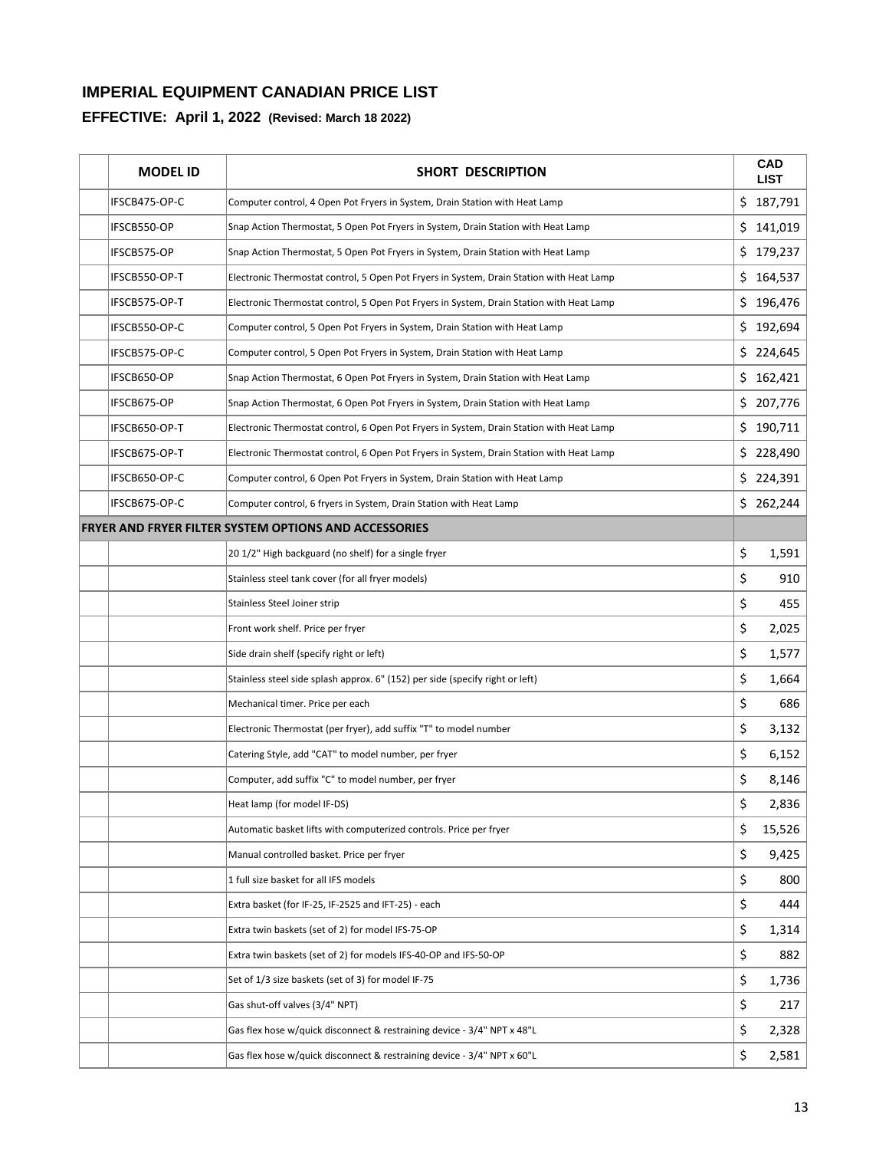| <b>MODEL ID</b> | <b>SHORT DESCRIPTION</b>                                                                 |     | <b>CAD</b><br><b>LIST</b> |
|-----------------|------------------------------------------------------------------------------------------|-----|---------------------------|
| IFSCB475-OP-C   | Computer control, 4 Open Pot Fryers in System, Drain Station with Heat Lamp              |     | \$187,791                 |
| IFSCB550-OP     | Snap Action Thermostat, 5 Open Pot Fryers in System, Drain Station with Heat Lamp        | \$  | 141,019                   |
| IFSCB575-OP     | Snap Action Thermostat, 5 Open Pot Fryers in System, Drain Station with Heat Lamp        | \$  | 179,237                   |
| IFSCB550-OP-T   | Electronic Thermostat control, 5 Open Pot Fryers in System, Drain Station with Heat Lamp | \$  | 164,537                   |
| IFSCB575-OP-T   | Electronic Thermostat control, 5 Open Pot Fryers in System, Drain Station with Heat Lamp |     | \$196,476                 |
| IFSCB550-OP-C   | Computer control, 5 Open Pot Fryers in System, Drain Station with Heat Lamp              | \$. | 192,694                   |
| IFSCB575-OP-C   | Computer control, 5 Open Pot Fryers in System, Drain Station with Heat Lamp              |     | \$224,645                 |
| IFSCB650-OP     | Snap Action Thermostat, 6 Open Pot Fryers in System, Drain Station with Heat Lamp        | \$  | 162,421                   |
| IFSCB675-OP     | Snap Action Thermostat, 6 Open Pot Fryers in System, Drain Station with Heat Lamp        |     | \$207,776                 |
| IFSCB650-OP-T   | Electronic Thermostat control, 6 Open Pot Fryers in System, Drain Station with Heat Lamp | \$. | 190,711                   |
| IFSCB675-OP-T   | Electronic Thermostat control, 6 Open Pot Fryers in System, Drain Station with Heat Lamp | \$. | 228,490                   |
| IFSCB650-OP-C   | Computer control, 6 Open Pot Fryers in System, Drain Station with Heat Lamp              | \$  | 224,391                   |
| IFSCB675-OP-C   | Computer control, 6 fryers in System, Drain Station with Heat Lamp                       |     | \$262,244                 |
|                 | <b>FRYER AND FRYER FILTER SYSTEM OPTIONS AND ACCESSORIES</b>                             |     |                           |
|                 | 20 1/2" High backguard (no shelf) for a single fryer                                     | \$  | 1,591                     |
|                 | Stainless steel tank cover (for all fryer models)                                        | \$  | 910                       |
|                 | Stainless Steel Joiner strip                                                             | \$  | 455                       |
|                 | Front work shelf. Price per fryer                                                        | \$  | 2,025                     |
|                 | Side drain shelf (specify right or left)                                                 | \$  | 1,577                     |
|                 | Stainless steel side splash approx. 6" (152) per side (specify right or left)            | \$  | 1,664                     |
|                 | Mechanical timer. Price per each                                                         | \$  | 686                       |
|                 | Electronic Thermostat (per fryer), add suffix "T" to model number                        | \$  | 3,132                     |
|                 | Catering Style, add "CAT" to model number, per fryer                                     | \$  | 6,152                     |
|                 | Computer, add suffix "C" to model number, per fryer                                      | \$  | 8,146                     |
|                 | Heat lamp (for model IF-DS)                                                              | \$  | 2,836                     |
|                 | Automatic basket lifts with computerized controls. Price per fryer                       | \$  | 15,526                    |
|                 | Manual controlled basket. Price per fryer                                                | \$  | 9,425                     |
|                 | 1 full size basket for all IFS models                                                    | \$  | 800                       |
|                 | Extra basket (for IF-25, IF-2525 and IFT-25) - each                                      | \$  | 444                       |
|                 | Extra twin baskets (set of 2) for model IFS-75-OP                                        | \$  | 1,314                     |
|                 | Extra twin baskets (set of 2) for models IFS-40-OP and IFS-50-OP                         | \$  | 882                       |
|                 | Set of 1/3 size baskets (set of 3) for model IF-75                                       | \$  | 1,736                     |
|                 | Gas shut-off valves (3/4" NPT)                                                           | \$  | 217                       |
|                 | Gas flex hose w/quick disconnect & restraining device - 3/4" NPT x 48"L                  | \$  | 2,328                     |
|                 | Gas flex hose w/quick disconnect & restraining device - 3/4" NPT x 60"L                  | \$  | 2,581                     |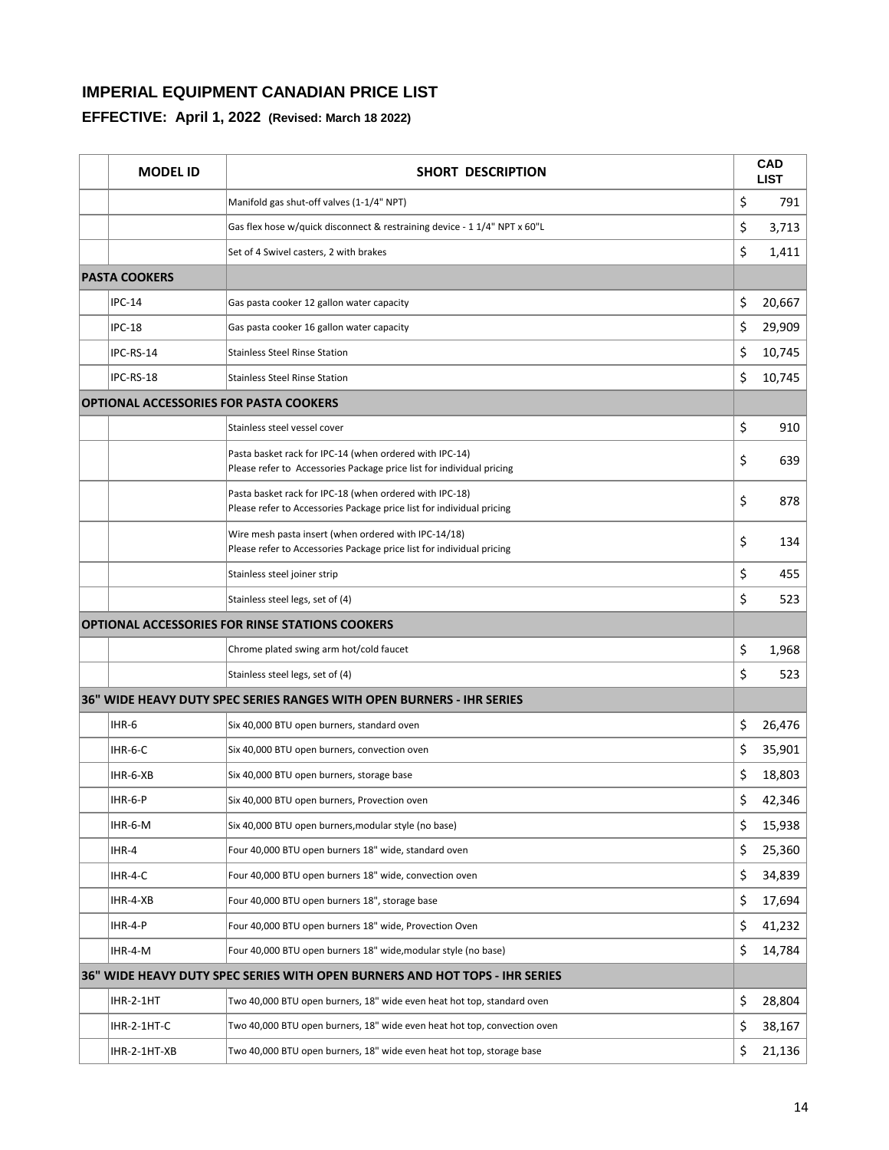| <b>MODEL ID</b>                               | <b>SHORT DESCRIPTION</b>                                                                                                         | <b>CAD</b><br><b>LIST</b> |
|-----------------------------------------------|----------------------------------------------------------------------------------------------------------------------------------|---------------------------|
|                                               | Manifold gas shut-off valves (1-1/4" NPT)                                                                                        | \$<br>791                 |
|                                               | Gas flex hose w/guick disconnect & restraining device - 1 1/4" NPT x 60"L                                                        | \$<br>3,713               |
|                                               | Set of 4 Swivel casters, 2 with brakes                                                                                           | \$<br>1,411               |
| <b>PASTA COOKERS</b>                          |                                                                                                                                  |                           |
| <b>IPC-14</b>                                 | Gas pasta cooker 12 gallon water capacity                                                                                        | \$<br>20,667              |
| <b>IPC-18</b>                                 | Gas pasta cooker 16 gallon water capacity                                                                                        | \$<br>29,909              |
| IPC-RS-14                                     | <b>Stainless Steel Rinse Station</b>                                                                                             | \$<br>10,745              |
| IPC-RS-18                                     | <b>Stainless Steel Rinse Station</b>                                                                                             | \$<br>10,745              |
| <b>OPTIONAL ACCESSORIES FOR PASTA COOKERS</b> |                                                                                                                                  |                           |
|                                               | Stainless steel vessel cover                                                                                                     | \$<br>910                 |
|                                               | Pasta basket rack for IPC-14 (when ordered with IPC-14)<br>Please refer to Accessories Package price list for individual pricing | \$<br>639                 |
|                                               | Pasta basket rack for IPC-18 (when ordered with IPC-18)<br>Please refer to Accessories Package price list for individual pricing | \$<br>878                 |
|                                               | Wire mesh pasta insert (when ordered with IPC-14/18)<br>Please refer to Accessories Package price list for individual pricing    | \$<br>134                 |
|                                               | Stainless steel joiner strip                                                                                                     | \$<br>455                 |
|                                               | Stainless steel legs, set of (4)                                                                                                 | \$<br>523                 |
|                                               | <b>OPTIONAL ACCESSORIES FOR RINSE STATIONS COOKERS</b>                                                                           |                           |
|                                               | Chrome plated swing arm hot/cold faucet                                                                                          | \$<br>1,968               |
|                                               | Stainless steel legs, set of (4)                                                                                                 | \$<br>523                 |
|                                               | 36" WIDE HEAVY DUTY SPEC SERIES RANGES WITH OPEN BURNERS - IHR SERIES                                                            |                           |
| IHR-6                                         | Six 40,000 BTU open burners, standard oven                                                                                       | \$<br>26,476              |
| IHR-6-C                                       | Six 40,000 BTU open burners, convection oven                                                                                     | \$<br>35,901              |
| IHR-6-XB                                      | Six 40,000 BTU open burners, storage base                                                                                        | \$<br>18,803              |
| IHR-6-P                                       | Six 40,000 BTU open burners, Provection oven                                                                                     | \$<br>42,346              |
| IHR-6-M                                       | Six 40,000 BTU open burners, modular style (no base)                                                                             | \$<br>15,938              |
| IHR-4                                         | Four 40,000 BTU open burners 18" wide, standard oven                                                                             | \$<br>25,360              |
| IHR-4-C                                       | Four 40,000 BTU open burners 18" wide, convection oven                                                                           | \$<br>34,839              |
| IHR-4-XB                                      | Four 40,000 BTU open burners 18", storage base                                                                                   | \$<br>17,694              |
| IHR-4-P                                       | Four 40,000 BTU open burners 18" wide, Provection Oven                                                                           | \$<br>41,232              |
| IHR-4-M                                       | Four 40,000 BTU open burners 18" wide, modular style (no base)                                                                   | \$<br>14,784              |
|                                               | 36" WIDE HEAVY DUTY SPEC SERIES WITH OPEN BURNERS AND HOT TOPS - IHR SERIES                                                      |                           |
| IHR-2-1HT                                     | Two 40,000 BTU open burners, 18" wide even heat hot top, standard oven                                                           | \$<br>28,804              |
| IHR-2-1HT-C                                   | Two 40,000 BTU open burners, 18" wide even heat hot top, convection oven                                                         | \$<br>38,167              |
| IHR-2-1HT-XB                                  | Two 40,000 BTU open burners, 18" wide even heat hot top, storage base                                                            | \$<br>21,136              |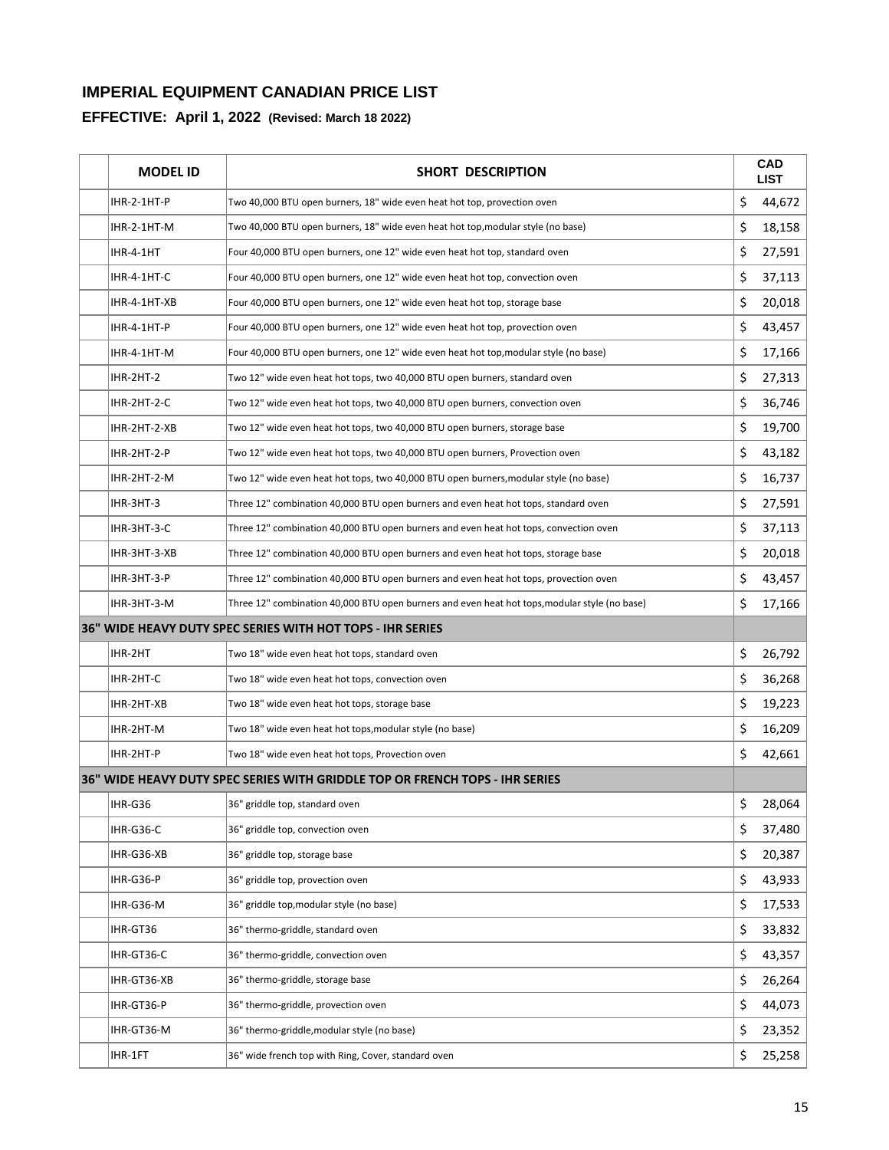| <b>MODEL ID</b> | <b>SHORT DESCRIPTION</b>                                                                      | CAD<br><b>LIST</b> |
|-----------------|-----------------------------------------------------------------------------------------------|--------------------|
| IHR-2-1HT-P     | Two 40,000 BTU open burners, 18" wide even heat hot top, provection oven                      | \$<br>44,672       |
| IHR-2-1HT-M     | Two 40,000 BTU open burners, 18" wide even heat hot top, modular style (no base)              | \$<br>18,158       |
| IHR-4-1HT       | Four 40,000 BTU open burners, one 12" wide even heat hot top, standard oven                   | \$<br>27,591       |
| IHR-4-1HT-C     | Four 40,000 BTU open burners, one 12" wide even heat hot top, convection oven                 | \$<br>37,113       |
| IHR-4-1HT-XB    | Four 40,000 BTU open burners, one 12" wide even heat hot top, storage base                    | \$<br>20,018       |
| IHR-4-1HT-P     | Four 40,000 BTU open burners, one 12" wide even heat hot top, provection oven                 | \$<br>43,457       |
| IHR-4-1HT-M     | Four 40,000 BTU open burners, one 12" wide even heat hot top, modular style (no base)         | \$<br>17,166       |
| IHR-2HT-2       | Two 12" wide even heat hot tops, two 40,000 BTU open burners, standard oven                   | \$<br>27,313       |
| IHR-2HT-2-C     | Two 12" wide even heat hot tops, two 40,000 BTU open burners, convection oven                 | \$<br>36,746       |
| IHR-2HT-2-XB    | Two 12" wide even heat hot tops, two 40,000 BTU open burners, storage base                    | \$<br>19,700       |
| IHR-2HT-2-P     | Two 12" wide even heat hot tops, two 40,000 BTU open burners, Provection oven                 | \$<br>43,182       |
| IHR-2HT-2-M     | Two 12" wide even heat hot tops, two 40,000 BTU open burners, modular style (no base)         | \$<br>16,737       |
| IHR-3HT-3       | Three 12" combination 40,000 BTU open burners and even heat hot tops, standard oven           | \$<br>27,591       |
| IHR-3HT-3-C     | Three 12" combination 40,000 BTU open burners and even heat hot tops, convection oven         | \$<br>37,113       |
| IHR-3HT-3-XB    | Three 12" combination 40,000 BTU open burners and even heat hot tops, storage base            | \$<br>20,018       |
| IHR-3HT-3-P     | Three 12" combination 40,000 BTU open burners and even heat hot tops, provection oven         | \$<br>43,457       |
| IHR-3HT-3-M     | Three 12" combination 40,000 BTU open burners and even heat hot tops, modular style (no base) | \$<br>17,166       |
|                 | 36" WIDE HEAVY DUTY SPEC SERIES WITH HOT TOPS - IHR SERIES                                    |                    |
| IHR-2HT         | Two 18" wide even heat hot tops, standard oven                                                | \$<br>26,792       |
| IHR-2HT-C       | Two 18" wide even heat hot tops, convection oven                                              | \$<br>36,268       |
| IHR-2HT-XB      | Two 18" wide even heat hot tops, storage base                                                 | \$<br>19,223       |
| IHR-2HT-M       | Two 18" wide even heat hot tops, modular style (no base)                                      | \$<br>16,209       |
| IHR-2HT-P       | Two 18" wide even heat hot tops, Provection oven                                              | \$<br>42,661       |
|                 | 36" WIDE HEAVY DUTY SPEC SERIES WITH GRIDDLE TOP OR FRENCH TOPS - IHR SERIES                  |                    |
| IHR-G36         | 36" griddle top, standard oven                                                                | \$<br>28,064       |
| IHR-G36-C       | 36" griddle top, convection oven                                                              | \$<br>37,480       |
| IHR-G36-XB      | 36" griddle top, storage base                                                                 | \$<br>20,387       |
| IHR-G36-P       | 36" griddle top, provection oven                                                              | \$<br>43,933       |
| IHR-G36-M       | 36" griddle top, modular style (no base)                                                      | \$<br>17,533       |
| IHR-GT36        | 36" thermo-griddle, standard oven                                                             | \$<br>33,832       |
| IHR-GT36-C      | 36" thermo-griddle, convection oven                                                           | \$<br>43,357       |
| IHR-GT36-XB     | 36" thermo-griddle, storage base                                                              | \$<br>26,264       |
| IHR-GT36-P      | 36" thermo-griddle, provection oven                                                           | \$<br>44,073       |
| IHR-GT36-M      | 36" thermo-griddle, modular style (no base)                                                   | \$<br>23,352       |
| IHR-1FT         | 36" wide french top with Ring, Cover, standard oven                                           | \$<br>25,258       |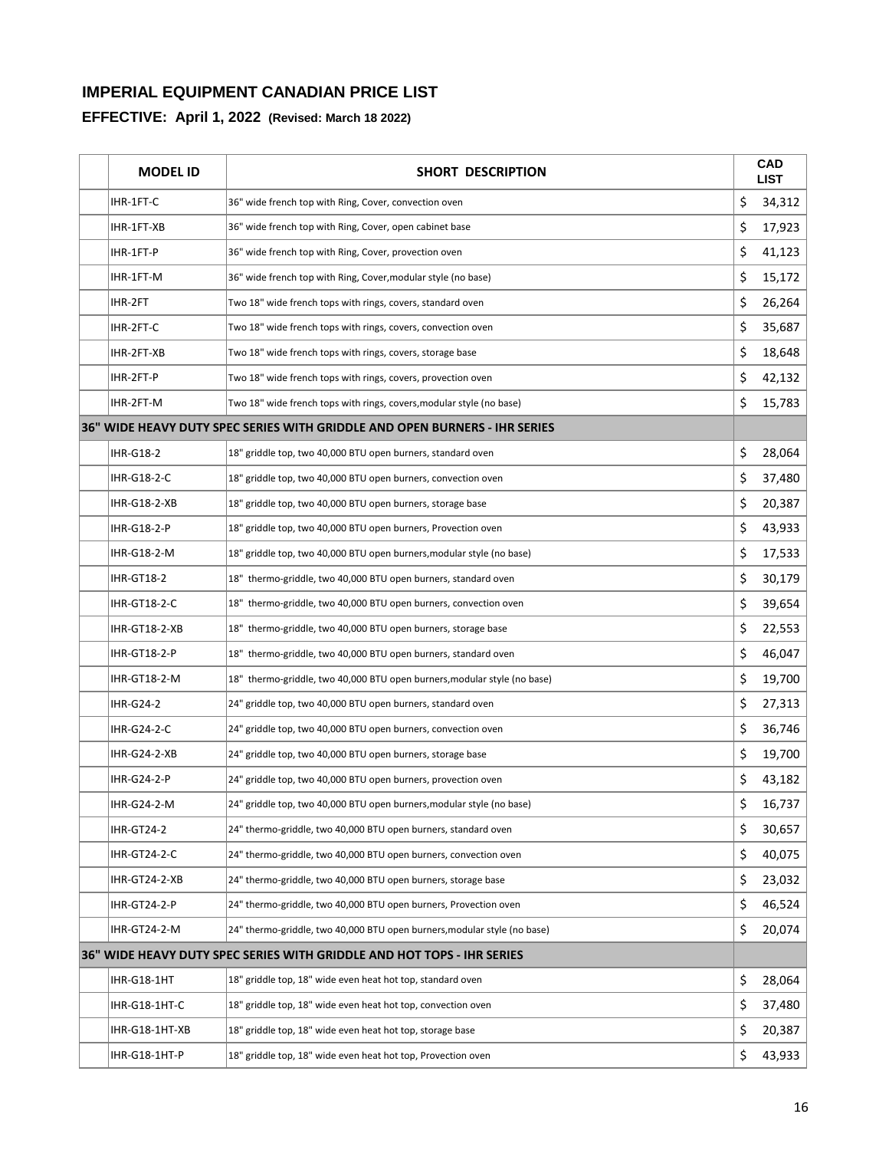| <b>MODEL ID</b>     | <b>SHORT DESCRIPTION</b>                                                   | <b>CAD</b><br><b>LIST</b> |
|---------------------|----------------------------------------------------------------------------|---------------------------|
| IHR-1FT-C           | 36" wide french top with Ring, Cover, convection oven                      | \$<br>34,312              |
| IHR-1FT-XB          | 36" wide french top with Ring, Cover, open cabinet base                    | \$<br>17,923              |
| IHR-1FT-P           | 36" wide french top with Ring, Cover, provection oven                      | \$<br>41,123              |
| IHR-1FT-M           | 36" wide french top with Ring, Cover, modular style (no base)              | \$<br>15,172              |
| IHR-2FT             | Two 18" wide french tops with rings, covers, standard oven                 | \$<br>26,264              |
| IHR-2FT-C           | Two 18" wide french tops with rings, covers, convection oven               | \$<br>35,687              |
| IHR-2FT-XB          | Two 18" wide french tops with rings, covers, storage base                  | \$<br>18,648              |
| IHR-2FT-P           | Two 18" wide french tops with rings, covers, provection oven               | \$<br>42,132              |
| IHR-2FT-M           | Two 18" wide french tops with rings, covers, modular style (no base)       | \$<br>15,783              |
|                     | 36" WIDE HEAVY DUTY SPEC SERIES WITH GRIDDLE AND OPEN BURNERS - IHR SERIES |                           |
| <b>IHR-G18-2</b>    | 18" griddle top, two 40,000 BTU open burners, standard oven                | \$<br>28,064              |
| <b>IHR-G18-2-C</b>  | 18" griddle top, two 40,000 BTU open burners, convection oven              | \$<br>37,480              |
| <b>IHR-G18-2-XB</b> | 18" griddle top, two 40,000 BTU open burners, storage base                 | \$<br>20,387              |
| IHR-G18-2-P         | 18" griddle top, two 40,000 BTU open burners, Provection oven              | \$<br>43,933              |
| IHR-G18-2-M         | 18" griddle top, two 40,000 BTU open burners, modular style (no base)      | \$<br>17,533              |
| <b>IHR-GT18-2</b>   | 18" thermo-griddle, two 40,000 BTU open burners, standard oven             | \$<br>30,179              |
| <b>IHR-GT18-2-C</b> | 18" thermo-griddle, two 40,000 BTU open burners, convection oven           | \$<br>39,654              |
| IHR-GT18-2-XB       | 18" thermo-griddle, two 40,000 BTU open burners, storage base              | \$<br>22,553              |
| <b>IHR-GT18-2-P</b> | 18" thermo-griddle, two 40,000 BTU open burners, standard oven             | \$<br>46,047              |
| <b>IHR-GT18-2-M</b> | 18" thermo-griddle, two 40,000 BTU open burners, modular style (no base)   | \$<br>19,700              |
| IHR-G24-2           | 24" griddle top, two 40,000 BTU open burners, standard oven                | \$<br>27,313              |
| IHR-G24-2-C         | 24" griddle top, two 40,000 BTU open burners, convection oven              | \$<br>36,746              |
| IHR-G24-2-XB        | 24" griddle top, two 40,000 BTU open burners, storage base                 | \$<br>19,700              |
| IHR-G24-2-P         | 24" griddle top, two 40,000 BTU open burners, provection oven              | \$<br>43,182              |
| IHR-G24-2-M         | 24" griddle top, two 40,000 BTU open burners, modular style (no base)      | \$<br>16,737              |
| <b>IHR-GT24-2</b>   | 24" thermo-griddle, two 40,000 BTU open burners, standard oven             | \$<br>30,657              |
| <b>IHR-GT24-2-C</b> | 24" thermo-griddle, two 40,000 BTU open burners, convection oven           | \$<br>40,075              |
| IHR-GT24-2-XB       | 24" thermo-griddle, two 40,000 BTU open burners, storage base              | \$<br>23,032              |
| IHR-GT24-2-P        | 24" thermo-griddle, two 40,000 BTU open burners, Provection oven           | \$<br>46,524              |
| IHR-GT24-2-M        | 24" thermo-griddle, two 40,000 BTU open burners, modular style (no base)   | \$<br>20,074              |
|                     | 36" WIDE HEAVY DUTY SPEC SERIES WITH GRIDDLE AND HOT TOPS - IHR SERIES     |                           |
| IHR-G18-1HT         | 18" griddle top, 18" wide even heat hot top, standard oven                 | \$<br>28,064              |
| IHR-G18-1HT-C       | 18" griddle top, 18" wide even heat hot top, convection oven               | \$<br>37,480              |
| IHR-G18-1HT-XB      | 18" griddle top, 18" wide even heat hot top, storage base                  | \$<br>20,387              |
| IHR-G18-1HT-P       | 18" griddle top, 18" wide even heat hot top, Provection oven               | \$<br>43,933              |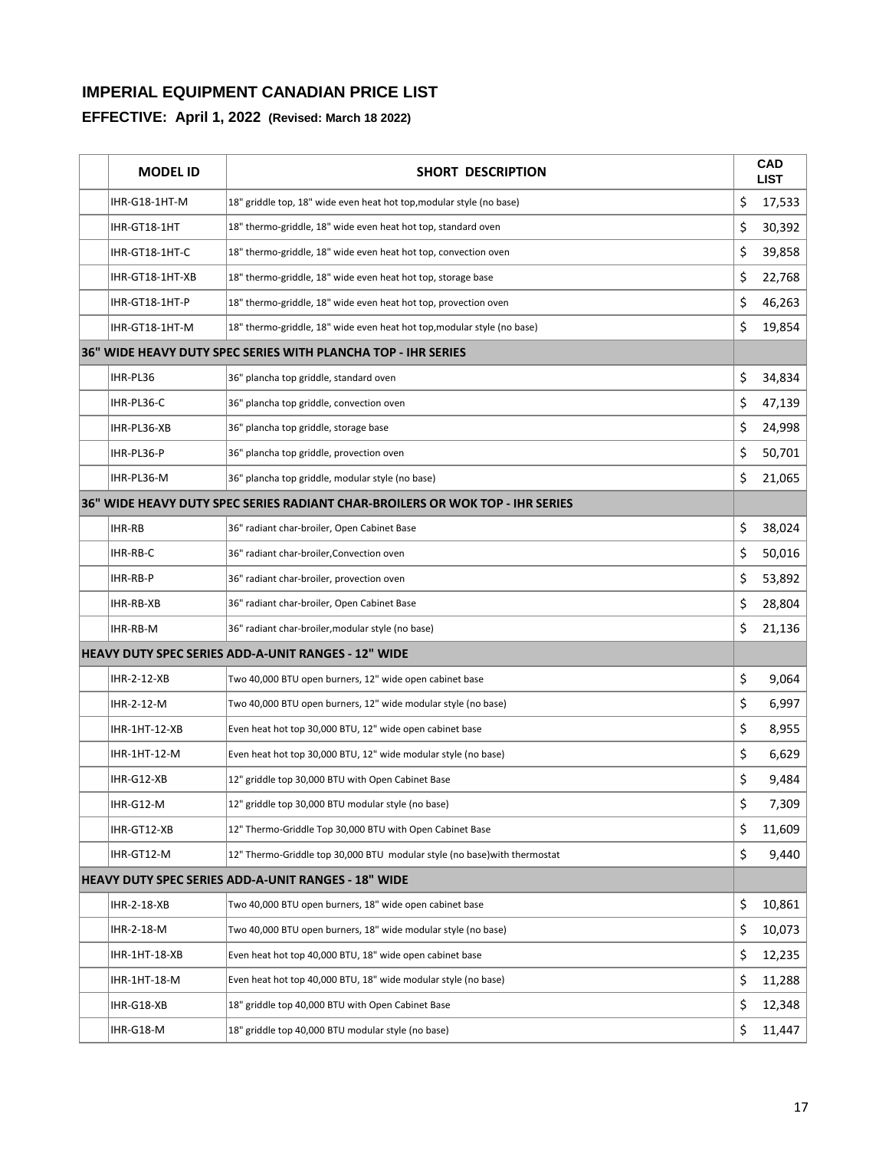| <b>MODEL ID</b> | <b>SHORT DESCRIPTION</b>                                                      |    | <b>CAD</b><br><b>LIST</b> |
|-----------------|-------------------------------------------------------------------------------|----|---------------------------|
| IHR-G18-1HT-M   | 18" griddle top, 18" wide even heat hot top, modular style (no base)          | \$ | 17,533                    |
| IHR-GT18-1HT    | 18" thermo-griddle, 18" wide even heat hot top, standard oven                 | \$ | 30,392                    |
| IHR-GT18-1HT-C  | 18" thermo-griddle, 18" wide even heat hot top, convection oven               | \$ | 39,858                    |
| IHR-GT18-1HT-XB | 18" thermo-griddle, 18" wide even heat hot top, storage base                  | \$ | 22,768                    |
| IHR-GT18-1HT-P  | 18" thermo-griddle, 18" wide even heat hot top, provection oven               | \$ | 46,263                    |
| IHR-GT18-1HT-M  | 18" thermo-griddle, 18" wide even heat hot top, modular style (no base)       | \$ | 19,854                    |
|                 | 36" WIDE HEAVY DUTY SPEC SERIES WITH PLANCHA TOP - IHR SERIES                 |    |                           |
| IHR-PL36        | 36" plancha top griddle, standard oven                                        | \$ | 34,834                    |
| IHR-PL36-C      | 36" plancha top griddle, convection oven                                      | \$ | 47,139                    |
| IHR-PL36-XB     | 36" plancha top griddle, storage base                                         | \$ | 24,998                    |
| IHR-PL36-P      | 36" plancha top griddle, provection oven                                      | \$ | 50,701                    |
| IHR-PL36-M      | 36" plancha top griddle, modular style (no base)                              | \$ | 21,065                    |
|                 | 36" WIDE HEAVY DUTY SPEC SERIES RADIANT CHAR-BROILERS OR WOK TOP - IHR SERIES |    |                           |
| <b>IHR-RB</b>   | 36" radiant char-broiler, Open Cabinet Base                                   | \$ | 38,024                    |
| IHR-RB-C        | 36" radiant char-broiler, Convection oven                                     | \$ | 50,016                    |
| IHR-RB-P        | 36" radiant char-broiler, provection oven                                     | \$ | 53,892                    |
| IHR-RB-XB       | 36" radiant char-broiler, Open Cabinet Base                                   | \$ | 28,804                    |
| IHR-RB-M        | 36" radiant char-broiler, modular style (no base)                             | \$ | 21,136                    |
|                 | <b>HEAVY DUTY SPEC SERIES ADD-A-UNIT RANGES - 12" WIDE</b>                    |    |                           |
| IHR-2-12-XB     | Two 40,000 BTU open burners, 12" wide open cabinet base                       | \$ | 9,064                     |
| IHR-2-12-M      | Two 40,000 BTU open burners, 12" wide modular style (no base)                 | \$ | 6,997                     |
| IHR-1HT-12-XB   | Even heat hot top 30,000 BTU, 12" wide open cabinet base                      | \$ | 8,955                     |
| IHR-1HT-12-M    | Even heat hot top 30,000 BTU, 12" wide modular style (no base)                | \$ | 6,629                     |
| IHR-G12-XB      | 12" griddle top 30,000 BTU with Open Cabinet Base                             | \$ | 9,484                     |
| IHR-G12-M       | 12" griddle top 30,000 BTU modular style (no base)                            | Ş  | 7,309                     |
| IHR-GT12-XB     | 12" Thermo-Griddle Top 30,000 BTU with Open Cabinet Base                      | \$ | 11,609                    |
| IHR-GT12-M      | 12" Thermo-Griddle top 30,000 BTU modular style (no base) with thermostat     | \$ | 9,440                     |
|                 | HEAVY DUTY SPEC SERIES ADD-A-UNIT RANGES - 18" WIDE                           |    |                           |
| IHR-2-18-XB     | Two 40,000 BTU open burners, 18" wide open cabinet base                       | \$ | 10,861                    |
| IHR-2-18-M      | Two 40,000 BTU open burners, 18" wide modular style (no base)                 | \$ | 10,073                    |
| IHR-1HT-18-XB   | Even heat hot top 40,000 BTU, 18" wide open cabinet base                      | \$ | 12,235                    |
| IHR-1HT-18-M    | Even heat hot top 40,000 BTU, 18" wide modular style (no base)                | \$ | 11,288                    |
| IHR-G18-XB      | 18" griddle top 40,000 BTU with Open Cabinet Base                             | \$ | 12,348                    |
| IHR-G18-M       | 18" griddle top 40,000 BTU modular style (no base)                            | \$ | 11,447                    |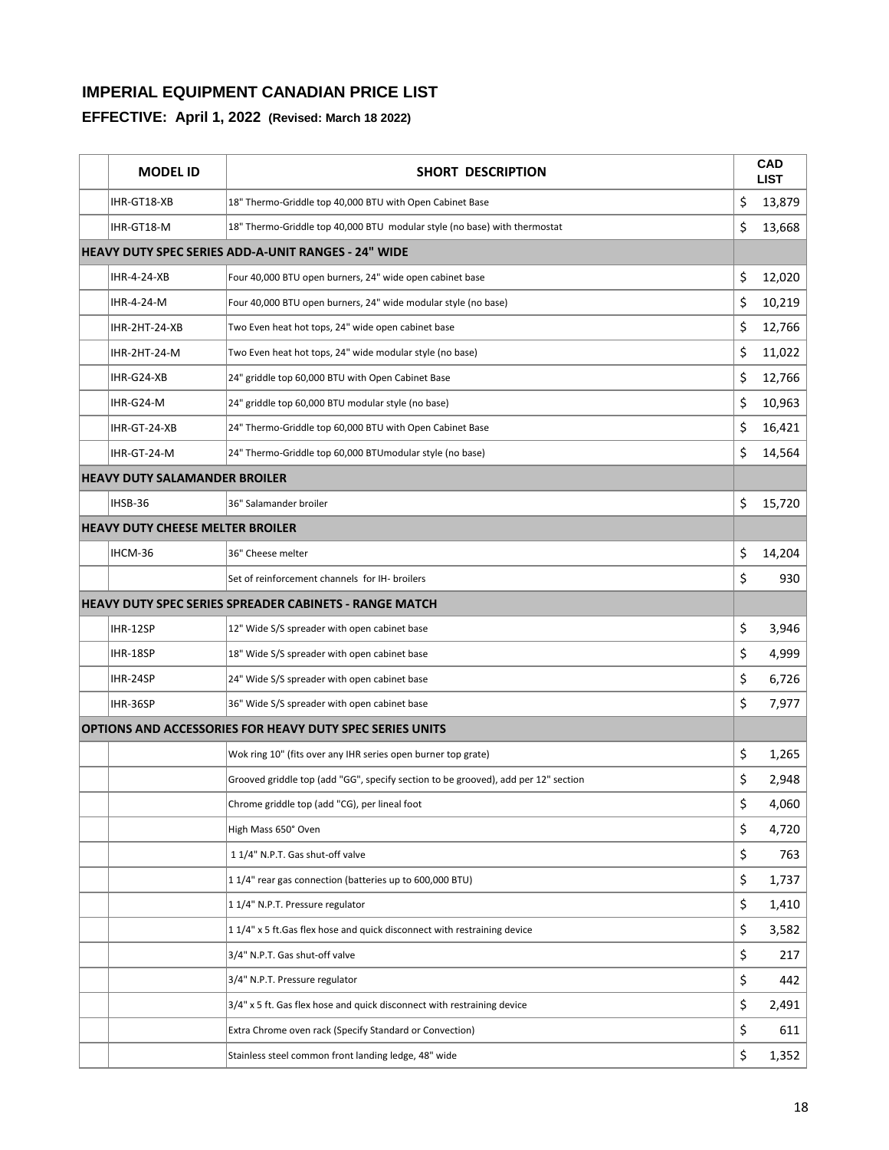|                                                               | <b>MODEL ID</b>                         | SHORT DESCRIPTION                                                                  | <b>CAD</b><br><b>LIST</b> |
|---------------------------------------------------------------|-----------------------------------------|------------------------------------------------------------------------------------|---------------------------|
|                                                               | IHR-GT18-XB                             | 18" Thermo-Griddle top 40,000 BTU with Open Cabinet Base                           | \$<br>13,879              |
|                                                               | IHR-GT18-M                              | 18" Thermo-Griddle top 40,000 BTU modular style (no base) with thermostat          | \$<br>13,668              |
|                                                               |                                         | <b>HEAVY DUTY SPEC SERIES ADD-A-UNIT RANGES - 24" WIDE</b>                         |                           |
|                                                               | <b>IHR-4-24-XB</b>                      | Four 40,000 BTU open burners, 24" wide open cabinet base                           | \$<br>12,020              |
|                                                               | IHR-4-24-M                              | Four 40,000 BTU open burners, 24" wide modular style (no base)                     | \$<br>10,219              |
|                                                               | IHR-2HT-24-XB                           | Two Even heat hot tops, 24" wide open cabinet base                                 | \$<br>12,766              |
|                                                               | IHR-2HT-24-M                            | Two Even heat hot tops, 24" wide modular style (no base)                           | \$<br>11,022              |
|                                                               | IHR-G24-XB                              | 24" griddle top 60,000 BTU with Open Cabinet Base                                  | \$<br>12,766              |
|                                                               | IHR-G24-M                               | 24" griddle top 60,000 BTU modular style (no base)                                 | \$<br>10,963              |
|                                                               | IHR-GT-24-XB                            | 24" Thermo-Griddle top 60,000 BTU with Open Cabinet Base                           | \$<br>16,421              |
|                                                               | IHR-GT-24-M                             | 24" Thermo-Griddle top 60,000 BTUmodular style (no base)                           | \$<br>14,564              |
|                                                               | <b>HEAVY DUTY SALAMANDER BROILER</b>    |                                                                                    |                           |
|                                                               | IHSB-36                                 | 36" Salamander broiler                                                             | \$<br>15,720              |
|                                                               | <b>HEAVY DUTY CHEESE MELTER BROILER</b> |                                                                                    |                           |
|                                                               | IHCM-36                                 | 36" Cheese melter                                                                  | \$<br>14,204              |
|                                                               |                                         | Set of reinforcement channels for IH- broilers                                     | \$<br>930                 |
| <b>HEAVY DUTY SPEC SERIES SPREADER CABINETS - RANGE MATCH</b> |                                         |                                                                                    |                           |
|                                                               | IHR-12SP                                | 12" Wide S/S spreader with open cabinet base                                       | \$<br>3,946               |
|                                                               | IHR-18SP                                | 18" Wide S/S spreader with open cabinet base                                       | \$<br>4,999               |
|                                                               | IHR-24SP                                | 24" Wide S/S spreader with open cabinet base                                       | \$<br>6,726               |
|                                                               | IHR-36SP                                | 36" Wide S/S spreader with open cabinet base                                       | \$<br>7,977               |
|                                                               |                                         | OPTIONS AND ACCESSORIES FOR HEAVY DUTY SPEC SERIES UNITS                           |                           |
|                                                               |                                         | Wok ring 10" (fits over any IHR series open burner top grate)                      | \$<br>1,265               |
|                                                               |                                         | Grooved griddle top (add "GG", specify section to be grooved), add per 12" section | \$<br>2,948               |
|                                                               |                                         | Chrome griddle top (add "CG), per lineal foot                                      | \$<br>4,060               |
|                                                               |                                         | High Mass 650° Oven                                                                | \$<br>4,720               |
|                                                               |                                         | 1 1/4" N.P.T. Gas shut-off valve                                                   | \$<br>763                 |
|                                                               |                                         | 11/4" rear gas connection (batteries up to 600,000 BTU)                            | \$<br>1,737               |
|                                                               |                                         | 1 1/4" N.P.T. Pressure regulator                                                   | \$<br>1,410               |
|                                                               |                                         | 11/4" x 5 ft. Gas flex hose and quick disconnect with restraining device           | \$<br>3,582               |
|                                                               |                                         | 3/4" N.P.T. Gas shut-off valve                                                     | \$<br>217                 |
|                                                               |                                         | 3/4" N.P.T. Pressure regulator                                                     | \$<br>442                 |
|                                                               |                                         | 3/4" x 5 ft. Gas flex hose and quick disconnect with restraining device            | \$<br>2,491               |
|                                                               |                                         | Extra Chrome oven rack (Specify Standard or Convection)                            | \$<br>611                 |
|                                                               |                                         | Stainless steel common front landing ledge, 48" wide                               | \$<br>1,352               |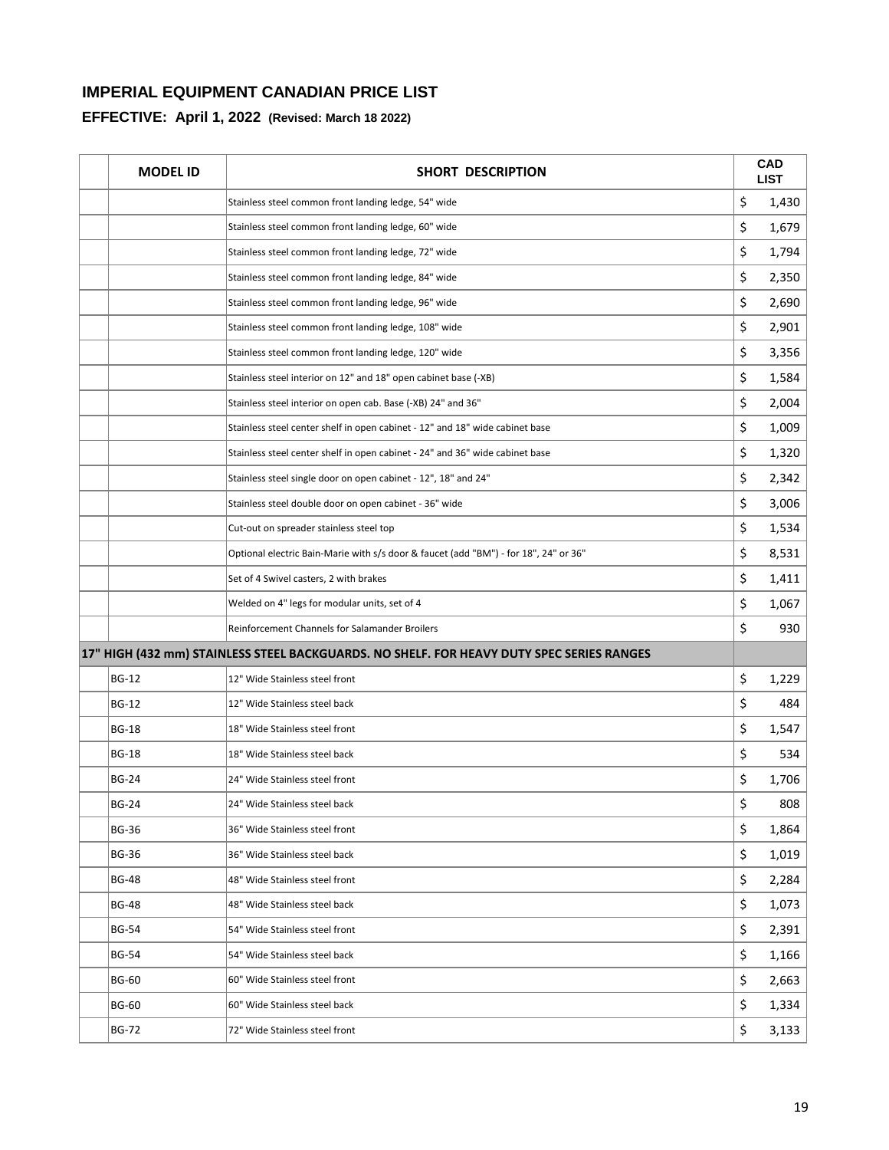| <b>MODEL ID</b> | <b>SHORT DESCRIPTION</b>                                                                  | <b>CAD</b><br><b>LIST</b> |
|-----------------|-------------------------------------------------------------------------------------------|---------------------------|
|                 | Stainless steel common front landing ledge, 54" wide                                      | \$<br>1,430               |
|                 | Stainless steel common front landing ledge, 60" wide                                      | \$<br>1,679               |
|                 | Stainless steel common front landing ledge, 72" wide                                      | \$<br>1,794               |
|                 | Stainless steel common front landing ledge, 84" wide                                      | \$<br>2,350               |
|                 | Stainless steel common front landing ledge, 96" wide                                      | \$<br>2,690               |
|                 | Stainless steel common front landing ledge, 108" wide                                     | \$<br>2,901               |
|                 | Stainless steel common front landing ledge, 120" wide                                     | \$<br>3,356               |
|                 | Stainless steel interior on 12" and 18" open cabinet base (-XB)                           | \$<br>1,584               |
|                 | Stainless steel interior on open cab. Base (-XB) 24" and 36"                              | \$<br>2,004               |
|                 | Stainless steel center shelf in open cabinet - 12" and 18" wide cabinet base              | \$<br>1,009               |
|                 | Stainless steel center shelf in open cabinet - 24" and 36" wide cabinet base              | \$<br>1,320               |
|                 | Stainless steel single door on open cabinet - 12", 18" and 24"                            | \$<br>2,342               |
|                 | Stainless steel double door on open cabinet - 36" wide                                    | \$<br>3,006               |
|                 | Cut-out on spreader stainless steel top                                                   | \$<br>1,534               |
|                 | Optional electric Bain-Marie with s/s door & faucet (add "BM") - for 18", 24" or 36"      | \$<br>8,531               |
|                 | Set of 4 Swivel casters, 2 with brakes                                                    | \$<br>1,411               |
|                 | Welded on 4" legs for modular units, set of 4                                             | \$<br>1,067               |
|                 | Reinforcement Channels for Salamander Broilers                                            | \$<br>930                 |
|                 | 17" HIGH (432 mm) STAINLESS STEEL BACKGUARDS. NO SHELF. FOR HEAVY DUTY SPEC SERIES RANGES |                           |
| <b>BG-12</b>    | 12" Wide Stainless steel front                                                            | \$<br>1,229               |
| <b>BG-12</b>    | 12" Wide Stainless steel back                                                             | \$<br>484                 |
| <b>BG-18</b>    | 18" Wide Stainless steel front                                                            | \$<br>1,547               |
| <b>BG-18</b>    | 18" Wide Stainless steel back                                                             | \$<br>534                 |
| <b>BG-24</b>    | 24" Wide Stainless steel front                                                            | \$<br>1,706               |
| BG-24           | 24" Wide Stainless steel back                                                             | \$<br>808                 |
| <b>BG-36</b>    | 36" Wide Stainless steel front                                                            | \$<br>1,864               |
| <b>BG-36</b>    | 36" Wide Stainless steel back                                                             | \$<br>1,019               |
| <b>BG-48</b>    | 48" Wide Stainless steel front                                                            | \$<br>2,284               |
| <b>BG-48</b>    | 48" Wide Stainless steel back                                                             | \$<br>1,073               |
| <b>BG-54</b>    | 54" Wide Stainless steel front                                                            | \$<br>2,391               |
| <b>BG-54</b>    | 54" Wide Stainless steel back                                                             | \$<br>1,166               |
| <b>BG-60</b>    | 60" Wide Stainless steel front                                                            | \$<br>2,663               |
| <b>BG-60</b>    | 60" Wide Stainless steel back                                                             | \$<br>1,334               |
| <b>BG-72</b>    | 72" Wide Stainless steel front                                                            | \$<br>3,133               |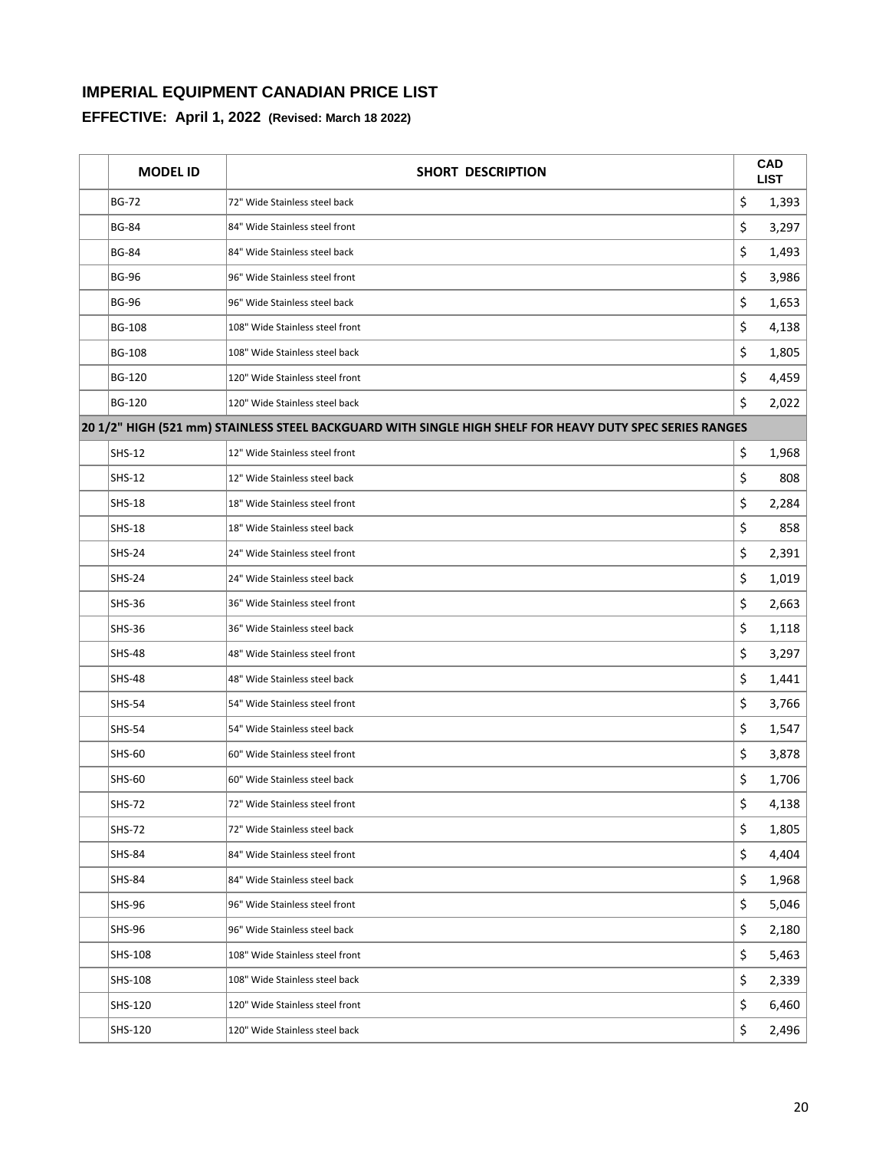| <b>MODEL ID</b> | SHORT DESCRIPTION                                                                                        |    | <b>CAD</b><br><b>LIST</b> |
|-----------------|----------------------------------------------------------------------------------------------------------|----|---------------------------|
| <b>BG-72</b>    | 72" Wide Stainless steel back                                                                            | \$ | 1,393                     |
| <b>BG-84</b>    | 84" Wide Stainless steel front                                                                           | \$ | 3,297                     |
| <b>BG-84</b>    | 84" Wide Stainless steel back                                                                            | \$ | 1,493                     |
| <b>BG-96</b>    | 96" Wide Stainless steel front                                                                           | \$ | 3,986                     |
| <b>BG-96</b>    | 96" Wide Stainless steel back                                                                            | \$ | 1,653                     |
| <b>BG-108</b>   | 108" Wide Stainless steel front                                                                          | \$ | 4,138                     |
| <b>BG-108</b>   | 108" Wide Stainless steel back                                                                           | \$ | 1,805                     |
| <b>BG-120</b>   | 120" Wide Stainless steel front                                                                          | \$ | 4,459                     |
| <b>BG-120</b>   | 120" Wide Stainless steel back                                                                           | \$ | 2,022                     |
|                 | 20 1/2" HIGH (521 mm) STAINLESS STEEL BACKGUARD WITH SINGLE HIGH SHELF FOR HEAVY DUTY SPEC SERIES RANGES |    |                           |
| SHS-12          | 12" Wide Stainless steel front                                                                           | \$ | 1,968                     |
| <b>SHS-12</b>   | 12" Wide Stainless steel back                                                                            | \$ | 808                       |
| <b>SHS-18</b>   | 18" Wide Stainless steel front                                                                           | \$ | 2,284                     |
| <b>SHS-18</b>   | 18" Wide Stainless steel back                                                                            | \$ | 858                       |
| <b>SHS-24</b>   | 24" Wide Stainless steel front                                                                           | \$ | 2,391                     |
| <b>SHS-24</b>   | 24" Wide Stainless steel back                                                                            | \$ | 1,019                     |
| <b>SHS-36</b>   | 36" Wide Stainless steel front                                                                           | \$ | 2,663                     |
| <b>SHS-36</b>   | 36" Wide Stainless steel back                                                                            | \$ | 1,118                     |
| <b>SHS-48</b>   | 48" Wide Stainless steel front                                                                           | \$ | 3,297                     |
| <b>SHS-48</b>   | 48" Wide Stainless steel back                                                                            | \$ | 1,441                     |
| <b>SHS-54</b>   | 54" Wide Stainless steel front                                                                           | \$ | 3,766                     |
| <b>SHS-54</b>   | 54" Wide Stainless steel back                                                                            | \$ | 1,547                     |
| <b>SHS-60</b>   | 60" Wide Stainless steel front                                                                           | \$ | 3,878                     |
| <b>SHS-60</b>   | 60" Wide Stainless steel back                                                                            | \$ | 1,706                     |
| <b>SHS-72</b>   | 72" Wide Stainless steel front                                                                           | Ş  | 4,138                     |
| <b>SHS-72</b>   | 72" Wide Stainless steel back                                                                            | \$ | 1,805                     |
| <b>SHS-84</b>   | 84" Wide Stainless steel front                                                                           | \$ | 4,404                     |
| <b>SHS-84</b>   | 84" Wide Stainless steel back                                                                            | \$ | 1,968                     |
| <b>SHS-96</b>   | 96" Wide Stainless steel front                                                                           | \$ | 5,046                     |
| SHS-96          | 96" Wide Stainless steel back                                                                            | \$ | 2,180                     |
| SHS-108         | 108" Wide Stainless steel front                                                                          | \$ | 5,463                     |
| SHS-108         | 108" Wide Stainless steel back                                                                           | \$ | 2,339                     |
| SHS-120         | 120" Wide Stainless steel front                                                                          | \$ | 6,460                     |
| SHS-120         | 120" Wide Stainless steel back                                                                           | \$ | 2,496                     |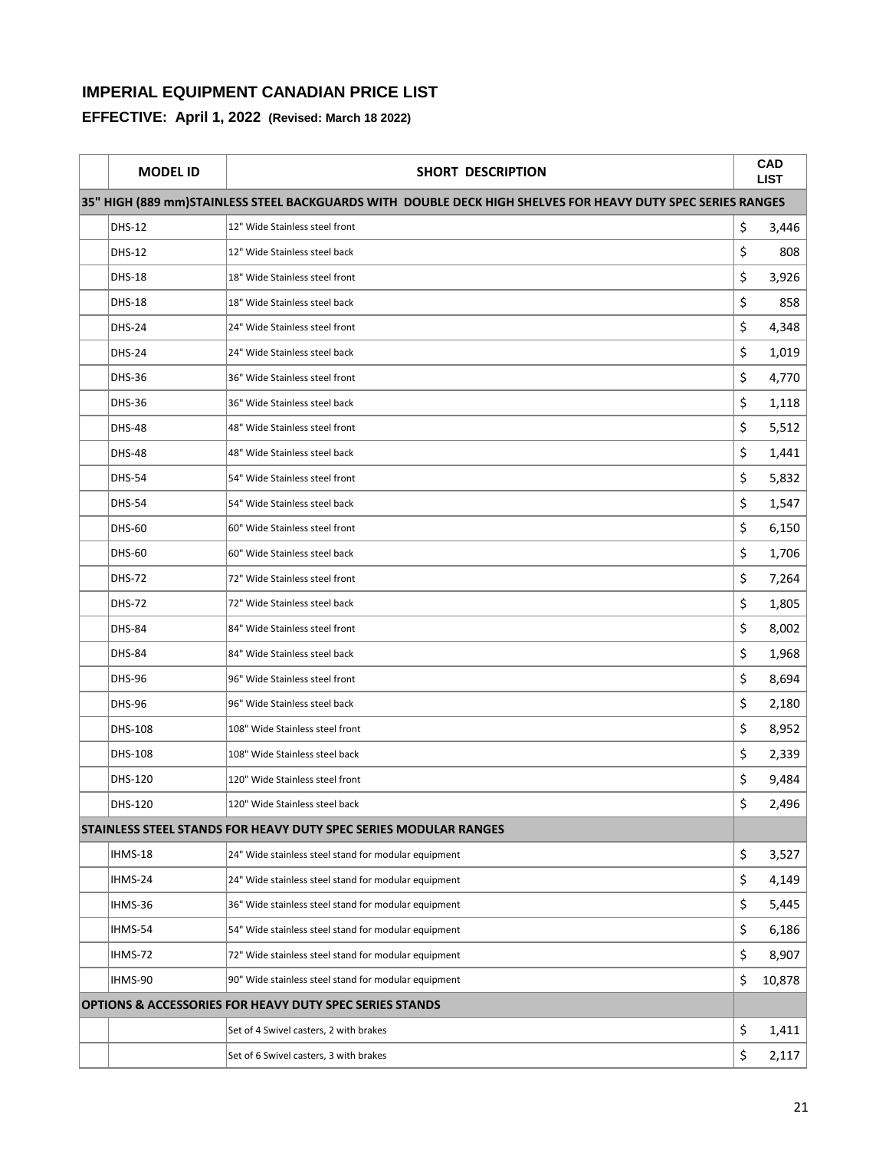| <b>MODEL ID</b> | <b>SHORT DESCRIPTION</b>                                                                                    |    | <b>CAD</b><br><b>LIST</b> |
|-----------------|-------------------------------------------------------------------------------------------------------------|----|---------------------------|
|                 | 35" HIGH (889 mm)STAINLESS STEEL BACKGUARDS WITH DOUBLE DECK HIGH SHELVES FOR HEAVY DUTY SPEC SERIES RANGES |    |                           |
| <b>DHS-12</b>   | 12" Wide Stainless steel front                                                                              | \$ | 3,446                     |
| <b>DHS-12</b>   | 12" Wide Stainless steel back                                                                               | \$ | 808                       |
| <b>DHS-18</b>   | 18" Wide Stainless steel front                                                                              | \$ | 3,926                     |
| <b>DHS-18</b>   | 18" Wide Stainless steel back                                                                               | \$ | 858                       |
| <b>DHS-24</b>   | 24" Wide Stainless steel front                                                                              | \$ | 4,348                     |
| <b>DHS-24</b>   | 24" Wide Stainless steel back                                                                               | \$ | 1,019                     |
| <b>DHS-36</b>   | 36" Wide Stainless steel front                                                                              | \$ | 4,770                     |
| <b>DHS-36</b>   | 36" Wide Stainless steel back                                                                               | \$ | 1,118                     |
| <b>DHS-48</b>   | 48" Wide Stainless steel front                                                                              | \$ | 5,512                     |
| <b>DHS-48</b>   | 48" Wide Stainless steel back                                                                               | \$ | 1,441                     |
| <b>DHS-54</b>   | 54" Wide Stainless steel front                                                                              | \$ | 5,832                     |
| <b>DHS-54</b>   | 54" Wide Stainless steel back                                                                               | \$ | 1,547                     |
| <b>DHS-60</b>   | 60" Wide Stainless steel front                                                                              | \$ | 6,150                     |
| <b>DHS-60</b>   | 60" Wide Stainless steel back                                                                               | \$ | 1,706                     |
| <b>DHS-72</b>   | 72" Wide Stainless steel front                                                                              | \$ | 7,264                     |
| <b>DHS-72</b>   | 72" Wide Stainless steel back                                                                               | \$ | 1,805                     |
| <b>DHS-84</b>   | 84" Wide Stainless steel front                                                                              | \$ | 8,002                     |
| <b>DHS-84</b>   | 84" Wide Stainless steel back                                                                               | \$ | 1,968                     |
| <b>DHS-96</b>   | 96" Wide Stainless steel front                                                                              | \$ | 8,694                     |
| <b>DHS-96</b>   | 96" Wide Stainless steel back                                                                               | \$ | 2,180                     |
| DHS-108         | 108" Wide Stainless steel front                                                                             | \$ | 8,952                     |
| DHS-108         | 108" Wide Stainless steel back                                                                              | \$ | 2,339                     |
| DHS-120         | 120" Wide Stainless steel front                                                                             | \$ | 9,484                     |
| DHS-120         | 120" Wide Stainless steel back                                                                              | Ş  | 2,496                     |
|                 | STAINLESS STEEL STANDS FOR HEAVY DUTY SPEC SERIES MODULAR RANGES                                            |    |                           |
| IHMS-18         | 24" Wide stainless steel stand for modular equipment                                                        | \$ | 3,527                     |
| IHMS-24         | 24" Wide stainless steel stand for modular equipment                                                        | \$ | 4,149                     |
| IHMS-36         | 36" Wide stainless steel stand for modular equipment                                                        | \$ | 5,445                     |
| IHMS-54         | 54" Wide stainless steel stand for modular equipment                                                        | \$ | 6,186                     |
| IHMS-72         | 72" Wide stainless steel stand for modular equipment                                                        | \$ | 8,907                     |
| IHMS-90         | 90" Wide stainless steel stand for modular equipment                                                        | \$ | 10,878                    |
|                 | <b>OPTIONS &amp; ACCESSORIES FOR HEAVY DUTY SPEC SERIES STANDS</b>                                          |    |                           |
|                 | Set of 4 Swivel casters, 2 with brakes                                                                      | \$ | 1,411                     |
|                 | Set of 6 Swivel casters, 3 with brakes                                                                      | \$ | 2,117                     |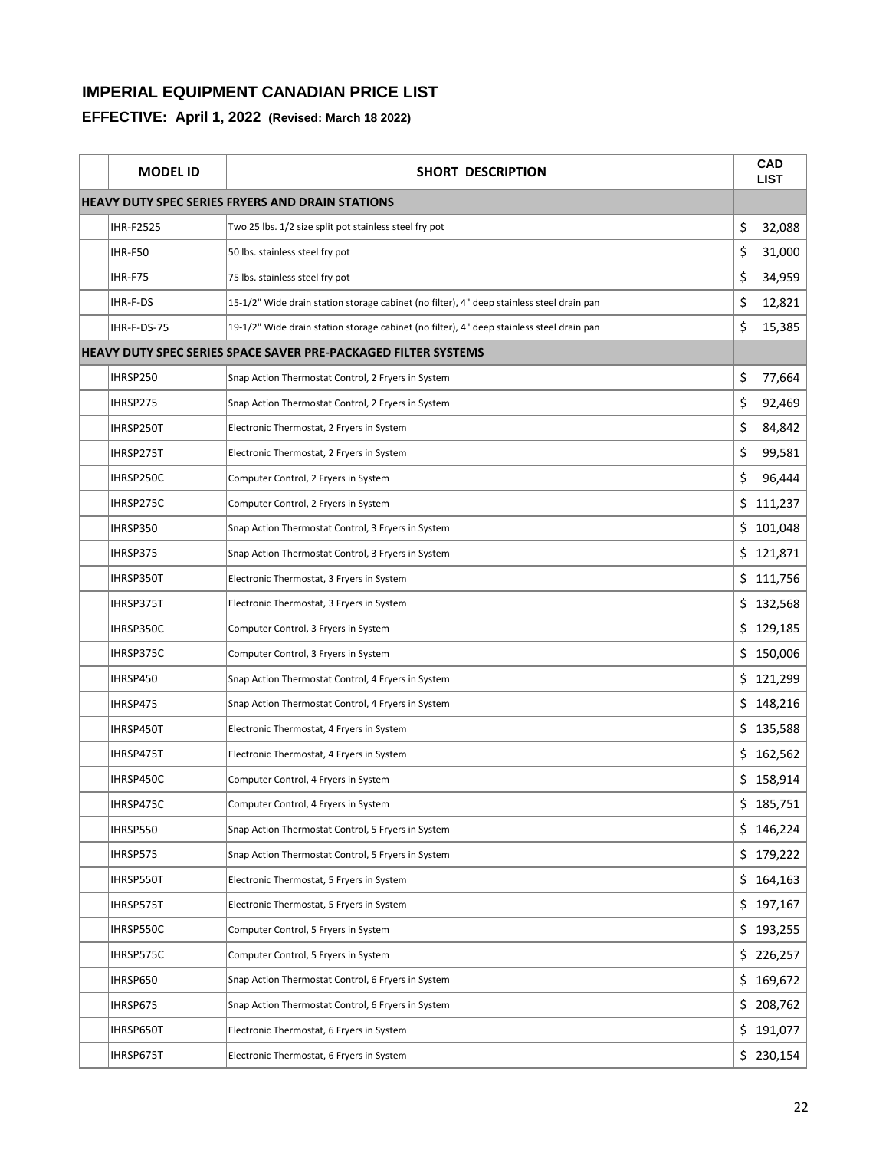| <b>MODEL ID</b>  | <b>SHORT DESCRIPTION</b>                                                                  |     | <b>CAD</b><br><b>LIST</b> |  |
|------------------|-------------------------------------------------------------------------------------------|-----|---------------------------|--|
|                  | <b>HEAVY DUTY SPEC SERIES FRYERS AND DRAIN STATIONS</b>                                   |     |                           |  |
| <b>IHR-F2525</b> | Two 25 lbs. 1/2 size split pot stainless steel fry pot                                    | \$  | 32,088                    |  |
| IHR-F50          | 50 lbs. stainless steel fry pot                                                           | \$  | 31,000                    |  |
| IHR-F75          | 75 lbs. stainless steel fry pot                                                           | \$  | 34,959                    |  |
| IHR-F-DS         | 15-1/2" Wide drain station storage cabinet (no filter), 4" deep stainless steel drain pan | \$  | 12,821                    |  |
| IHR-F-DS-75      | 19-1/2" Wide drain station storage cabinet (no filter), 4" deep stainless steel drain pan | \$  | 15,385                    |  |
|                  | <b>HEAVY DUTY SPEC SERIES SPACE SAVER PRE-PACKAGED FILTER SYSTEMS</b>                     |     |                           |  |
| IHRSP250         | Snap Action Thermostat Control, 2 Fryers in System                                        | \$  | 77,664                    |  |
| IHRSP275         | Snap Action Thermostat Control, 2 Fryers in System                                        | \$  | 92,469                    |  |
| IHRSP250T        | Electronic Thermostat, 2 Fryers in System                                                 | \$  | 84,842                    |  |
| IHRSP275T        | Electronic Thermostat, 2 Fryers in System                                                 | \$  | 99,581                    |  |
| IHRSP250C        | Computer Control, 2 Fryers in System                                                      | \$  | 96,444                    |  |
| IHRSP275C        | Computer Control, 2 Fryers in System                                                      | \$  | 111,237                   |  |
| IHRSP350         | Snap Action Thermostat Control, 3 Fryers in System                                        |     | \$101,048                 |  |
| IHRSP375         | Snap Action Thermostat Control, 3 Fryers in System                                        |     | \$121,871                 |  |
| IHRSP350T        | Electronic Thermostat, 3 Fryers in System                                                 |     | \$111,756                 |  |
| IHRSP375T        | Electronic Thermostat, 3 Fryers in System                                                 |     | \$132,568                 |  |
| IHRSP350C        | Computer Control, 3 Fryers in System                                                      |     | \$129,185                 |  |
| IHRSP375C        | Computer Control, 3 Fryers in System                                                      |     | \$150,006                 |  |
| IHRSP450         | Snap Action Thermostat Control, 4 Fryers in System                                        |     | \$121,299                 |  |
| IHRSP475         | Snap Action Thermostat Control, 4 Fryers in System                                        | \$  | 148,216                   |  |
| IHRSP450T        | Electronic Thermostat, 4 Fryers in System                                                 | \$  | 135,588                   |  |
| IHRSP475T        | Electronic Thermostat, 4 Fryers in System                                                 |     | \$162,562                 |  |
| IHRSP450C        | Computer Control, 4 Fryers in System                                                      |     | \$158,914                 |  |
| IHRSP475C        | Computer Control, 4 Fryers in System                                                      |     | 185,751                   |  |
| IHRSP550         | Snap Action Thermostat Control, 5 Fryers in System                                        |     | \$146,224                 |  |
| IHRSP575         | Snap Action Thermostat Control, 5 Fryers in System                                        | \$  | 179,222                   |  |
| IHRSP550T        | Electronic Thermostat, 5 Fryers in System                                                 | \$. | 164,163                   |  |
| IHRSP575T        | Electronic Thermostat, 5 Fryers in System                                                 | \$  | 197,167                   |  |
| IHRSP550C        | Computer Control, 5 Fryers in System                                                      | \$  | 193,255                   |  |
| IHRSP575C        | Computer Control, 5 Fryers in System                                                      |     | \$226,257                 |  |
| IHRSP650         | Snap Action Thermostat Control, 6 Fryers in System                                        | \$  | 169,672                   |  |
| IHRSP675         | Snap Action Thermostat Control, 6 Fryers in System                                        |     | \$208,762                 |  |
| IHRSP650T        | Electronic Thermostat, 6 Fryers in System                                                 | \$  | 191,077                   |  |
| IHRSP675T        | Electronic Thermostat, 6 Fryers in System                                                 |     | \$230,154                 |  |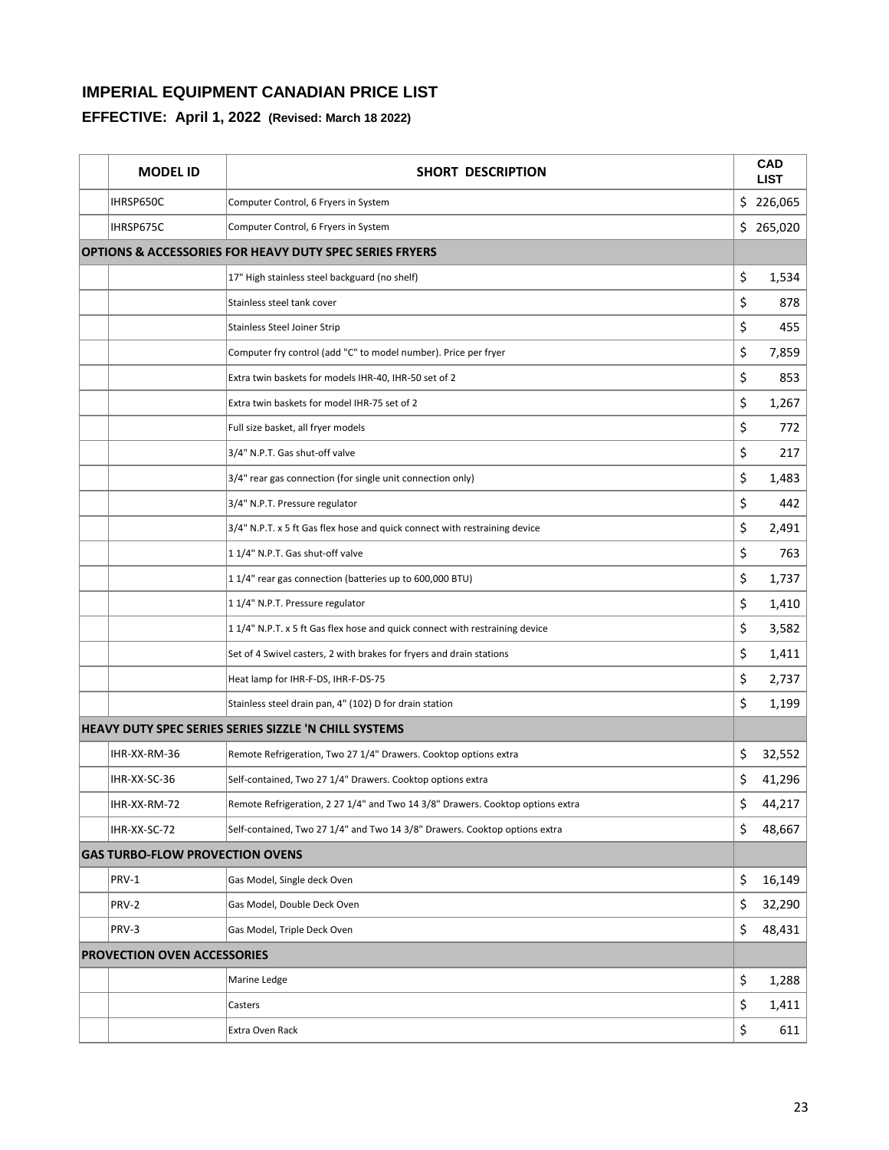| <b>MODEL ID</b>                        | SHORT DESCRIPTION                                                              |    | <b>CAD</b><br><b>LIST</b> |
|----------------------------------------|--------------------------------------------------------------------------------|----|---------------------------|
| IHRSP650C                              | Computer Control, 6 Fryers in System                                           |    | \$226,065                 |
| IHRSP675C                              | Computer Control, 6 Fryers in System                                           |    | \$265,020                 |
|                                        | <b>OPTIONS &amp; ACCESSORIES FOR HEAVY DUTY SPEC SERIES FRYERS</b>             |    |                           |
|                                        | 17" High stainless steel backguard (no shelf)                                  | \$ | 1,534                     |
|                                        | Stainless steel tank cover                                                     | \$ | 878                       |
|                                        | <b>Stainless Steel Joiner Strip</b>                                            | \$ | 455                       |
|                                        | Computer fry control (add "C" to model number). Price per fryer                | \$ | 7,859                     |
|                                        | Extra twin baskets for models IHR-40, IHR-50 set of 2                          | \$ | 853                       |
|                                        | Extra twin baskets for model IHR-75 set of 2                                   | \$ | 1,267                     |
|                                        | Full size basket, all fryer models                                             | \$ | 772                       |
|                                        | 3/4" N.P.T. Gas shut-off valve                                                 | \$ | 217                       |
|                                        | 3/4" rear gas connection (for single unit connection only)                     | \$ | 1,483                     |
|                                        | 3/4" N.P.T. Pressure regulator                                                 | \$ | 442                       |
|                                        | 3/4" N.P.T. x 5 ft Gas flex hose and quick connect with restraining device     | \$ | 2,491                     |
|                                        | 1 1/4" N.P.T. Gas shut-off valve                                               | \$ | 763                       |
|                                        | 11/4" rear gas connection (batteries up to 600,000 BTU)                        | \$ | 1,737                     |
|                                        | 11/4" N.P.T. Pressure regulator                                                | \$ | 1,410                     |
|                                        | 11/4" N.P.T. x 5 ft Gas flex hose and quick connect with restraining device    | \$ | 3,582                     |
|                                        | Set of 4 Swivel casters, 2 with brakes for fryers and drain stations           | \$ | 1,411                     |
|                                        | Heat lamp for IHR-F-DS, IHR-F-DS-75                                            | \$ | 2,737                     |
|                                        | Stainless steel drain pan, 4" (102) D for drain station                        | \$ | 1,199                     |
|                                        | HEAVY DUTY SPEC SERIES SERIES SIZZLE 'N CHILL SYSTEMS                          |    |                           |
| IHR-XX-RM-36                           | Remote Refrigeration, Two 27 1/4" Drawers. Cooktop options extra               | \$ | 32,552                    |
| IHR-XX-SC-36                           | Self-contained, Two 27 1/4" Drawers. Cooktop options extra                     | \$ | 41,296                    |
| IHR-XX-RM-72                           | Remote Refrigeration, 2 27 1/4" and Two 14 3/8" Drawers. Cooktop options extra | Ş  | 44,217                    |
| IHR-XX-SC-72                           | Self-contained, Two 27 1/4" and Two 14 3/8" Drawers. Cooktop options extra     | \$ | 48,667                    |
| <b>GAS TURBO-FLOW PROVECTION OVENS</b> |                                                                                |    |                           |
| PRV-1                                  | Gas Model, Single deck Oven                                                    | \$ | 16,149                    |
| PRV-2                                  | Gas Model, Double Deck Oven                                                    | \$ | 32,290                    |
| PRV-3                                  | Gas Model, Triple Deck Oven                                                    | \$ | 48,431                    |
| <b>PROVECTION OVEN ACCESSORIES</b>     |                                                                                |    |                           |
|                                        | Marine Ledge                                                                   | \$ | 1,288                     |
|                                        | Casters                                                                        | \$ | 1,411                     |
|                                        | Extra Oven Rack                                                                | \$ | 611                       |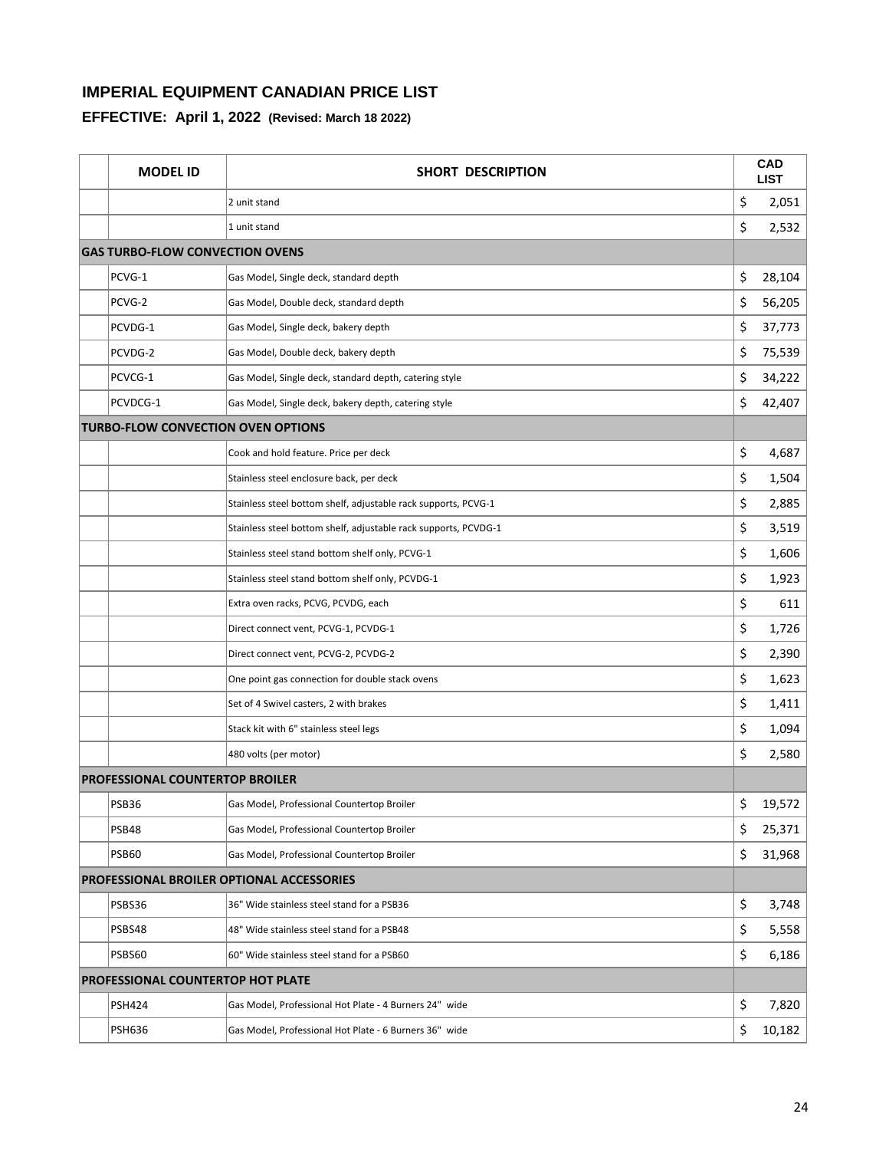| <b>MODEL ID</b>                           | <b>SHORT DESCRIPTION</b>                                        | <b>CAD</b><br><b>LIST</b> |
|-------------------------------------------|-----------------------------------------------------------------|---------------------------|
|                                           | 2 unit stand                                                    | \$<br>2,051               |
|                                           | 1 unit stand                                                    | \$<br>2,532               |
| <b>GAS TURBO-FLOW CONVECTION OVENS</b>    |                                                                 |                           |
| PCVG-1                                    | Gas Model, Single deck, standard depth                          | \$<br>28,104              |
| PCVG-2                                    | Gas Model, Double deck, standard depth                          | \$<br>56,205              |
| PCVDG-1                                   | Gas Model, Single deck, bakery depth                            | \$<br>37,773              |
| PCVDG-2                                   | Gas Model, Double deck, bakery depth                            | \$<br>75,539              |
| PCVCG-1                                   | Gas Model, Single deck, standard depth, catering style          | \$<br>34,222              |
| PCVDCG-1                                  | Gas Model, Single deck, bakery depth, catering style            | \$<br>42,407              |
| <b>TURBO-FLOW CONVECTION OVEN OPTIONS</b> |                                                                 |                           |
|                                           | Cook and hold feature. Price per deck                           | \$<br>4,687               |
|                                           | Stainless steel enclosure back, per deck                        | \$<br>1,504               |
|                                           | Stainless steel bottom shelf, adjustable rack supports, PCVG-1  | \$<br>2,885               |
|                                           | Stainless steel bottom shelf, adjustable rack supports, PCVDG-1 | \$<br>3,519               |
|                                           | Stainless steel stand bottom shelf only, PCVG-1                 | \$<br>1,606               |
|                                           | Stainless steel stand bottom shelf only, PCVDG-1                | \$<br>1,923               |
|                                           | Extra oven racks, PCVG, PCVDG, each                             | \$<br>611                 |
|                                           | Direct connect vent, PCVG-1, PCVDG-1                            | \$<br>1,726               |
|                                           | Direct connect vent, PCVG-2, PCVDG-2                            | \$<br>2,390               |
|                                           | One point gas connection for double stack ovens                 | \$<br>1,623               |
|                                           | Set of 4 Swivel casters, 2 with brakes                          | \$<br>1,411               |
|                                           | Stack kit with 6" stainless steel legs                          | \$<br>1,094               |
|                                           | 480 volts (per motor)                                           | \$<br>2,580               |
| PROFESSIONAL COUNTERTOP BROILER           |                                                                 |                           |
| PSB36                                     | Gas Model, Professional Countertop Broiler                      | \$<br>19,572              |
| PSB48                                     | Gas Model, Professional Countertop Broiler                      | \$<br>25,371              |
| <b>PSB60</b>                              | Gas Model, Professional Countertop Broiler                      | \$<br>31,968              |
|                                           | <b>PROFESSIONAL BROILER OPTIONAL ACCESSORIES</b>                |                           |
| PSBS36                                    | 36" Wide stainless steel stand for a PSB36                      | \$<br>3,748               |
| PSBS48                                    | 48" Wide stainless steel stand for a PSB48                      | \$<br>5,558               |
| PSBS60                                    | 60" Wide stainless steel stand for a PSB60                      | \$<br>6,186               |
| PROFESSIONAL COUNTERTOP HOT PLATE         |                                                                 |                           |
| <b>PSH424</b>                             | Gas Model, Professional Hot Plate - 4 Burners 24" wide          | \$<br>7,820               |
| <b>PSH636</b>                             | Gas Model, Professional Hot Plate - 6 Burners 36" wide          | \$<br>10,182              |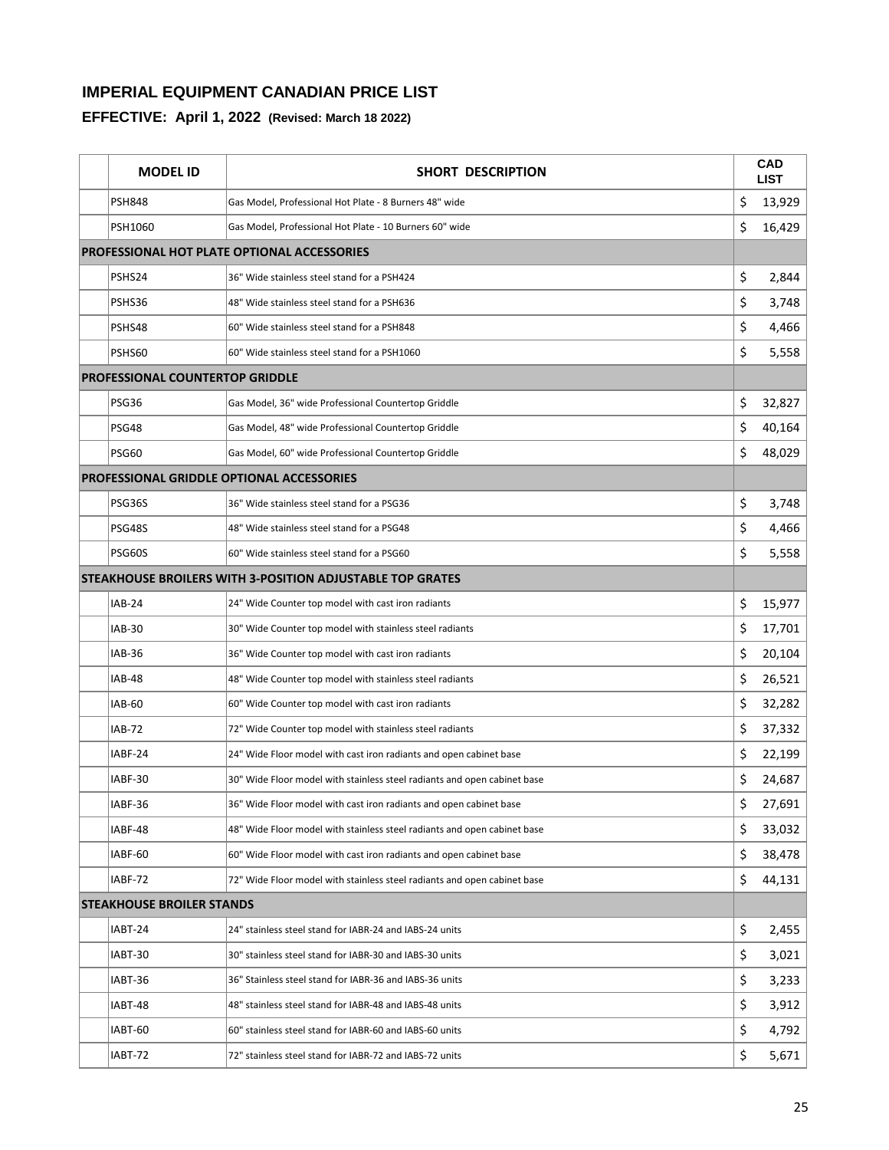| <b>MODEL ID</b>                        | SHORT DESCRIPTION                                                        |    | <b>CAD</b><br><b>LIST</b> |
|----------------------------------------|--------------------------------------------------------------------------|----|---------------------------|
| <b>PSH848</b>                          | Gas Model, Professional Hot Plate - 8 Burners 48" wide                   | \$ | 13,929                    |
| <b>PSH1060</b>                         | Gas Model, Professional Hot Plate - 10 Burners 60" wide                  | \$ | 16,429                    |
|                                        | PROFESSIONAL HOT PLATE OPTIONAL ACCESSORIES                              |    |                           |
| PSHS24                                 | 36" Wide stainless steel stand for a PSH424                              | \$ | 2,844                     |
| PSHS36                                 | 48" Wide stainless steel stand for a PSH636                              | \$ | 3,748                     |
| PSHS48                                 | 60" Wide stainless steel stand for a PSH848                              | \$ | 4,466                     |
| PSHS60                                 | 60" Wide stainless steel stand for a PSH1060                             | \$ | 5,558                     |
| <b>PROFESSIONAL COUNTERTOP GRIDDLE</b> |                                                                          |    |                           |
| PSG36                                  | Gas Model, 36" wide Professional Countertop Griddle                      | \$ | 32,827                    |
| PSG48                                  | Gas Model, 48" wide Professional Countertop Griddle                      | \$ | 40,164                    |
| PSG60                                  | Gas Model, 60" wide Professional Countertop Griddle                      | \$ | 48,029                    |
|                                        | PROFESSIONAL GRIDDLE OPTIONAL ACCESSORIES                                |    |                           |
| PSG36S                                 | 36" Wide stainless steel stand for a PSG36                               | \$ | 3,748                     |
| PSG48S                                 | 48" Wide stainless steel stand for a PSG48                               | \$ | 4,466                     |
| <b>PSG60S</b>                          | 60" Wide stainless steel stand for a PSG60                               | \$ | 5,558                     |
|                                        | STEAKHOUSE BROILERS WITH 3-POSITION ADJUSTABLE TOP GRATES                |    |                           |
| <b>IAB-24</b>                          | 24" Wide Counter top model with cast iron radiants                       | \$ | 15,977                    |
| <b>IAB-30</b>                          | 30" Wide Counter top model with stainless steel radiants                 | \$ | 17,701                    |
| <b>IAB-36</b>                          | 36" Wide Counter top model with cast iron radiants                       | \$ | 20,104                    |
| <b>IAB-48</b>                          | 48" Wide Counter top model with stainless steel radiants                 | \$ | 26,521                    |
| <b>IAB-60</b>                          | 60" Wide Counter top model with cast iron radiants                       | \$ | 32,282                    |
| <b>IAB-72</b>                          | 72" Wide Counter top model with stainless steel radiants                 | \$ | 37,332                    |
| IABF-24                                | 24" Wide Floor model with cast iron radiants and open cabinet base       | \$ | 22,199                    |
| IABF-30                                | 30" Wide Floor model with stainless steel radiants and open cabinet base | \$ | 24,687                    |
| IABF-36                                | 36" Wide Floor model with cast iron radiants and open cabinet base       | Ş  | 27,691                    |
| IABF-48                                | 48" Wide Floor model with stainless steel radiants and open cabinet base | \$ | 33,032                    |
| IABF-60                                | 60" Wide Floor model with cast iron radiants and open cabinet base       | \$ | 38,478                    |
| IABF-72                                | 72" Wide Floor model with stainless steel radiants and open cabinet base | \$ | 44,131                    |
| <b>STEAKHOUSE BROILER STANDS</b>       |                                                                          |    |                           |
| IABT-24                                | 24" stainless steel stand for IABR-24 and IABS-24 units                  | \$ | 2,455                     |
| IABT-30                                | 30" stainless steel stand for IABR-30 and IABS-30 units                  | \$ | 3,021                     |
| IABT-36                                | 36" Stainless steel stand for IABR-36 and IABS-36 units                  | \$ | 3,233                     |
| IABT-48                                | 48" stainless steel stand for IABR-48 and IABS-48 units                  | \$ | 3,912                     |
| IABT-60                                | 60" stainless steel stand for IABR-60 and IABS-60 units                  | \$ | 4,792                     |
| IABT-72                                | 72" stainless steel stand for IABR-72 and IABS-72 units                  | \$ | 5,671                     |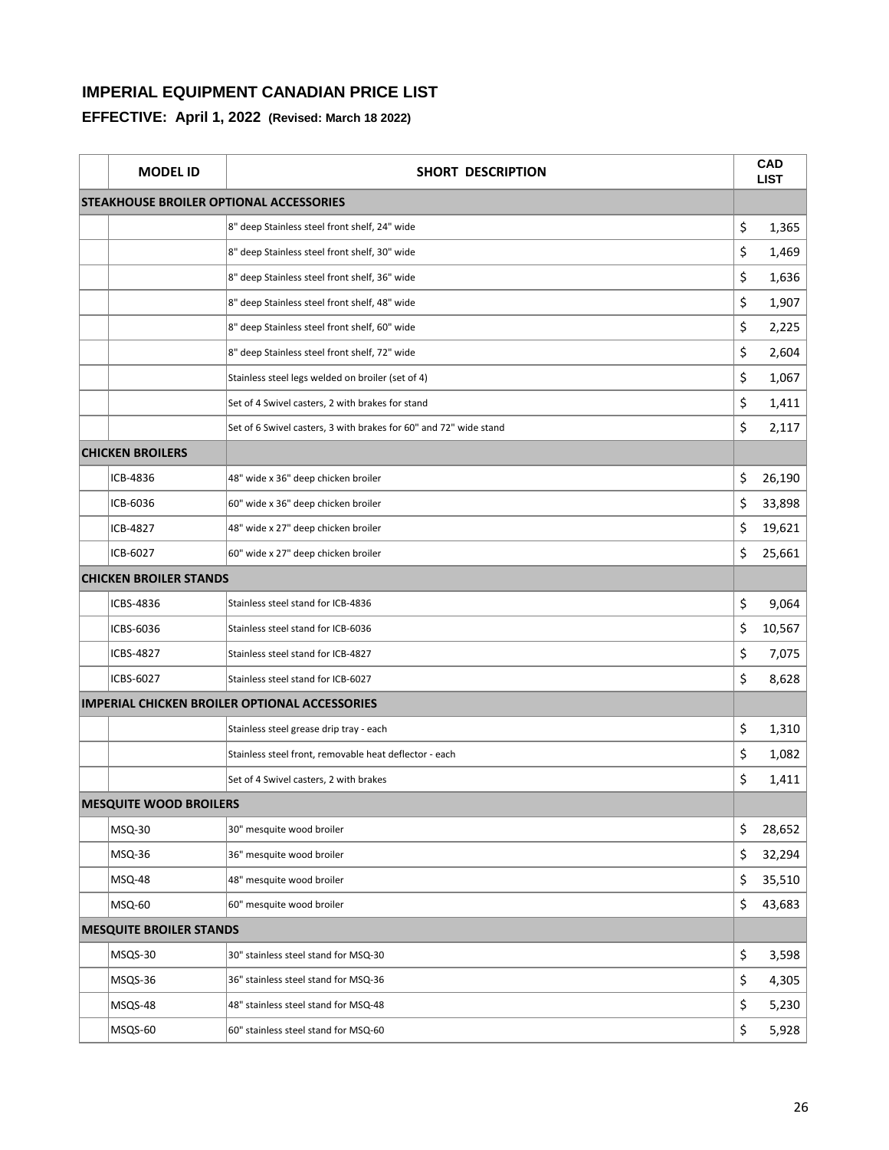| <b>MODEL ID</b>                | SHORT DESCRIPTION                                                 | CAD<br><b>LIST</b> |
|--------------------------------|-------------------------------------------------------------------|--------------------|
|                                | <b>STEAKHOUSE BROILER OPTIONAL ACCESSORIES</b>                    |                    |
|                                | 8" deep Stainless steel front shelf, 24" wide                     | \$<br>1,365        |
|                                | 8" deep Stainless steel front shelf, 30" wide                     | \$<br>1,469        |
|                                | 8" deep Stainless steel front shelf, 36" wide                     | \$<br>1,636        |
|                                | 8" deep Stainless steel front shelf, 48" wide                     | \$<br>1,907        |
|                                | 8" deep Stainless steel front shelf, 60" wide                     | \$<br>2,225        |
|                                | 8" deep Stainless steel front shelf, 72" wide                     | \$<br>2,604        |
|                                | Stainless steel legs welded on broiler (set of 4)                 | \$<br>1,067        |
|                                | Set of 4 Swivel casters, 2 with brakes for stand                  | \$<br>1,411        |
|                                | Set of 6 Swivel casters, 3 with brakes for 60" and 72" wide stand | \$<br>2,117        |
| <b>CHICKEN BROILERS</b>        |                                                                   |                    |
| ICB-4836                       | 48" wide x 36" deep chicken broiler                               | \$<br>26,190       |
| ICB-6036                       | 60" wide x 36" deep chicken broiler                               | \$<br>33,898       |
| ICB-4827                       | 48" wide x 27" deep chicken broiler                               | \$<br>19,621       |
| ICB-6027                       | 60" wide x 27" deep chicken broiler                               | \$<br>25,661       |
| <b>CHICKEN BROILER STANDS</b>  |                                                                   |                    |
| ICBS-4836                      | Stainless steel stand for ICB-4836                                | \$<br>9,064        |
| ICBS-6036                      | Stainless steel stand for ICB-6036                                | \$<br>10,567       |
| ICBS-4827                      | Stainless steel stand for ICB-4827                                | \$<br>7,075        |
| ICBS-6027                      | Stainless steel stand for ICB-6027                                | \$<br>8,628        |
|                                | <b>IMPERIAL CHICKEN BROILER OPTIONAL ACCESSORIES</b>              |                    |
|                                | Stainless steel grease drip tray - each                           | \$<br>1,310        |
|                                | Stainless steel front, removable heat deflector - each            | \$<br>1,082        |
|                                | Set of 4 Swivel casters, 2 with brakes                            | \$<br>1,411        |
| <b>MESQUITE WOOD BROILERS</b>  |                                                                   |                    |
| <b>MSQ-30</b>                  | 30" mesquite wood broiler                                         | \$<br>28,652       |
| MSQ-36                         | 36" mesquite wood broiler                                         | \$<br>32,294       |
| MSQ-48                         | 48" mesquite wood broiler                                         | \$<br>35,510       |
| MSQ-60                         | 60" mesquite wood broiler                                         | \$<br>43,683       |
| <b>MESQUITE BROILER STANDS</b> |                                                                   |                    |
| MSQS-30                        | 30" stainless steel stand for MSQ-30                              | \$<br>3,598        |
| MSQS-36                        | 36" stainless steel stand for MSQ-36                              | \$<br>4,305        |
| MSQS-48                        | 48" stainless steel stand for MSQ-48                              | \$<br>5,230        |
| MSQS-60                        | 60" stainless steel stand for MSQ-60                              | \$<br>5,928        |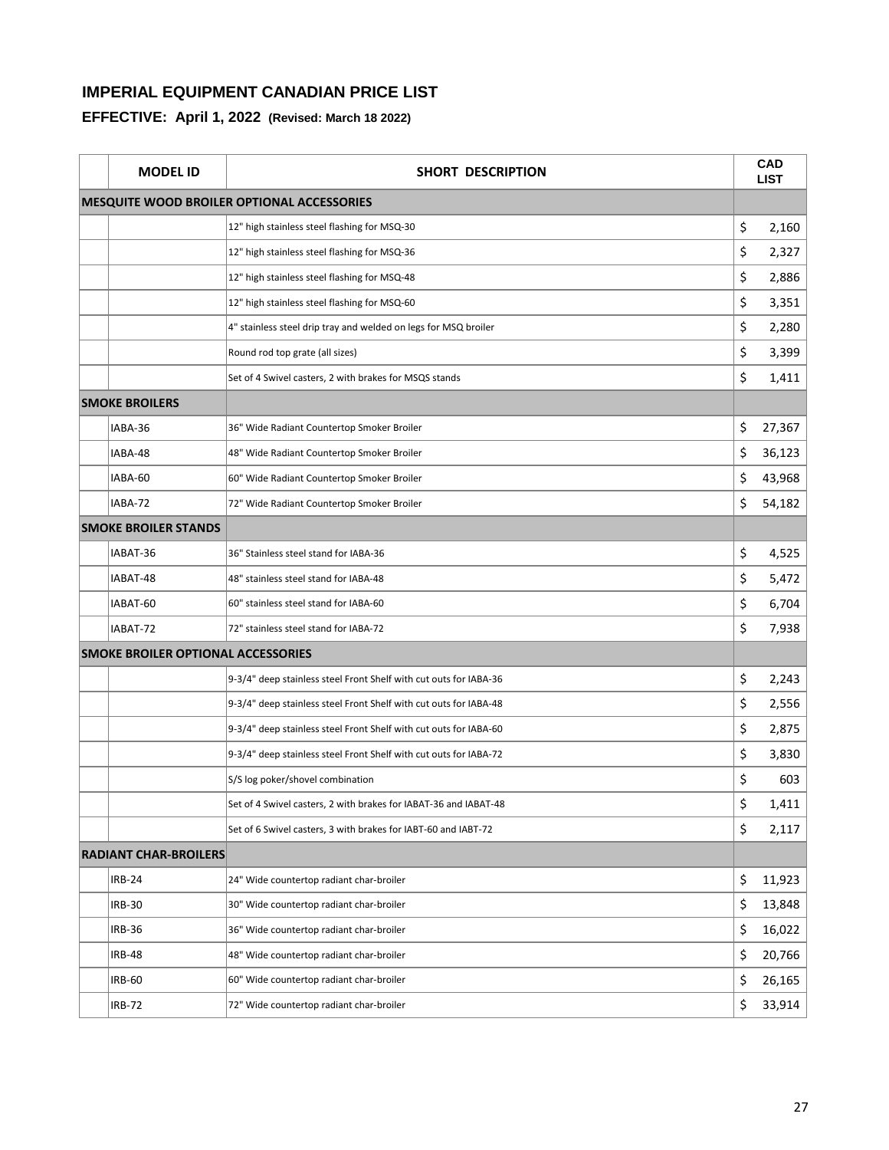| <b>MODEL ID</b>                           | <b>SHORT DESCRIPTION</b>                                          | <b>CAD</b><br><b>LIST</b> |
|-------------------------------------------|-------------------------------------------------------------------|---------------------------|
|                                           | MESQUITE WOOD BROILER OPTIONAL ACCESSORIES                        |                           |
|                                           | 12" high stainless steel flashing for MSQ-30                      | \$<br>2,160               |
|                                           | 12" high stainless steel flashing for MSQ-36                      | \$<br>2,327               |
|                                           | 12" high stainless steel flashing for MSQ-48                      | \$<br>2,886               |
|                                           | 12" high stainless steel flashing for MSQ-60                      | \$<br>3,351               |
|                                           | 4" stainless steel drip tray and welded on legs for MSQ broiler   | \$<br>2,280               |
|                                           | Round rod top grate (all sizes)                                   | \$<br>3,399               |
|                                           | Set of 4 Swivel casters, 2 with brakes for MSQS stands            | \$<br>1,411               |
| <b>SMOKE BROILERS</b>                     |                                                                   |                           |
| IABA-36                                   | 36" Wide Radiant Countertop Smoker Broiler                        | \$<br>27,367              |
| IABA-48                                   | 48" Wide Radiant Countertop Smoker Broiler                        | \$<br>36,123              |
| IABA-60                                   | 60" Wide Radiant Countertop Smoker Broiler                        | \$<br>43,968              |
| IABA-72                                   | 72" Wide Radiant Countertop Smoker Broiler                        | \$<br>54,182              |
| <b>SMOKE BROILER STANDS</b>               |                                                                   |                           |
| IABAT-36                                  | 36" Stainless steel stand for IABA-36                             | \$<br>4,525               |
| IABAT-48                                  | 48" stainless steel stand for IABA-48                             | \$<br>5,472               |
| IABAT-60                                  | 60" stainless steel stand for IABA-60                             | \$<br>6,704               |
| IABAT-72                                  | 72" stainless steel stand for IABA-72                             | \$<br>7,938               |
| <b>SMOKE BROILER OPTIONAL ACCESSORIES</b> |                                                                   |                           |
|                                           | 9-3/4" deep stainless steel Front Shelf with cut outs for IABA-36 | \$<br>2,243               |
|                                           | 9-3/4" deep stainless steel Front Shelf with cut outs for IABA-48 | \$<br>2,556               |
|                                           | 9-3/4" deep stainless steel Front Shelf with cut outs for IABA-60 | \$<br>2,875               |
|                                           | 9-3/4" deep stainless steel Front Shelf with cut outs for IABA-72 | \$<br>3,830               |
|                                           | S/S log poker/shovel combination                                  | \$<br>603                 |
|                                           | Set of 4 Swivel casters, 2 with brakes for IABAT-36 and IABAT-48  | \$<br>1,411               |
|                                           | Set of 6 Swivel casters, 3 with brakes for IABT-60 and IABT-72    | \$<br>2,117               |
| <b>RADIANT CHAR-BROILERS</b>              |                                                                   |                           |
| <b>IRB-24</b>                             | 24" Wide countertop radiant char-broiler                          | \$<br>11,923              |
| <b>IRB-30</b>                             | 30" Wide countertop radiant char-broiler                          | \$<br>13,848              |
| <b>IRB-36</b>                             | 36" Wide countertop radiant char-broiler                          | \$<br>16,022              |
| <b>IRB-48</b>                             | 48" Wide countertop radiant char-broiler                          | \$<br>20,766              |
| <b>IRB-60</b>                             | 60" Wide countertop radiant char-broiler                          | \$<br>26,165              |
| IRB-72                                    | 72" Wide countertop radiant char-broiler                          | \$<br>33,914              |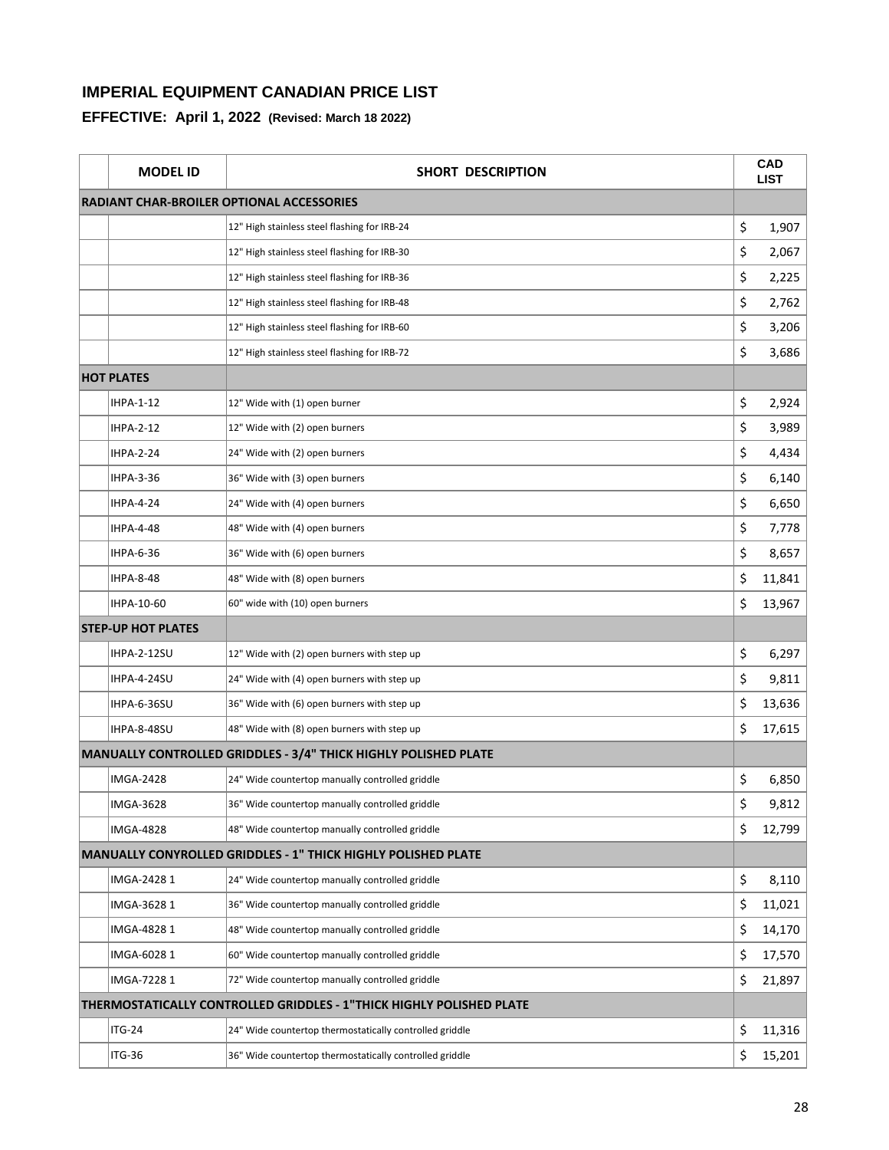| <b>MODEL ID</b>           | SHORT DESCRIPTION                                                    | <b>CAD</b><br><b>LIST</b> |
|---------------------------|----------------------------------------------------------------------|---------------------------|
|                           | <b>RADIANT CHAR-BROILER OPTIONAL ACCESSORIES</b>                     |                           |
|                           | 12" High stainless steel flashing for IRB-24                         | \$<br>1,907               |
|                           | 12" High stainless steel flashing for IRB-30                         | \$<br>2,067               |
|                           | 12" High stainless steel flashing for IRB-36                         | \$<br>2,225               |
|                           | 12" High stainless steel flashing for IRB-48                         | \$<br>2,762               |
|                           | 12" High stainless steel flashing for IRB-60                         | \$<br>3,206               |
|                           | 12" High stainless steel flashing for IRB-72                         | \$<br>3,686               |
| <b>HOT PLATES</b>         |                                                                      |                           |
| <b>IHPA-1-12</b>          | 12" Wide with (1) open burner                                        | \$<br>2,924               |
| <b>IHPA-2-12</b>          | 12" Wide with (2) open burners                                       | \$<br>3,989               |
| <b>IHPA-2-24</b>          | 24" Wide with (2) open burners                                       | \$<br>4,434               |
| <b>IHPA-3-36</b>          | 36" Wide with (3) open burners                                       | \$<br>6,140               |
| <b>IHPA-4-24</b>          | 24" Wide with (4) open burners                                       | \$<br>6,650               |
| <b>IHPA-4-48</b>          | 48" Wide with (4) open burners                                       | \$<br>7,778               |
| <b>IHPA-6-36</b>          | 36" Wide with (6) open burners                                       | \$<br>8,657               |
| <b>IHPA-8-48</b>          | 48" Wide with (8) open burners                                       | \$<br>11,841              |
| IHPA-10-60                | 60" wide with (10) open burners                                      | \$<br>13,967              |
| <b>STEP-UP HOT PLATES</b> |                                                                      |                           |
| <b>IHPA-2-12SU</b>        | 12" Wide with (2) open burners with step up                          | \$<br>6,297               |
| IHPA-4-24SU               | 24" Wide with (4) open burners with step up                          | \$<br>9,811               |
| IHPA-6-36SU               | 36" Wide with (6) open burners with step up                          | \$<br>13,636              |
| IHPA-8-48SU               | 48" Wide with (8) open burners with step up                          | \$<br>17,615              |
|                           | MANUALLY CONTROLLED GRIDDLES - 3/4" THICK HIGHLY POLISHED PLATE      |                           |
| <b>IMGA-2428</b>          | 24" Wide countertop manually controlled griddle                      | \$<br>6,850               |
| <b>IMGA-3628</b>          | 36" Wide countertop manually controlled griddle                      | \$<br>9,812               |
| <b>IMGA-4828</b>          | 48" Wide countertop manually controlled griddle                      | \$<br>12,799              |
|                           | <b>MANUALLY CONYROLLED GRIDDLES - 1" THICK HIGHLY POLISHED PLATE</b> |                           |
| IMGA-2428 1               | 24" Wide countertop manually controlled griddle                      | \$<br>8,110               |
| IMGA-3628 1               | 36" Wide countertop manually controlled griddle                      | \$<br>11,021              |
| IMGA-48281                | 48" Wide countertop manually controlled griddle                      | \$<br>14,170              |
| IMGA-6028 1               | 60" Wide countertop manually controlled griddle                      | \$<br>17,570              |
| IMGA-72281                | 72" Wide countertop manually controlled griddle                      | \$<br>21,897              |
|                           | THERMOSTATICALLY CONTROLLED GRIDDLES - 1"THICK HIGHLY POLISHED PLATE |                           |
| $ITG-24$                  | 24" Wide countertop thermostatically controlled griddle              | \$<br>11,316              |
| ITG-36                    | 36" Wide countertop thermostatically controlled griddle              | \$<br>15,201              |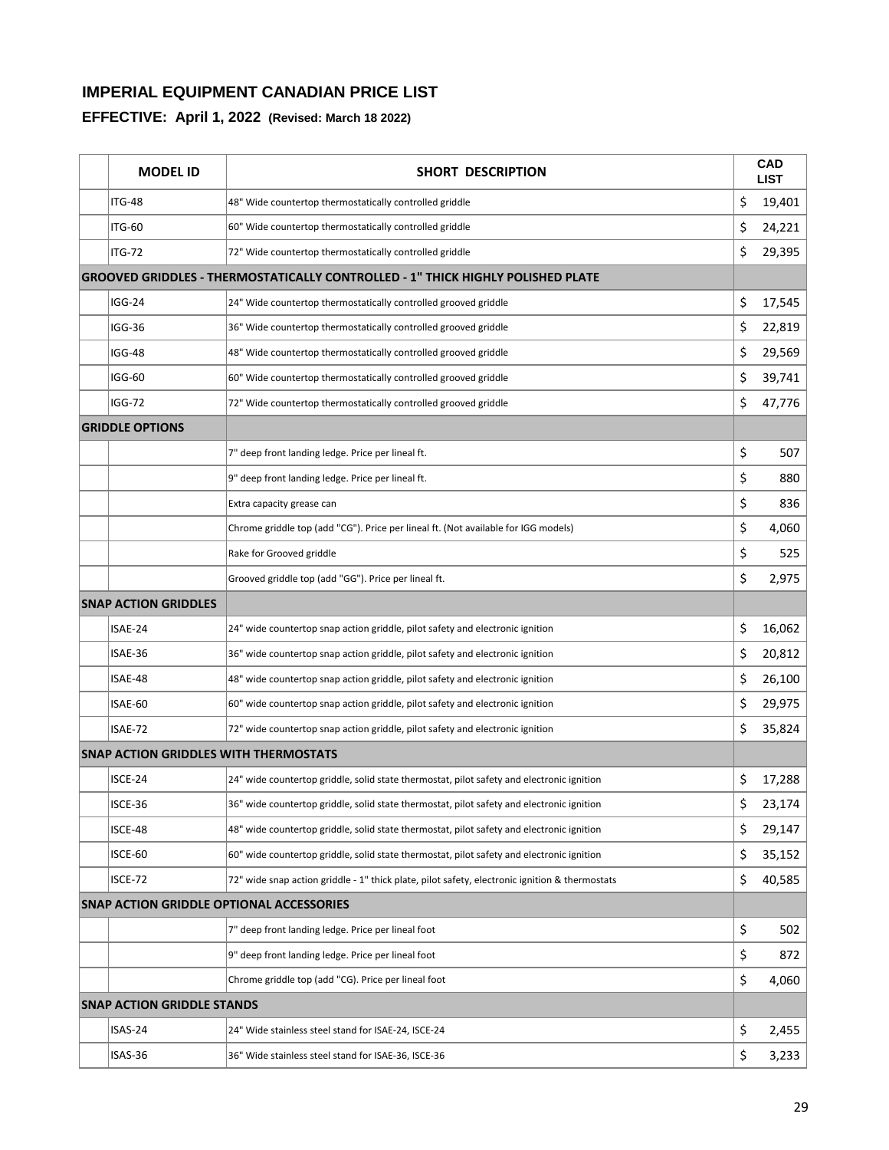| <b>MODEL ID</b>                              | <b>SHORT DESCRIPTION</b>                                                                       |    | <b>CAD</b><br><b>LIST</b> |
|----------------------------------------------|------------------------------------------------------------------------------------------------|----|---------------------------|
| <b>ITG-48</b>                                | 48" Wide countertop thermostatically controlled griddle                                        | \$ | 19,401                    |
| <b>ITG-60</b>                                | 60" Wide countertop thermostatically controlled griddle                                        | \$ | 24,221                    |
| <b>ITG-72</b>                                | 72" Wide countertop thermostatically controlled griddle                                        | \$ | 29,395                    |
|                                              | <b>GROOVED GRIDDLES - THERMOSTATICALLY CONTROLLED - 1" THICK HIGHLY POLISHED PLATE</b>         |    |                           |
| <b>IGG-24</b>                                | 24" Wide countertop thermostatically controlled grooved griddle                                | \$ | 17,545                    |
| <b>IGG-36</b>                                | 36" Wide countertop thermostatically controlled grooved griddle                                | \$ | 22,819                    |
| <b>IGG-48</b>                                | 48" Wide countertop thermostatically controlled grooved griddle                                | \$ | 29,569                    |
| IGG-60                                       | 60" Wide countertop thermostatically controlled grooved griddle                                | \$ | 39,741                    |
| <b>IGG-72</b>                                | 72" Wide countertop thermostatically controlled grooved griddle                                | \$ | 47,776                    |
| <b>GRIDDLE OPTIONS</b>                       |                                                                                                |    |                           |
|                                              | 7" deep front landing ledge. Price per lineal ft.                                              | \$ | 507                       |
|                                              | 9" deep front landing ledge. Price per lineal ft.                                              | \$ | 880                       |
|                                              | Extra capacity grease can                                                                      | \$ | 836                       |
|                                              | Chrome griddle top (add "CG"). Price per lineal ft. (Not available for IGG models)             | \$ | 4,060                     |
|                                              | Rake for Grooved griddle                                                                       | \$ | 525                       |
|                                              | Grooved griddle top (add "GG"). Price per lineal ft.                                           | \$ | 2,975                     |
| <b>SNAP ACTION GRIDDLES</b>                  |                                                                                                |    |                           |
| ISAE-24                                      | 24" wide countertop snap action griddle, pilot safety and electronic ignition                  | \$ | 16,062                    |
| ISAE-36                                      | 36" wide countertop snap action griddle, pilot safety and electronic ignition                  | \$ | 20,812                    |
| ISAE-48                                      | 48" wide countertop snap action griddle, pilot safety and electronic ignition                  | \$ | 26,100                    |
| ISAE-60                                      | 60" wide countertop snap action griddle, pilot safety and electronic ignition                  | \$ | 29,975                    |
| ISAE-72                                      | 72" wide countertop snap action griddle, pilot safety and electronic ignition                  | \$ | 35,824                    |
| <b>SNAP ACTION GRIDDLES WITH THERMOSTATS</b> |                                                                                                |    |                           |
| ISCE-24                                      | 24" wide countertop griddle, solid state thermostat, pilot safety and electronic ignition      | \$ | 17,288                    |
| ISCE-36                                      | 36" wide countertop griddle, solid state thermostat, pilot safety and electronic ignition      | Ş  | 23,174                    |
| ISCE-48                                      | 48" wide countertop griddle, solid state thermostat, pilot safety and electronic ignition      | \$ | 29,147                    |
| ISCE-60                                      | 60" wide countertop griddle, solid state thermostat, pilot safety and electronic ignition      | \$ | 35,152                    |
| ISCE-72                                      | 72" wide snap action griddle - 1" thick plate, pilot safety, electronic ignition & thermostats | \$ | 40,585                    |
|                                              | <b>SNAP ACTION GRIDDLE OPTIONAL ACCESSORIES</b>                                                |    |                           |
|                                              | 7" deep front landing ledge. Price per lineal foot                                             | \$ | 502                       |
|                                              | 9" deep front landing ledge. Price per lineal foot                                             | \$ | 872                       |
|                                              | Chrome griddle top (add "CG). Price per lineal foot                                            | \$ | 4,060                     |
| <b>SNAP ACTION GRIDDLE STANDS</b>            |                                                                                                |    |                           |
| ISAS-24                                      | 24" Wide stainless steel stand for ISAE-24, ISCE-24                                            | \$ | 2,455                     |
| ISAS-36                                      | 36" Wide stainless steel stand for ISAE-36, ISCE-36                                            | \$ | 3,233                     |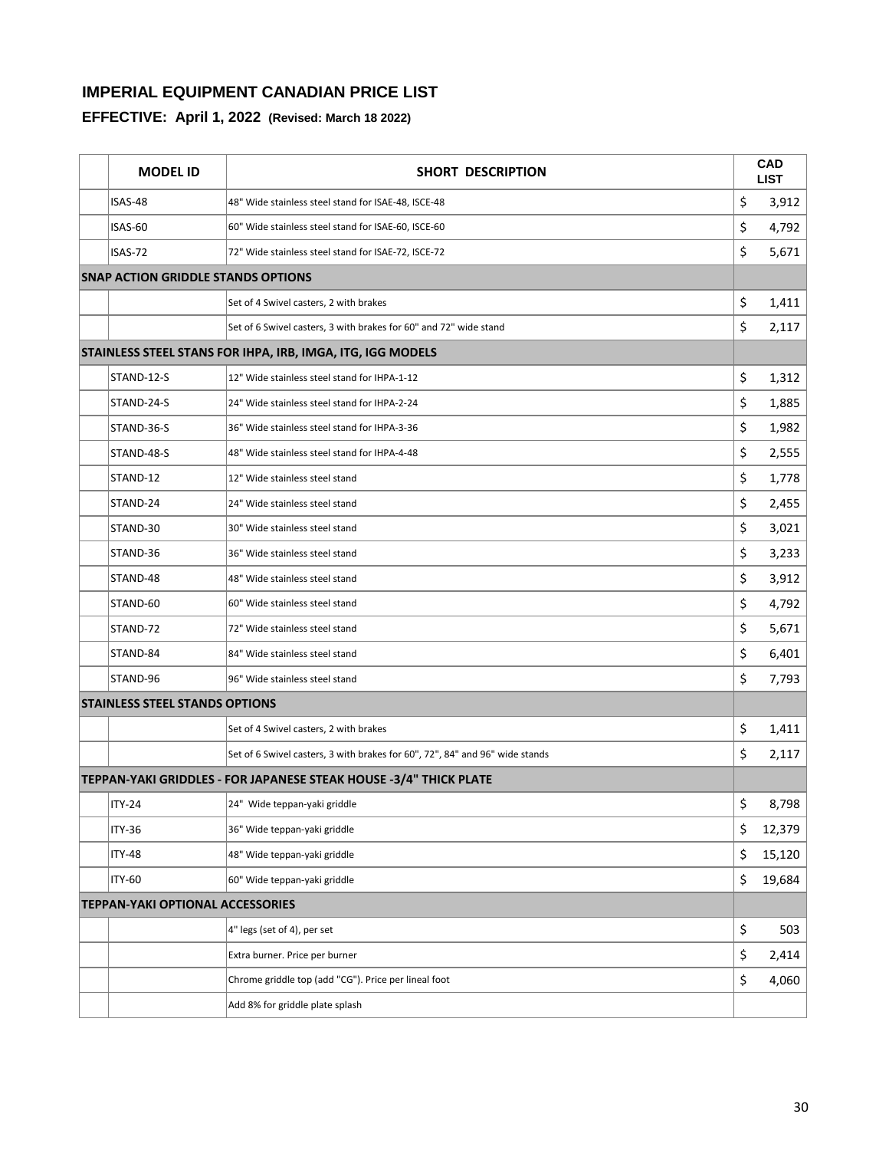| <b>MODEL ID</b>                           | SHORT DESCRIPTION                                                            | <b>CAD</b><br><b>LIST</b> |
|-------------------------------------------|------------------------------------------------------------------------------|---------------------------|
| ISAS-48                                   | 48" Wide stainless steel stand for ISAE-48, ISCE-48                          | \$<br>3,912               |
| ISAS-60                                   | 60" Wide stainless steel stand for ISAE-60, ISCE-60                          | \$<br>4,792               |
| ISAS-72                                   | 72" Wide stainless steel stand for ISAE-72, ISCE-72                          | \$<br>5,671               |
| <b>SNAP ACTION GRIDDLE STANDS OPTIONS</b> |                                                                              |                           |
|                                           | Set of 4 Swivel casters, 2 with brakes                                       | \$<br>1,411               |
|                                           | Set of 6 Swivel casters, 3 with brakes for 60" and 72" wide stand            | \$<br>2,117               |
|                                           | STAINLESS STEEL STANS FOR IHPA, IRB, IMGA, ITG, IGG MODELS                   |                           |
| STAND-12-S                                | 12" Wide stainless steel stand for IHPA-1-12                                 | \$<br>1,312               |
| STAND-24-S                                | 24" Wide stainless steel stand for IHPA-2-24                                 | \$<br>1,885               |
| STAND-36-S                                | 36" Wide stainless steel stand for IHPA-3-36                                 | \$<br>1,982               |
| STAND-48-S                                | 48" Wide stainless steel stand for IHPA-4-48                                 | \$<br>2,555               |
| STAND-12                                  | 12" Wide stainless steel stand                                               | \$<br>1,778               |
| STAND-24                                  | 24" Wide stainless steel stand                                               | \$<br>2,455               |
| STAND-30                                  | 30" Wide stainless steel stand                                               | \$<br>3,021               |
| STAND-36                                  | 36" Wide stainless steel stand                                               | \$<br>3,233               |
| STAND-48                                  | 48" Wide stainless steel stand                                               | \$<br>3,912               |
| STAND-60                                  | 60" Wide stainless steel stand                                               | \$<br>4,792               |
| STAND-72                                  | 72" Wide stainless steel stand                                               | \$<br>5,671               |
| STAND-84                                  | 84" Wide stainless steel stand                                               | \$<br>6,401               |
| STAND-96                                  | 96" Wide stainless steel stand                                               | \$<br>7,793               |
| <b>STAINLESS STEEL STANDS OPTIONS</b>     |                                                                              |                           |
|                                           | Set of 4 Swivel casters, 2 with brakes                                       | \$<br>1,411               |
|                                           | Set of 6 Swivel casters, 3 with brakes for 60", 72", 84" and 96" wide stands | \$<br>2,117               |
|                                           | TEPPAN-YAKI GRIDDLES - FOR JAPANESE STEAK HOUSE -3/4" THICK PLATE            |                           |
| <b>ITY-24</b>                             | 24" Wide teppan-yaki griddle                                                 | \$<br>8,798               |
| <b>ITY-36</b>                             | 36" Wide teppan-yaki griddle                                                 | \$<br>12,379              |
| <b>ITY-48</b>                             | 48" Wide teppan-yaki griddle                                                 | \$<br>15,120              |
| <b>ITY-60</b>                             | 60" Wide teppan-yaki griddle                                                 | \$<br>19,684              |
| <b>TEPPAN-YAKI OPTIONAL ACCESSORIES</b>   |                                                                              |                           |
|                                           | 4" legs (set of 4), per set                                                  | \$<br>503                 |
|                                           | Extra burner. Price per burner                                               | \$<br>2,414               |
|                                           | Chrome griddle top (add "CG"). Price per lineal foot                         | \$<br>4,060               |
|                                           | Add 8% for griddle plate splash                                              |                           |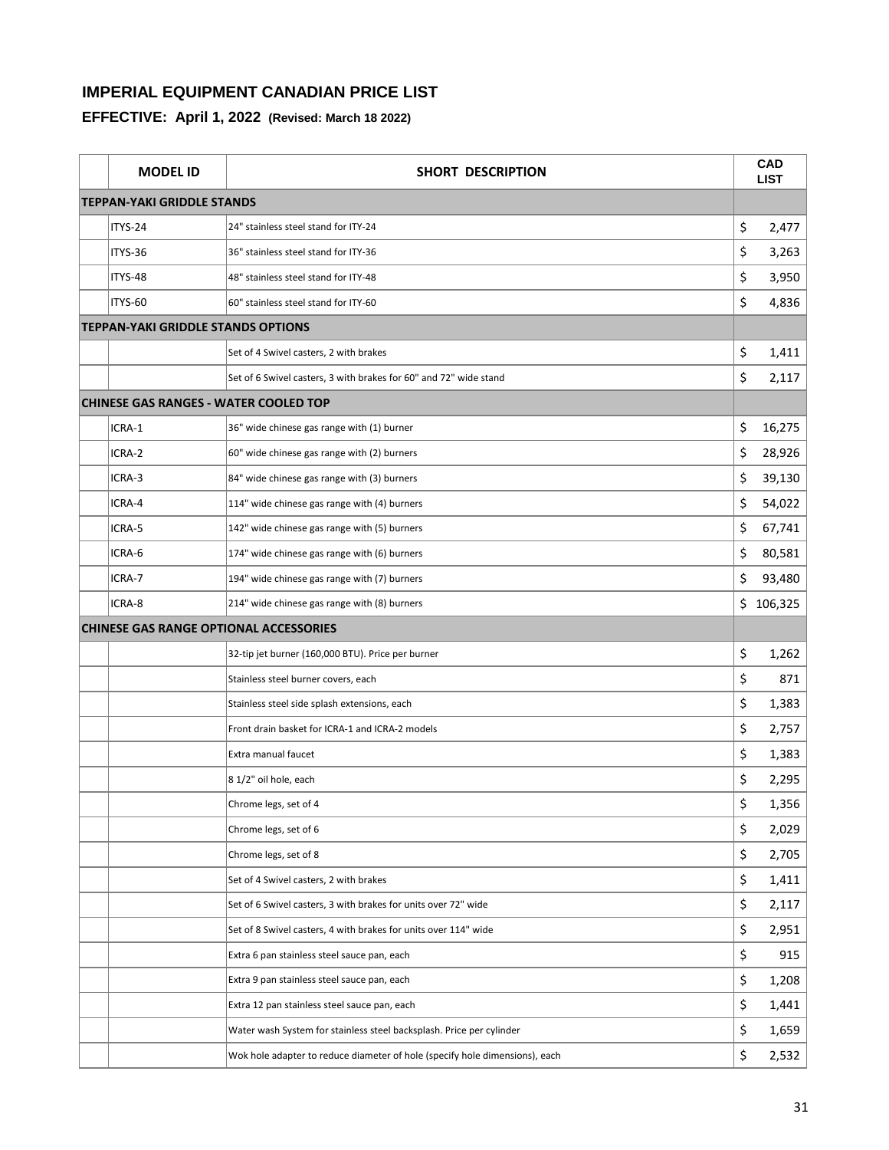| <b>MODEL ID</b>                               | SHORT DESCRIPTION                                                           |    | CAD<br><b>LIST</b> |
|-----------------------------------------------|-----------------------------------------------------------------------------|----|--------------------|
| <b>TEPPAN-YAKI GRIDDLE STANDS</b>             |                                                                             |    |                    |
| ITYS-24                                       | 24" stainless steel stand for ITY-24                                        | \$ | 2,477              |
| ITYS-36                                       | 36" stainless steel stand for ITY-36                                        | \$ | 3,263              |
| ITYS-48                                       | 48" stainless steel stand for ITY-48                                        | \$ | 3,950              |
| ITYS-60                                       | 60" stainless steel stand for ITY-60                                        | \$ | 4,836              |
| <b>TEPPAN-YAKI GRIDDLE STANDS OPTIONS</b>     |                                                                             |    |                    |
|                                               | Set of 4 Swivel casters, 2 with brakes                                      | \$ | 1,411              |
|                                               | Set of 6 Swivel casters, 3 with brakes for 60" and 72" wide stand           | \$ | 2,117              |
| <b>CHINESE GAS RANGES - WATER COOLED TOP</b>  |                                                                             |    |                    |
| ICRA-1                                        | 36" wide chinese gas range with (1) burner                                  | \$ | 16,275             |
| ICRA-2                                        | 60" wide chinese gas range with (2) burners                                 | \$ | 28,926             |
| ICRA-3                                        | 84" wide chinese gas range with (3) burners                                 | \$ | 39,130             |
| ICRA-4                                        | 114" wide chinese gas range with (4) burners                                | \$ | 54,022             |
| ICRA-5                                        | 142" wide chinese gas range with (5) burners                                | \$ | 67,741             |
| ICRA-6                                        | 174" wide chinese gas range with (6) burners                                | \$ | 80,581             |
| ICRA-7                                        | 194" wide chinese gas range with (7) burners                                | \$ | 93,480             |
| ICRA-8                                        | 214" wide chinese gas range with (8) burners                                |    | \$106,325          |
| <b>CHINESE GAS RANGE OPTIONAL ACCESSORIES</b> |                                                                             |    |                    |
|                                               | 32-tip jet burner (160,000 BTU). Price per burner                           | \$ | 1,262              |
|                                               | Stainless steel burner covers, each                                         | \$ | 871                |
|                                               | Stainless steel side splash extensions, each                                | \$ | 1,383              |
|                                               | Front drain basket for ICRA-1 and ICRA-2 models                             | \$ | 2,757              |
|                                               | Extra manual faucet                                                         | \$ | 1,383              |
|                                               | 8 1/2" oil hole, each                                                       | \$ | 2,295              |
|                                               | Chrome legs, set of 4                                                       | Ş  | 1,356              |
|                                               | Chrome legs, set of 6                                                       | \$ | 2,029              |
|                                               | Chrome legs, set of 8                                                       | \$ | 2,705              |
|                                               | Set of 4 Swivel casters, 2 with brakes                                      | \$ | 1,411              |
|                                               | Set of 6 Swivel casters, 3 with brakes for units over 72" wide              | \$ | 2,117              |
|                                               | Set of 8 Swivel casters, 4 with brakes for units over 114" wide             | \$ | 2,951              |
|                                               | Extra 6 pan stainless steel sauce pan, each                                 | \$ | 915                |
|                                               | Extra 9 pan stainless steel sauce pan, each                                 | \$ | 1,208              |
|                                               | Extra 12 pan stainless steel sauce pan, each                                | \$ | 1,441              |
|                                               | Water wash System for stainless steel backsplash. Price per cylinder        | \$ | 1,659              |
|                                               | Wok hole adapter to reduce diameter of hole (specify hole dimensions), each | \$ | 2,532              |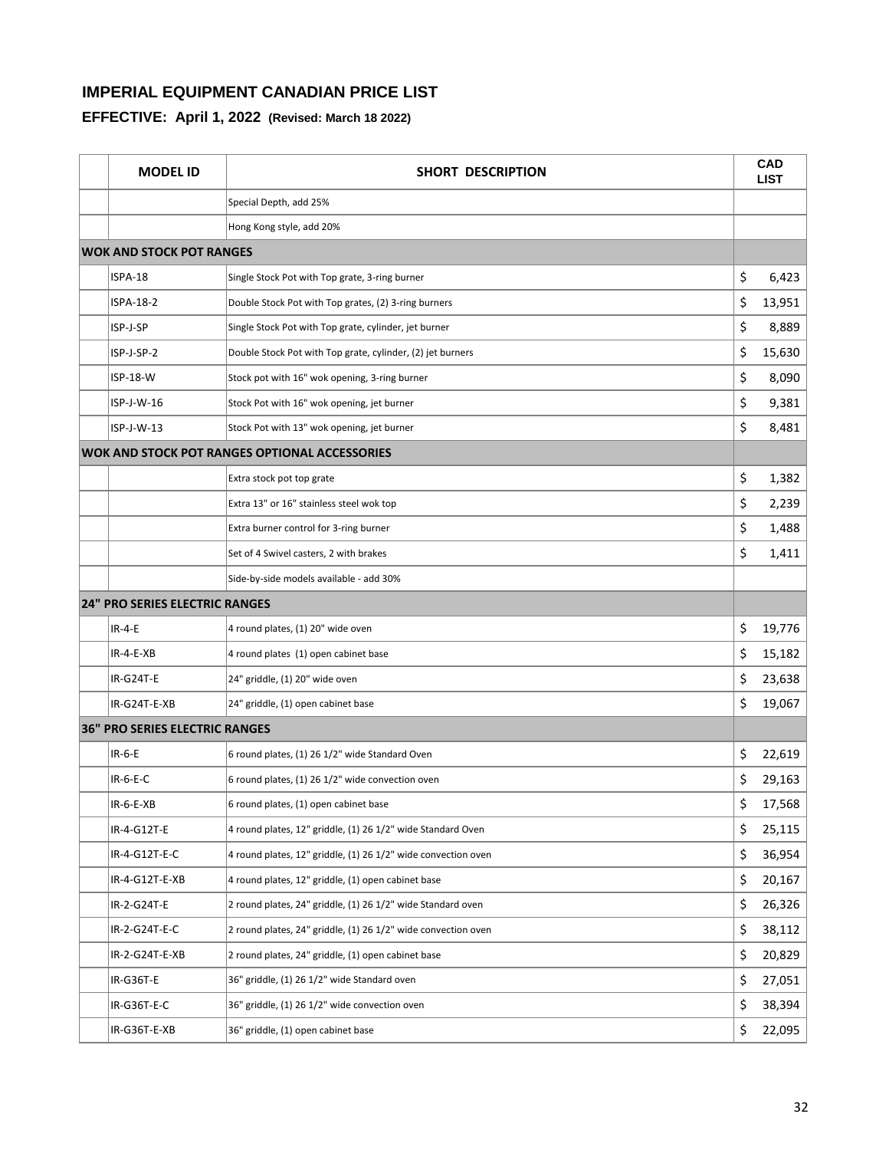| <b>MODEL ID</b>                       | SHORT DESCRIPTION                                             |    | <b>CAD</b><br><b>LIST</b> |
|---------------------------------------|---------------------------------------------------------------|----|---------------------------|
|                                       | Special Depth, add 25%                                        |    |                           |
|                                       | Hong Kong style, add 20%                                      |    |                           |
| <b>WOK AND STOCK POT RANGES</b>       |                                                               |    |                           |
| ISPA-18                               | Single Stock Pot with Top grate, 3-ring burner                | \$ | 6,423                     |
| ISPA-18-2                             | Double Stock Pot with Top grates, (2) 3-ring burners          | \$ | 13,951                    |
| ISP-J-SP                              | Single Stock Pot with Top grate, cylinder, jet burner         | \$ | 8,889                     |
| ISP-J-SP-2                            | Double Stock Pot with Top grate, cylinder, (2) jet burners    | \$ | 15,630                    |
| ISP-18-W                              | Stock pot with 16" wok opening, 3-ring burner                 | \$ | 8,090                     |
| $ISP-J-W-16$                          | Stock Pot with 16" wok opening, jet burner                    | \$ | 9,381                     |
| $ISP-J-W-13$                          | Stock Pot with 13" wok opening, jet burner                    | \$ | 8,481                     |
|                                       | <b>WOK AND STOCK POT RANGES OPTIONAL ACCESSORIES</b>          |    |                           |
|                                       | Extra stock pot top grate                                     | \$ | 1,382                     |
|                                       | Extra 13" or 16" stainless steel wok top                      | \$ | 2,239                     |
|                                       | Extra burner control for 3-ring burner                        | \$ | 1,488                     |
|                                       | Set of 4 Swivel casters, 2 with brakes                        | \$ | 1,411                     |
|                                       | Side-by-side models available - add 30%                       |    |                           |
| <b>24" PRO SERIES ELECTRIC RANGES</b> |                                                               |    |                           |
| <b>IR-4-E</b>                         | 4 round plates, (1) 20" wide oven                             | \$ | 19,776                    |
| $IR-A-E-XB$                           | 4 round plates (1) open cabinet base                          | \$ | 15,182                    |
| IR-G24T-E                             | 24" griddle, (1) 20" wide oven                                | \$ | 23,638                    |
| IR-G24T-E-XB                          | 24" griddle, (1) open cabinet base                            | \$ | 19,067                    |
| 36" PRO SERIES ELECTRIC RANGES        |                                                               |    |                           |
| $IR-6-E$                              | 6 round plates, (1) 26 1/2" wide Standard Oven                | \$ | 22,619                    |
| $IR-6-E-C$                            | 6 round plates, (1) 26 1/2" wide convection oven              | \$ | 29,163                    |
| IR-6-E-XB                             | 6 round plates, (1) open cabinet base                         | Ş  | 17,568                    |
| IR-4-G12T-E                           | 4 round plates, 12" griddle, (1) 26 1/2" wide Standard Oven   | \$ | 25,115                    |
| IR-4-G12T-E-C                         | 4 round plates, 12" griddle, (1) 26 1/2" wide convection oven | \$ | 36,954                    |
| IR-4-G12T-E-XB                        | 4 round plates, 12" griddle, (1) open cabinet base            | \$ | 20,167                    |
| IR-2-G24T-E                           | 2 round plates, 24" griddle, (1) 26 1/2" wide Standard oven   | \$ | 26,326                    |
| IR-2-G24T-E-C                         | 2 round plates, 24" griddle, (1) 26 1/2" wide convection oven | \$ | 38,112                    |
| IR-2-G24T-E-XB                        | 2 round plates, 24" griddle, (1) open cabinet base            | \$ | 20,829                    |
| IR-G36T-E                             | 36" griddle, (1) 26 1/2" wide Standard oven                   | \$ | 27,051                    |
| IR-G36T-E-C                           | 36" griddle, (1) 26 1/2" wide convection oven                 | \$ | 38,394                    |
| IR-G36T-E-XB                          | 36" griddle, (1) open cabinet base                            | \$ | 22,095                    |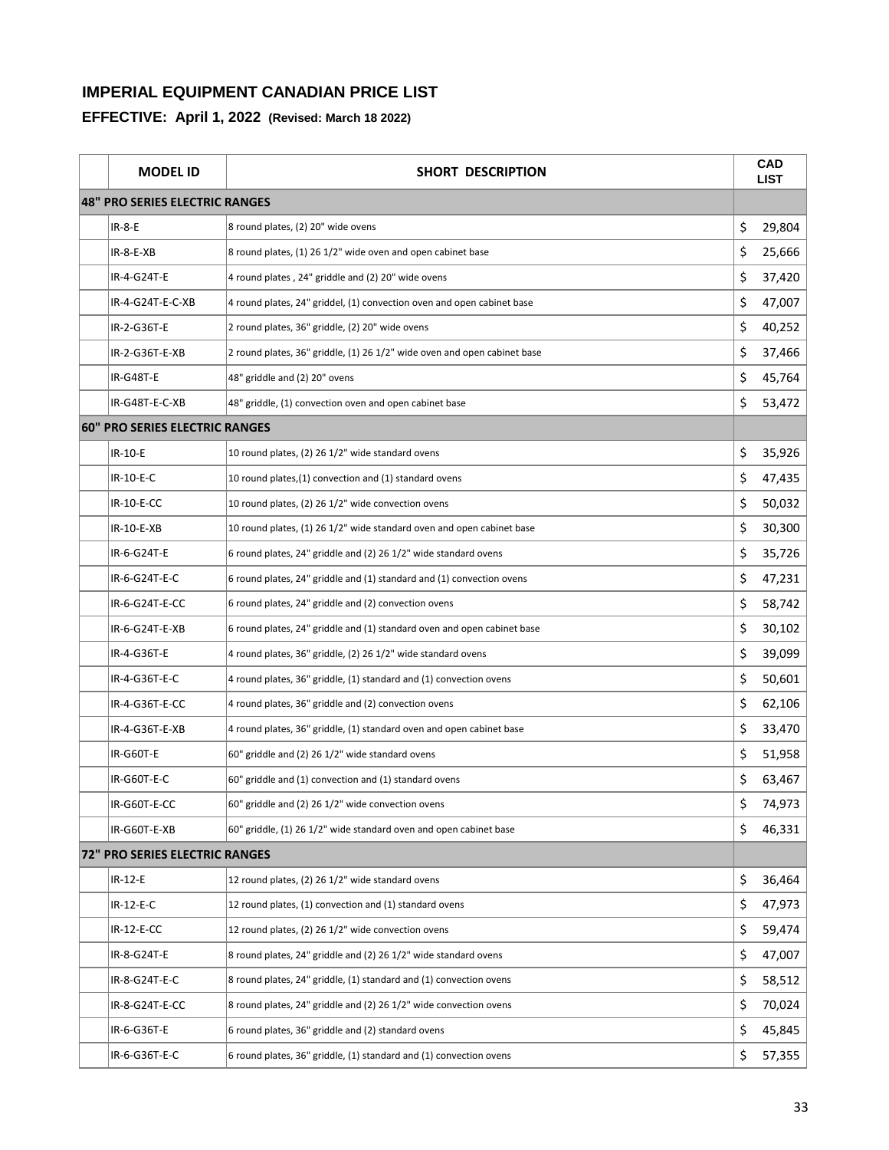| <b>MODEL ID</b>                       | SHORT DESCRIPTION                                                        | <b>CAD</b><br><b>LIST</b> |
|---------------------------------------|--------------------------------------------------------------------------|---------------------------|
| 48" PRO SERIES ELECTRIC RANGES        |                                                                          |                           |
| <b>IR-8-E</b>                         | 8 round plates, (2) 20" wide ovens                                       | \$<br>29,804              |
| $IR-8-E-XB$                           | 8 round plates, (1) 26 1/2" wide oven and open cabinet base              | \$<br>25,666              |
| IR-4-G24T-E                           | 4 round plates, 24" griddle and (2) 20" wide ovens                       | \$<br>37,420              |
| IR-4-G24T-E-C-XB                      | 4 round plates, 24" griddel, (1) convection oven and open cabinet base   | \$<br>47,007              |
| IR-2-G36T-E                           | 2 round plates, 36" griddle, (2) 20" wide ovens                          | \$<br>40,252              |
| IR-2-G36T-E-XB                        | 2 round plates, 36" griddle, (1) 26 1/2" wide oven and open cabinet base | \$<br>37,466              |
| IR-G48T-E                             | 48" griddle and (2) 20" ovens                                            | \$<br>45,764              |
| IR-G48T-E-C-XB                        | 48" griddle, (1) convection oven and open cabinet base                   | \$<br>53,472              |
| <b>60" PRO SERIES ELECTRIC RANGES</b> |                                                                          |                           |
| IR-10-E                               | 10 round plates, (2) 26 1/2" wide standard ovens                         | \$<br>35,926              |
| IR-10-E-C                             | 10 round plates, (1) convection and (1) standard ovens                   | \$<br>47,435              |
| IR-10-E-CC                            | 10 round plates, (2) 26 1/2" wide convection ovens                       | \$<br>50,032              |
| IR-10-E-XB                            | 10 round plates, (1) 26 1/2" wide standard oven and open cabinet base    | \$<br>30,300              |
| IR-6-G24T-E                           | 6 round plates, 24" griddle and (2) 26 1/2" wide standard ovens          | \$<br>35,726              |
| IR-6-G24T-E-C                         | 6 round plates, 24" griddle and (1) standard and (1) convection ovens    | \$<br>47,231              |
| IR-6-G24T-E-CC                        | 6 round plates, 24" griddle and (2) convection ovens                     | \$<br>58,742              |
| IR-6-G24T-E-XB                        | 6 round plates, 24" griddle and (1) standard oven and open cabinet base  | \$<br>30,102              |
| IR-4-G36T-E                           | 4 round plates, 36" griddle, (2) 26 1/2" wide standard ovens             | \$<br>39,099              |
| IR-4-G36T-E-C                         | 4 round plates, 36" griddle, (1) standard and (1) convection ovens       | \$<br>50,601              |
| IR-4-G36T-E-CC                        | 4 round plates, 36" griddle and (2) convection ovens                     | \$<br>62,106              |
| IR-4-G36T-E-XB                        | 4 round plates, 36" griddle, (1) standard oven and open cabinet base     | \$<br>33,470              |
| IR-G60T-E                             | 60" griddle and (2) 26 1/2" wide standard ovens                          | \$<br>51,958              |
| IR-G60T-E-C                           | 60" griddle and (1) convection and (1) standard ovens                    | \$<br>63,467              |
| IR-G60T-E-CC                          | 60" griddle and (2) 26 1/2" wide convection ovens                        | \$<br>74,973              |
| IR-G60T-E-XB                          | 60" griddle, (1) 26 1/2" wide standard oven and open cabinet base        | \$<br>46,331              |
| <b>72" PRO SERIES ELECTRIC RANGES</b> |                                                                          |                           |
| IR-12-E                               | 12 round plates, (2) 26 1/2" wide standard ovens                         | \$<br>36,464              |
| IR-12-E-C                             | 12 round plates, (1) convection and (1) standard ovens                   | \$<br>47,973              |
| IR-12-E-CC                            | 12 round plates, (2) 26 1/2" wide convection ovens                       | \$<br>59,474              |
| IR-8-G24T-E                           | 8 round plates, 24" griddle and (2) 26 1/2" wide standard ovens          | \$<br>47,007              |
| IR-8-G24T-E-C                         | 8 round plates, 24" griddle, (1) standard and (1) convection ovens       | \$<br>58,512              |
| IR-8-G24T-E-CC                        | 8 round plates, 24" griddle and (2) 26 1/2" wide convection ovens        | \$<br>70,024              |
| IR-6-G36T-E                           | 6 round plates, 36" griddle and (2) standard ovens                       | \$<br>45,845              |
| IR-6-G36T-E-C                         | 6 round plates, 36" griddle, (1) standard and (1) convection ovens       | \$<br>57,355              |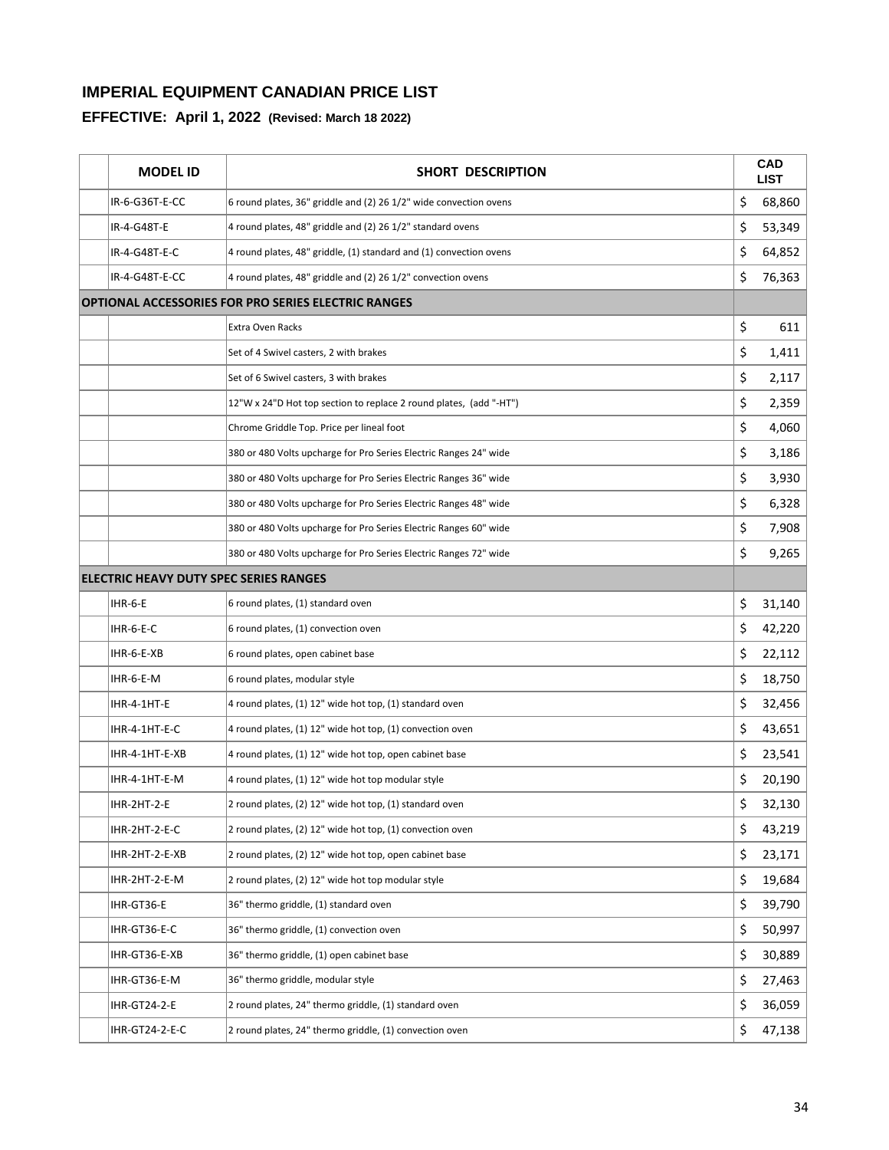| <b>MODEL ID</b>                        | SHORT DESCRIPTION                                                  |    | <b>CAD</b><br><b>LIST</b> |
|----------------------------------------|--------------------------------------------------------------------|----|---------------------------|
| IR-6-G36T-E-CC                         | 6 round plates, 36" griddle and (2) 26 1/2" wide convection ovens  | \$ | 68,860                    |
| IR-4-G48T-E                            | 4 round plates, 48" griddle and (2) 26 1/2" standard ovens         | \$ | 53,349                    |
| IR-4-G48T-E-C                          | 4 round plates, 48" griddle, (1) standard and (1) convection ovens | \$ | 64,852                    |
| IR-4-G48T-E-CC                         | 4 round plates, 48" griddle and (2) 26 1/2" convection ovens       | \$ | 76,363                    |
|                                        | <b>OPTIONAL ACCESSORIES FOR PRO SERIES ELECTRIC RANGES</b>         |    |                           |
|                                        | Extra Oven Racks                                                   | \$ | 611                       |
|                                        | Set of 4 Swivel casters, 2 with brakes                             | \$ | 1,411                     |
|                                        | Set of 6 Swivel casters, 3 with brakes                             | \$ | 2,117                     |
|                                        | 12"W x 24"D Hot top section to replace 2 round plates, (add "-HT") | \$ | 2,359                     |
|                                        | Chrome Griddle Top. Price per lineal foot                          | \$ | 4,060                     |
|                                        | 380 or 480 Volts upcharge for Pro Series Electric Ranges 24" wide  | \$ | 3,186                     |
|                                        | 380 or 480 Volts upcharge for Pro Series Electric Ranges 36" wide  | \$ | 3,930                     |
|                                        | 380 or 480 Volts upcharge for Pro Series Electric Ranges 48" wide  | \$ | 6,328                     |
|                                        | 380 or 480 Volts upcharge for Pro Series Electric Ranges 60" wide  | \$ | 7,908                     |
|                                        | 380 or 480 Volts upcharge for Pro Series Electric Ranges 72" wide  | \$ | 9,265                     |
| ELECTRIC HEAVY DUTY SPEC SERIES RANGES |                                                                    |    |                           |
| IHR-6-E                                | 6 round plates, (1) standard oven                                  | \$ | 31,140                    |
| IHR-6-E-C                              | 6 round plates, (1) convection oven                                | \$ | 42,220                    |
| IHR-6-E-XB                             | 6 round plates, open cabinet base                                  | \$ | 22,112                    |
| IHR-6-E-M                              | 6 round plates, modular style                                      | \$ | 18,750                    |
| IHR-4-1HT-E                            | 4 round plates, (1) 12" wide hot top, (1) standard oven            | \$ | 32,456                    |
| IHR-4-1HT-E-C                          | 4 round plates, (1) 12" wide hot top, (1) convection oven          | \$ | 43,651                    |
| IHR-4-1HT-E-XB                         | 4 round plates, (1) 12" wide hot top, open cabinet base            | \$ | 23,541                    |
| IHR-4-1HT-E-M                          | 4 round plates, (1) 12" wide hot top modular style                 | \$ | 20,190                    |
| IHR-2HT-2-E                            | 2 round plates, (2) 12" wide hot top, (1) standard oven            | Ş  | 32,130                    |
| IHR-2HT-2-E-C                          | 2 round plates, (2) 12" wide hot top, (1) convection oven          | \$ | 43,219                    |
| IHR-2HT-2-E-XB                         | 2 round plates, (2) 12" wide hot top, open cabinet base            | \$ | 23,171                    |
| IHR-2HT-2-E-M                          | 2 round plates, (2) 12" wide hot top modular style                 | \$ | 19,684                    |
| IHR-GT36-E                             | 36" thermo griddle, (1) standard oven                              | \$ | 39,790                    |
| IHR-GT36-E-C                           | 36" thermo griddle, (1) convection oven                            | \$ | 50,997                    |
| IHR-GT36-E-XB                          | 36" thermo griddle, (1) open cabinet base                          | \$ | 30,889                    |
| IHR-GT36-E-M                           | 36" thermo griddle, modular style                                  | \$ | 27,463                    |
| IHR-GT24-2-E                           | 2 round plates, 24" thermo griddle, (1) standard oven              | \$ | 36,059                    |
| IHR-GT24-2-E-C                         | 2 round plates, 24" thermo griddle, (1) convection oven            | \$ | 47,138                    |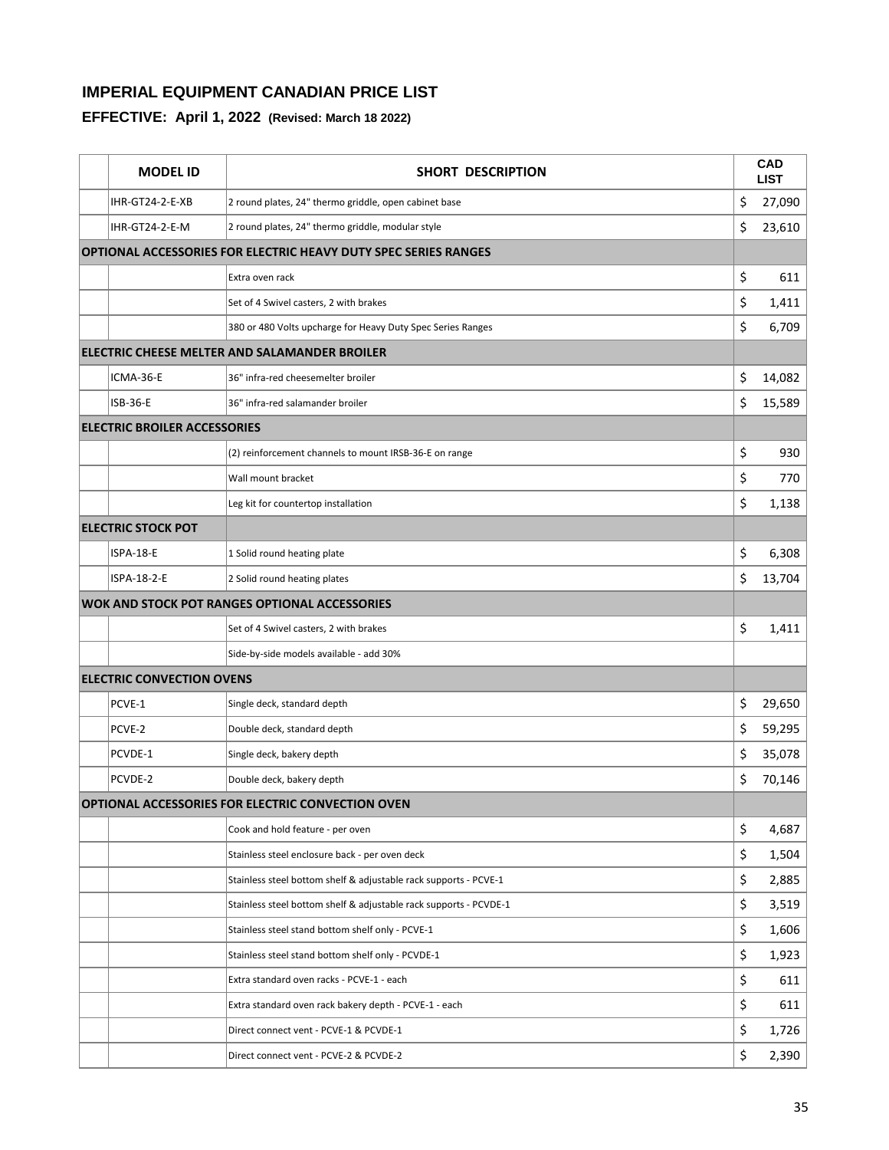| <b>MODEL ID</b>                     | <b>SHORT DESCRIPTION</b>                                               | CAD<br><b>LIST</b> |
|-------------------------------------|------------------------------------------------------------------------|--------------------|
| IHR-GT24-2-E-XB                     | 2 round plates, 24" thermo griddle, open cabinet base                  | \$<br>27,090       |
| IHR-GT24-2-E-M                      | 2 round plates, 24" thermo griddle, modular style                      | \$<br>23,610       |
|                                     | <b>OPTIONAL ACCESSORIES FOR ELECTRIC HEAVY DUTY SPEC SERIES RANGES</b> |                    |
|                                     | Extra oven rack                                                        | \$<br>611          |
|                                     | Set of 4 Swivel casters, 2 with brakes                                 | \$<br>1,411        |
|                                     | 380 or 480 Volts upcharge for Heavy Duty Spec Series Ranges            | \$<br>6,709        |
|                                     | ELECTRIC CHEESE MELTER AND SALAMANDER BROILER                          |                    |
| ICMA-36-E                           | 36" infra-red cheesemelter broiler                                     | \$<br>14,082       |
| ISB-36-E                            | 36" infra-red salamander broiler                                       | \$<br>15,589       |
| <b>ELECTRIC BROILER ACCESSORIES</b> |                                                                        |                    |
|                                     | (2) reinforcement channels to mount IRSB-36-E on range                 | \$<br>930          |
|                                     | Wall mount bracket                                                     | \$<br>770          |
|                                     | Leg kit for countertop installation                                    | \$<br>1,138        |
| <b>ELECTRIC STOCK POT</b>           |                                                                        |                    |
| ISPA-18-E                           | 1 Solid round heating plate                                            | \$<br>6,308        |
| ISPA-18-2-E                         | 2 Solid round heating plates                                           | \$<br>13,704       |
|                                     | <b>WOK AND STOCK POT RANGES OPTIONAL ACCESSORIES</b>                   |                    |
|                                     | Set of 4 Swivel casters, 2 with brakes                                 | \$<br>1,411        |
|                                     | Side-by-side models available - add 30%                                |                    |
| <b>ELECTRIC CONVECTION OVENS</b>    |                                                                        |                    |
| PCVE-1                              | Single deck, standard depth                                            | \$<br>29,650       |
| PCVE-2                              | Double deck, standard depth                                            | \$<br>59,295       |
| PCVDE-1                             | Single deck, bakery depth                                              | \$<br>35,078       |
| PCVDE-2                             | Double deck, bakery depth                                              | \$<br>70,146       |
|                                     | OPTIONAL ACCESSORIES FOR ELECTRIC CONVECTION OVEN                      |                    |
|                                     | Cook and hold feature - per oven                                       | \$<br>4,687        |
|                                     | Stainless steel enclosure back - per oven deck                         | \$<br>1,504        |
|                                     | Stainless steel bottom shelf & adjustable rack supports - PCVE-1       | \$<br>2,885        |
|                                     | Stainless steel bottom shelf & adjustable rack supports - PCVDE-1      | \$<br>3,519        |
|                                     | Stainless steel stand bottom shelf only - PCVE-1                       | \$<br>1,606        |
|                                     | Stainless steel stand bottom shelf only - PCVDE-1                      | \$<br>1,923        |
|                                     | Extra standard oven racks - PCVE-1 - each                              | \$<br>611          |
|                                     | Extra standard oven rack bakery depth - PCVE-1 - each                  | \$<br>611          |
|                                     | Direct connect vent - PCVE-1 & PCVDE-1                                 | \$<br>1,726        |
|                                     | Direct connect vent - PCVE-2 & PCVDE-2                                 | \$<br>2,390        |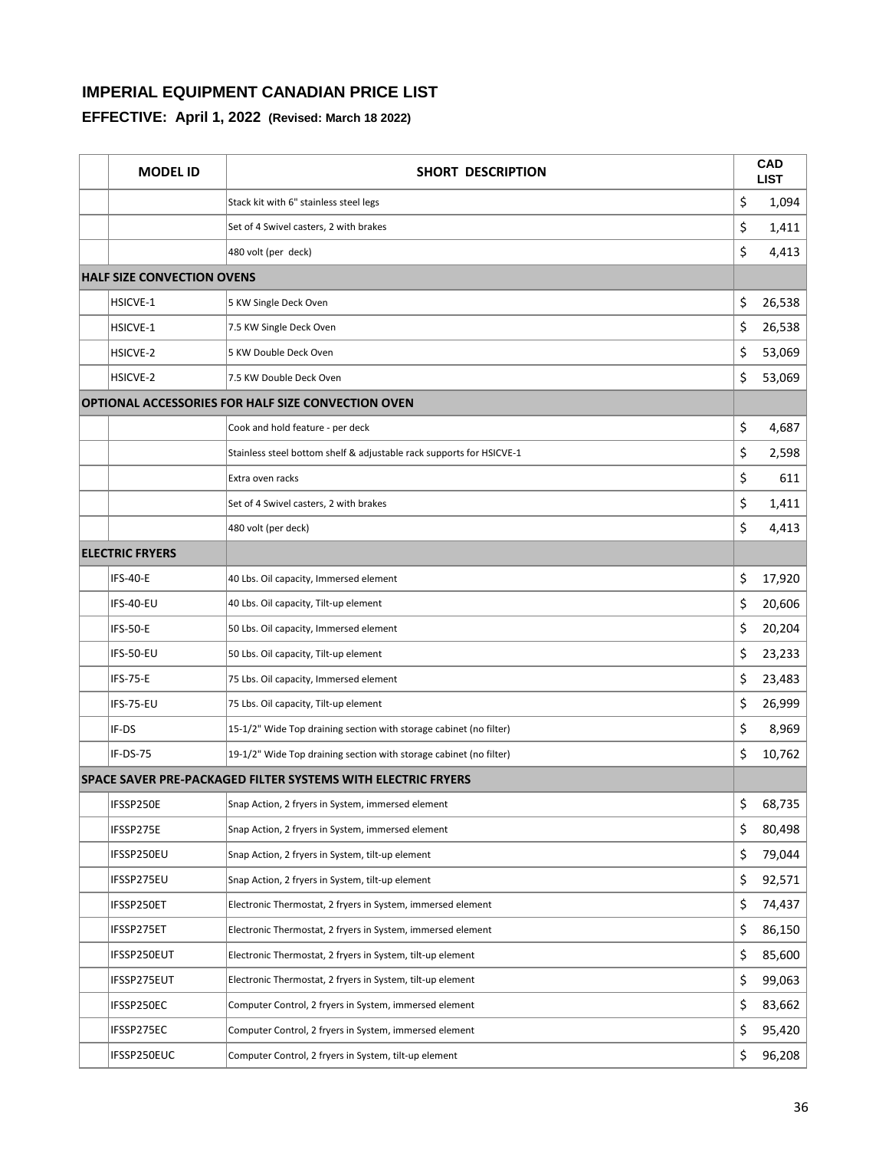| <b>MODEL ID</b>                   | <b>SHORT DESCRIPTION</b>                                             | <b>CAD</b><br><b>LIST</b> |
|-----------------------------------|----------------------------------------------------------------------|---------------------------|
|                                   | Stack kit with 6" stainless steel legs                               | \$<br>1,094               |
|                                   | Set of 4 Swivel casters, 2 with brakes                               | \$<br>1,411               |
|                                   | 480 volt (per deck)                                                  | \$<br>4,413               |
| <b>HALF SIZE CONVECTION OVENS</b> |                                                                      |                           |
| HSICVE-1                          | 5 KW Single Deck Oven                                                | \$<br>26,538              |
| <b>HSICVE-1</b>                   | 7.5 KW Single Deck Oven                                              | \$<br>26,538              |
| HSICVE-2                          | 5 KW Double Deck Oven                                                | \$<br>53,069              |
| HSICVE-2                          | 7.5 KW Double Deck Oven                                              | \$<br>53,069              |
|                                   | <b>OPTIONAL ACCESSORIES FOR HALF SIZE CONVECTION OVEN</b>            |                           |
|                                   | Cook and hold feature - per deck                                     | \$<br>4,687               |
|                                   | Stainless steel bottom shelf & adjustable rack supports for HSICVE-1 | \$<br>2,598               |
|                                   | Extra oven racks                                                     | \$<br>611                 |
|                                   | Set of 4 Swivel casters, 2 with brakes                               | \$<br>1,411               |
|                                   | 480 volt (per deck)                                                  | \$<br>4,413               |
| <b>ELECTRIC FRYERS</b>            |                                                                      |                           |
| <b>IFS-40-E</b>                   | 40 Lbs. Oil capacity, Immersed element                               | \$<br>17,920              |
| IFS-40-EU                         | 40 Lbs. Oil capacity, Tilt-up element                                | \$<br>20,606              |
| <b>IFS-50-E</b>                   | 50 Lbs. Oil capacity, Immersed element                               | \$<br>20,204              |
| IFS-50-EU                         | 50 Lbs. Oil capacity, Tilt-up element                                | \$<br>23,233              |
| <b>IFS-75-E</b>                   | 75 Lbs. Oil capacity, Immersed element                               | \$<br>23,483              |
| IFS-75-EU                         | 75 Lbs. Oil capacity, Tilt-up element                                | \$<br>26,999              |
| IF-DS                             | 15-1/2" Wide Top draining section with storage cabinet (no filter)   | \$<br>8,969               |
| IF-DS-75                          | 19-1/2" Wide Top draining section with storage cabinet (no filter)   | \$<br>10,762              |
|                                   | <b>SPACE SAVER PRE-PACKAGED FILTER SYSTEMS WITH ELECTRIC FRYERS</b>  |                           |
| IFSSP250E                         | Snap Action, 2 fryers in System, immersed element                    | \$<br>68,735              |
| IFSSP275E                         | Snap Action, 2 fryers in System, immersed element                    | \$<br>80,498              |
| IFSSP250EU                        | Snap Action, 2 fryers in System, tilt-up element                     | \$<br>79,044              |
| IFSSP275EU                        | Snap Action, 2 fryers in System, tilt-up element                     | \$<br>92,571              |
| IFSSP250ET                        | Electronic Thermostat, 2 fryers in System, immersed element          | \$<br>74,437              |
| IFSSP275ET                        | Electronic Thermostat, 2 fryers in System, immersed element          | \$<br>86,150              |
| IFSSP250EUT                       | Electronic Thermostat, 2 fryers in System, tilt-up element           | \$<br>85,600              |
| IFSSP275EUT                       | Electronic Thermostat, 2 fryers in System, tilt-up element           | \$<br>99,063              |
| IFSSP250EC                        | Computer Control, 2 fryers in System, immersed element               | \$<br>83,662              |
| IFSSP275EC                        | Computer Control, 2 fryers in System, immersed element               | \$<br>95,420              |
| IFSSP250EUC                       | Computer Control, 2 fryers in System, tilt-up element                | \$<br>96,208              |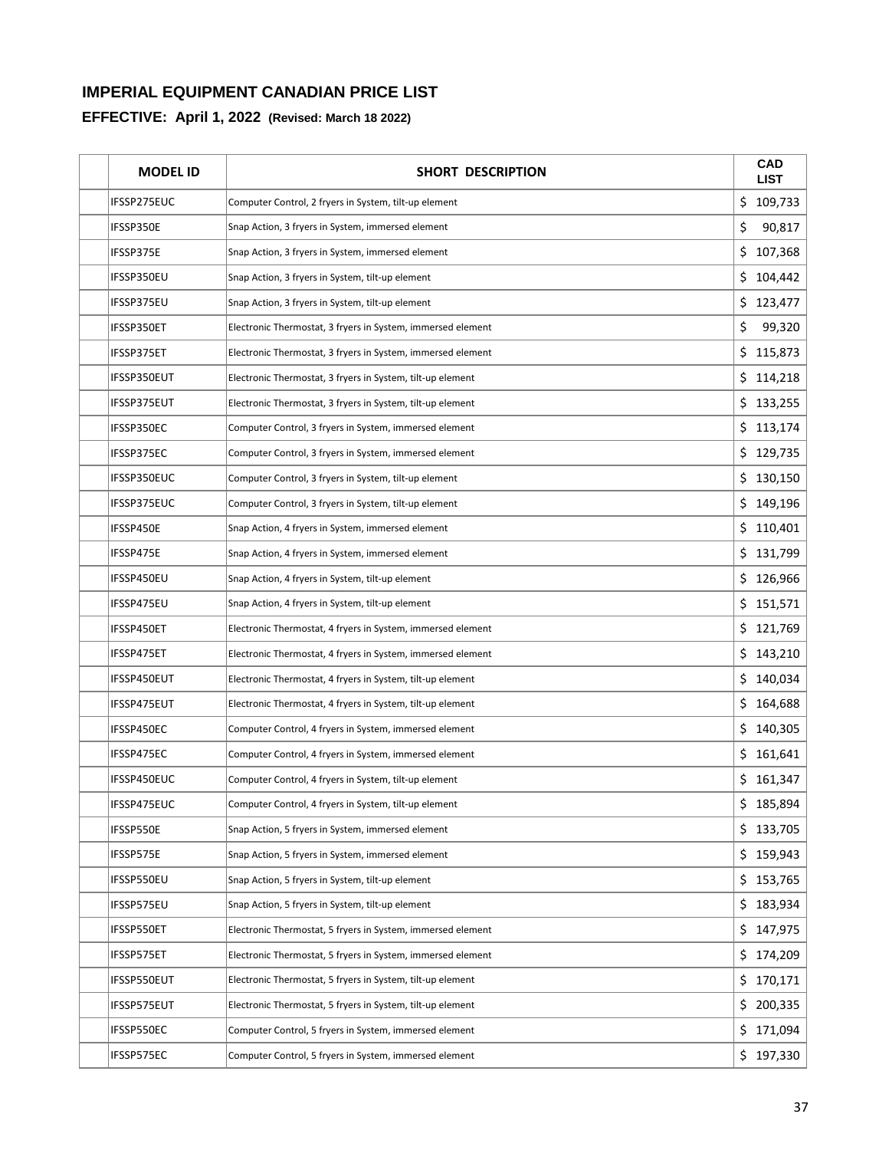| <b>MODEL ID</b>    | <b>SHORT DESCRIPTION</b>                                    |     | <b>CAD</b><br><b>LIST</b> |
|--------------------|-------------------------------------------------------------|-----|---------------------------|
| IFSSP275EUC        | Computer Control, 2 fryers in System, tilt-up element       | \$  | 109,733                   |
| IFSSP350E          | Snap Action, 3 fryers in System, immersed element           | \$  | 90,817                    |
| IFSSP375E          | Snap Action, 3 fryers in System, immersed element           | \$  | 107,368                   |
| IFSSP350EU         | Snap Action, 3 fryers in System, tilt-up element            | \$  | 104,442                   |
| IFSSP375EU         | Snap Action, 3 fryers in System, tilt-up element            | \$  | 123,477                   |
| IFSSP350ET         | Electronic Thermostat, 3 fryers in System, immersed element | \$  | 99,320                    |
| IFSSP375ET         | Electronic Thermostat, 3 fryers in System, immersed element | \$  | 115,873                   |
| IFSSP350EUT        | Electronic Thermostat, 3 fryers in System, tilt-up element  | \$  | 114,218                   |
| IFSSP375EUT        | Electronic Thermostat, 3 fryers in System, tilt-up element  |     | \$133,255                 |
| IFSSP350EC         | Computer Control, 3 fryers in System, immersed element      |     | \$113,174                 |
| IFSSP375EC         | Computer Control, 3 fryers in System, immersed element      | \$  | 129,735                   |
| IFSSP350EUC        | Computer Control, 3 fryers in System, tilt-up element       | \$  | 130,150                   |
| IFSSP375EUC        | Computer Control, 3 fryers in System, tilt-up element       | \$  | 149,196                   |
| IFSSP450E          | Snap Action, 4 fryers in System, immersed element           |     | \$110,401                 |
| IFSSP475E          | Snap Action, 4 fryers in System, immersed element           | \$  | 131,799                   |
| IFSSP450EU         | Snap Action, 4 fryers in System, tilt-up element            | \$  | 126,966                   |
| IFSSP475EU         | Snap Action, 4 fryers in System, tilt-up element            | \$  | 151,571                   |
| IFSSP450ET         | Electronic Thermostat, 4 fryers in System, immersed element | \$. | 121,769                   |
| IFSSP475ET         | Electronic Thermostat, 4 fryers in System, immersed element | \$  | 143,210                   |
| IFSSP450EUT        | Electronic Thermostat, 4 fryers in System, tilt-up element  | \$  | 140,034                   |
| IFSSP475EUT        | Electronic Thermostat, 4 fryers in System, tilt-up element  | \$  | 164,688                   |
| IFSSP450EC         | Computer Control, 4 fryers in System, immersed element      | \$  | 140,305                   |
| IFSSP475EC         | Computer Control, 4 fryers in System, immersed element      | \$  | 161,641                   |
| IFSSP450EUC        | Computer Control, 4 fryers in System, tilt-up element       | \$  | 161,347                   |
| IFSSP475EUC        | Computer Control, 4 fryers in System, tilt-up element       |     | 185,894                   |
| IFSSP550E          | Snap Action, 5 fryers in System, immersed element           |     | \$133,705                 |
| IFSSP575E          | Snap Action, 5 fryers in System, immersed element           |     | \$159,943                 |
| IFSSP550EU         | Snap Action, 5 fryers in System, tilt-up element            | \$  | 153,765                   |
| IFSSP575EU         | Snap Action, 5 fryers in System, tilt-up element            | \$. | 183,934                   |
| IFSSP550ET         | Electronic Thermostat, 5 fryers in System, immersed element | \$  | 147,975                   |
| IFSSP575ET         | Electronic Thermostat, 5 fryers in System, immersed element |     | \$174,209                 |
| IFSSP550EUT        | Electronic Thermostat, 5 fryers in System, tilt-up element  |     | \$170,171                 |
| <b>IFSSP575EUT</b> | Electronic Thermostat, 5 fryers in System, tilt-up element  |     | \$200,335                 |
| IFSSP550EC         | Computer Control, 5 fryers in System, immersed element      |     | \$171,094                 |
| IFSSP575EC         | Computer Control, 5 fryers in System, immersed element      |     | \$197,330                 |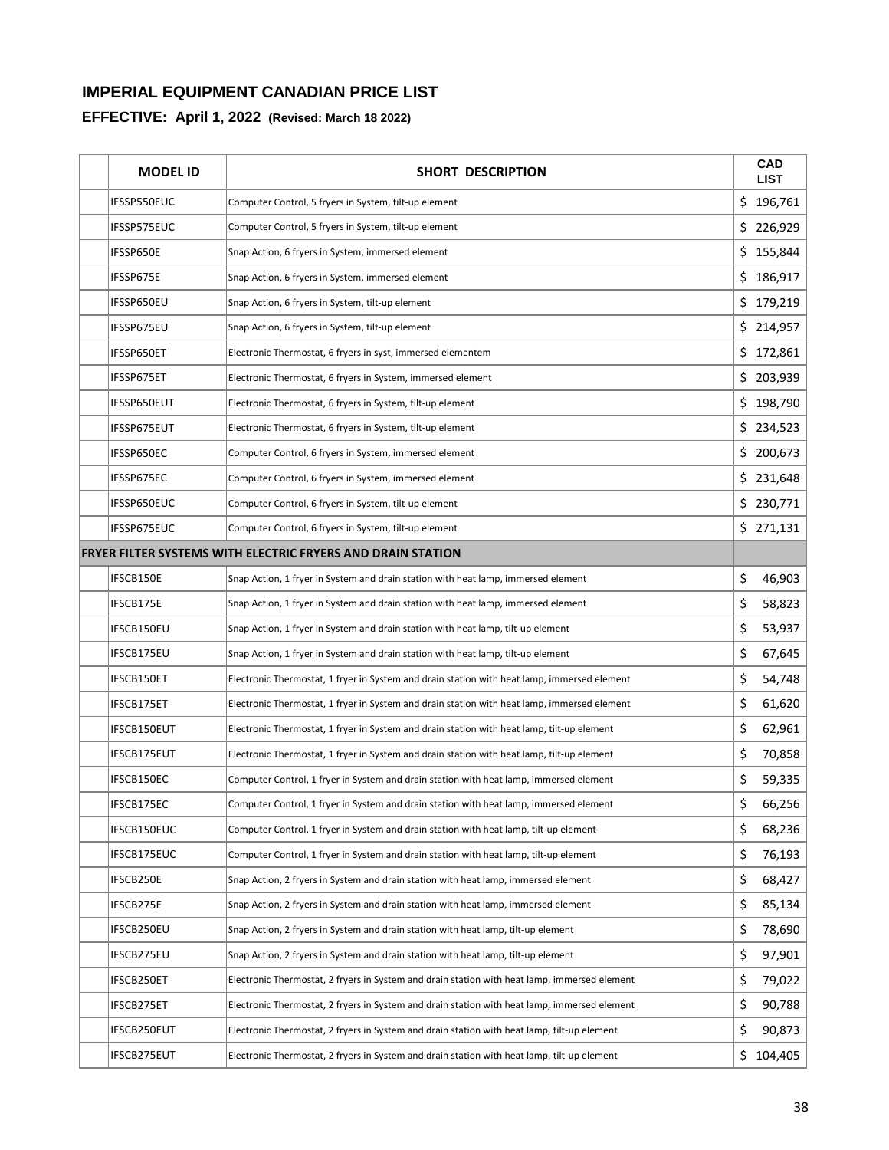| <b>MODEL ID</b> | <b>SHORT DESCRIPTION</b>                                                                     |     | <b>CAD</b><br><b>LIST</b> |
|-----------------|----------------------------------------------------------------------------------------------|-----|---------------------------|
| IFSSP550EUC     | Computer Control, 5 fryers in System, tilt-up element                                        | \$  | 196,761                   |
| IFSSP575EUC     | Computer Control, 5 fryers in System, tilt-up element                                        | \$  | 226,929                   |
| IFSSP650E       | Snap Action, 6 fryers in System, immersed element                                            | \$  | 155,844                   |
| IFSSP675E       | Snap Action, 6 fryers in System, immersed element                                            | \$  | 186,917                   |
| IFSSP650EU      | Snap Action, 6 fryers in System, tilt-up element                                             |     | \$179,219                 |
| IFSSP675EU      | Snap Action, 6 fryers in System, tilt-up element                                             | \$  | 214,957                   |
| IFSSP650ET      | Electronic Thermostat, 6 fryers in syst, immersed elementem                                  | \$  | 172,861                   |
| IFSSP675ET      | Electronic Thermostat, 6 fryers in System, immersed element                                  | \$. | 203,939                   |
| IFSSP650EUT     | Electronic Thermostat, 6 fryers in System, tilt-up element                                   |     | \$198,790                 |
| IFSSP675EUT     | Electronic Thermostat, 6 fryers in System, tilt-up element                                   | \$. | 234,523                   |
| IFSSP650EC      | Computer Control, 6 fryers in System, immersed element                                       | \$  | 200,673                   |
| IFSSP675EC      | Computer Control, 6 fryers in System, immersed element                                       |     | \$231,648                 |
| IFSSP650EUC     | Computer Control, 6 fryers in System, tilt-up element                                        |     | \$230,771                 |
| IFSSP675EUC     | Computer Control, 6 fryers in System, tilt-up element                                        |     | \$271,131                 |
|                 | <b>FRYER FILTER SYSTEMS WITH ELECTRIC FRYERS AND DRAIN STATION</b>                           |     |                           |
| IFSCB150E       | Snap Action, 1 fryer in System and drain station with heat lamp, immersed element            | \$  | 46,903                    |
| IFSCB175E       | Snap Action, 1 fryer in System and drain station with heat lamp, immersed element            | \$  | 58,823                    |
| IFSCB150EU      | Snap Action, 1 fryer in System and drain station with heat lamp, tilt-up element             | \$  | 53,937                    |
| IFSCB175EU      | Snap Action, 1 fryer in System and drain station with heat lamp, tilt-up element             | \$  | 67,645                    |
| IFSCB150ET      | Electronic Thermostat, 1 fryer in System and drain station with heat lamp, immersed element  | \$  | 54,748                    |
| IFSCB175ET      | Electronic Thermostat, 1 fryer in System and drain station with heat lamp, immersed element  | \$  | 61,620                    |
| IFSCB150EUT     | Electronic Thermostat, 1 fryer in System and drain station with heat lamp, tilt-up element   | \$  | 62,961                    |
| IFSCB175EUT     | Electronic Thermostat, 1 fryer in System and drain station with heat lamp, tilt-up element   | \$  | 70,858                    |
| IFSCB150EC      | Computer Control, 1 fryer in System and drain station with heat lamp, immersed element       | \$  | 59,335                    |
| IFSCB175EC      | Computer Control, 1 fryer in System and drain station with heat lamp, immersed element       | \$  | 66,256                    |
| IFSCB150EUC     | Computer Control, 1 fryer in System and drain station with heat lamp, tilt-up element        | \$  | 68,236                    |
| IFSCB175EUC     | Computer Control, 1 fryer in System and drain station with heat lamp, tilt-up element        | \$  | 76,193                    |
| IFSCB250E       | Snap Action, 2 fryers in System and drain station with heat lamp, immersed element           | \$  | 68,427                    |
| IFSCB275E       | Snap Action, 2 fryers in System and drain station with heat lamp, immersed element           | \$  | 85,134                    |
| IFSCB250EU      | Snap Action, 2 fryers in System and drain station with heat lamp, tilt-up element            | \$  | 78,690                    |
| IFSCB275EU      | Snap Action, 2 fryers in System and drain station with heat lamp, tilt-up element            | \$  | 97,901                    |
| IFSCB250ET      | Electronic Thermostat, 2 fryers in System and drain station with heat lamp, immersed element | \$  | 79,022                    |
| IFSCB275ET      | Electronic Thermostat, 2 fryers in System and drain station with heat lamp, immersed element | \$  | 90,788                    |
| IFSCB250EUT     | Electronic Thermostat, 2 fryers in System and drain station with heat lamp, tilt-up element  | \$  | 90,873                    |
| IFSCB275EUT     | Electronic Thermostat, 2 fryers in System and drain station with heat lamp, tilt-up element  | \$  | 104,405                   |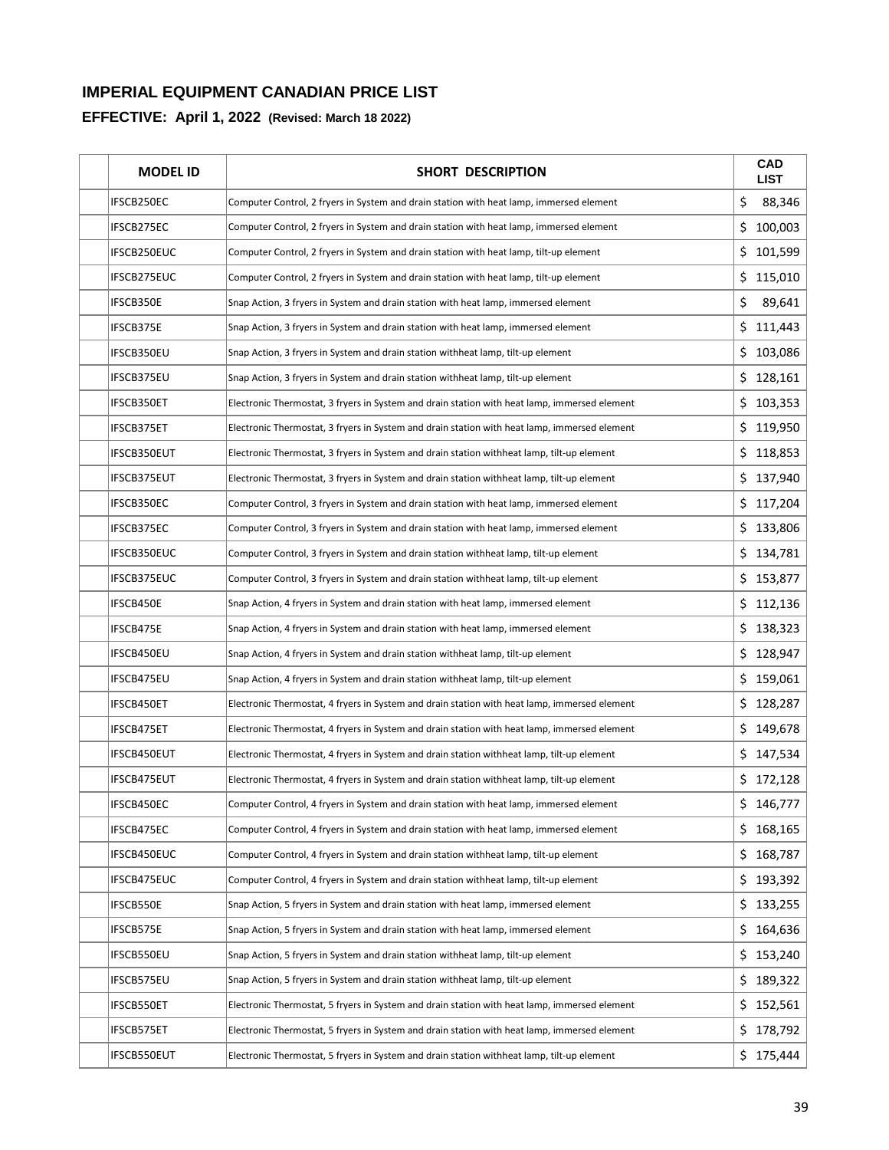| <b>MODEL ID</b> | <b>SHORT DESCRIPTION</b>                                                                     |     | <b>CAD</b><br><b>LIST</b> |
|-----------------|----------------------------------------------------------------------------------------------|-----|---------------------------|
| IFSCB250EC      | Computer Control, 2 fryers in System and drain station with heat lamp, immersed element      | \$  | 88,346                    |
| IFSCB275EC      | Computer Control, 2 fryers in System and drain station with heat lamp, immersed element      | \$  | 100,003                   |
| IFSCB250EUC     | Computer Control, 2 fryers in System and drain station with heat lamp, tilt-up element       | \$  | 101,599                   |
| IFSCB275EUC     | Computer Control, 2 fryers in System and drain station with heat lamp, tilt-up element       | \$  | 115,010                   |
| IFSCB350E       | Snap Action, 3 fryers in System and drain station with heat lamp, immersed element           | \$  | 89,641                    |
| IFSCB375E       | Snap Action, 3 fryers in System and drain station with heat lamp, immersed element           | \$  | 111,443                   |
| IFSCB350EU      | Snap Action, 3 fryers in System and drain station withheat lamp, tilt-up element             |     | \$103,086                 |
| IFSCB375EU      | Snap Action, 3 fryers in System and drain station withheat lamp, tilt-up element             |     | \$128,161                 |
| IFSCB350ET      | Electronic Thermostat, 3 fryers in System and drain station with heat lamp, immersed element |     | \$103,353                 |
| IFSCB375ET      | Electronic Thermostat, 3 fryers in System and drain station with heat lamp, immersed element |     | \$119,950                 |
| IFSCB350EUT     | Electronic Thermostat, 3 fryers in System and drain station withheat lamp, tilt-up element   | \$. | 118,853                   |
| IFSCB375EUT     | Electronic Thermostat, 3 fryers in System and drain station withheat lamp, tilt-up element   | \$  | 137,940                   |
| IFSCB350EC      | Computer Control, 3 fryers in System and drain station with heat lamp, immersed element      | \$  | 117,204                   |
| IFSCB375EC      | Computer Control, 3 fryers in System and drain station with heat lamp, immersed element      |     | \$133,806                 |
| IFSCB350EUC     | Computer Control, 3 fryers in System and drain station withheat lamp, tilt-up element        |     | \$134,781                 |
| IFSCB375EUC     | Computer Control, 3 fryers in System and drain station withheat lamp, tilt-up element        |     | \$153,877                 |
| IFSCB450E       | Snap Action, 4 fryers in System and drain station with heat lamp, immersed element           |     | \$112,136                 |
| IFSCB475E       | Snap Action, 4 fryers in System and drain station with heat lamp, immersed element           |     | \$138,323                 |
| IFSCB450EU      | Snap Action, 4 fryers in System and drain station withheat lamp, tilt-up element             | \$  | 128,947                   |
| IFSCB475EU      | Snap Action, 4 fryers in System and drain station withheat lamp, tilt-up element             | \$  | 159,061                   |
| IFSCB450ET      | Electronic Thermostat, 4 fryers in System and drain station with heat lamp, immersed element | \$  | 128,287                   |
| IFSCB475ET      | Electronic Thermostat, 4 fryers in System and drain station with heat lamp, immersed element | \$  | 149,678                   |
| IFSCB450EUT     | Electronic Thermostat, 4 fryers in System and drain station withheat lamp, tilt-up element   |     | \$147,534                 |
| IFSCB475EUT     | Electronic Thermostat, 4 fryers in System and drain station withheat lamp, tilt-up element   |     | \$172,128                 |
| IFSCB450EC      | Computer Control, 4 fryers in System and drain station with heat lamp, immersed element      |     | 146,777                   |
| IFSCB475EC      | Computer Control, 4 fryers in System and drain station with heat lamp, immersed element      |     | \$168,165                 |
| IFSCB450EUC     | Computer Control, 4 fryers in System and drain station withheat lamp, tilt-up element        | \$  | 168,787                   |
| IFSCB475EUC     | Computer Control, 4 fryers in System and drain station withheat lamp, tilt-up element        | \$  | 193,392                   |
| IFSCB550E       | Snap Action, 5 fryers in System and drain station with heat lamp, immersed element           | \$  | 133,255                   |
| IFSCB575E       | Snap Action, 5 fryers in System and drain station with heat lamp, immersed element           | \$  | 164,636                   |
| IFSCB550EU      | Snap Action, 5 fryers in System and drain station withheat lamp, tilt-up element             | \$. | 153,240                   |
| IFSCB575EU      | Snap Action, 5 fryers in System and drain station withheat lamp, tilt-up element             | \$  | 189,322                   |
| IFSCB550ET      | Electronic Thermostat, 5 fryers in System and drain station with heat lamp, immersed element | \$  | 152,561                   |
| IFSCB575ET      | Electronic Thermostat, 5 fryers in System and drain station with heat lamp, immersed element | \$. | 178,792                   |
| IFSCB550EUT     | Electronic Thermostat, 5 fryers in System and drain station withheat lamp, tilt-up element   |     | \$175,444                 |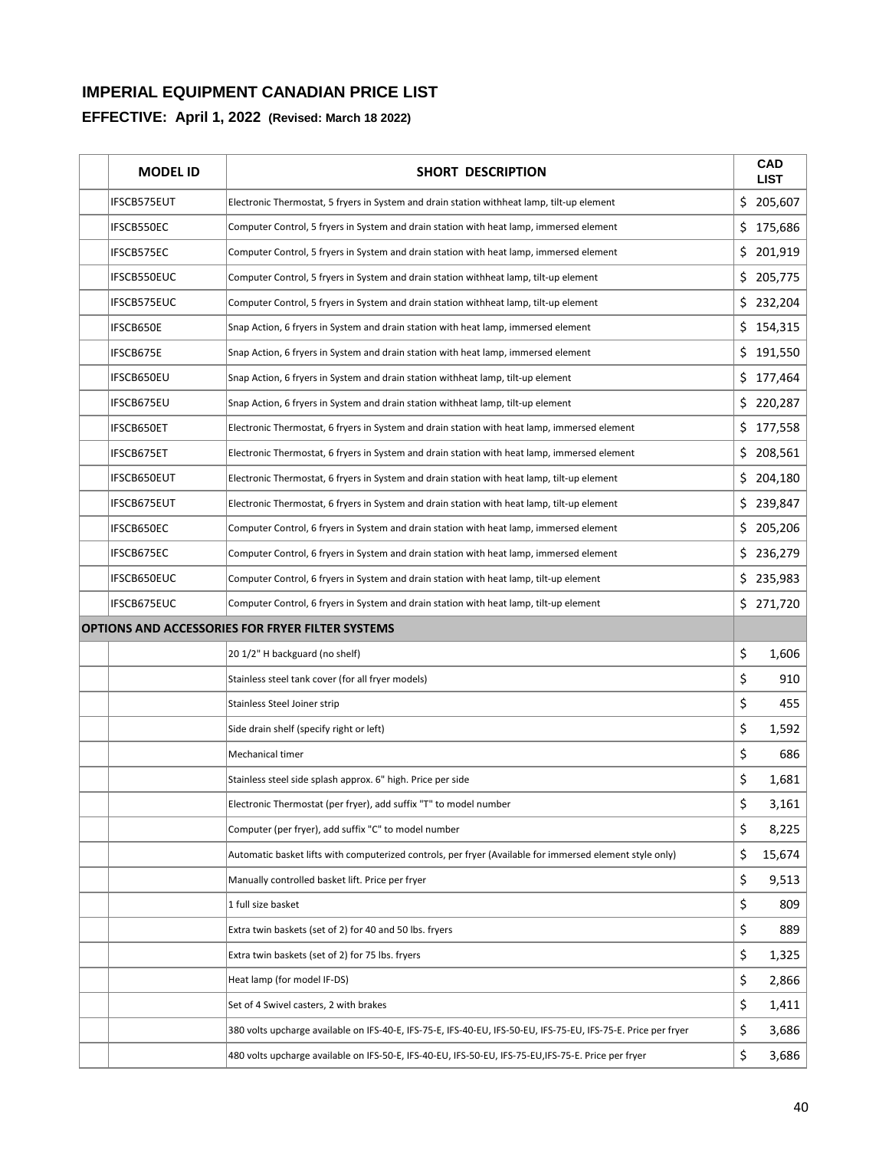| <b>MODEL ID</b>   | <b>SHORT DESCRIPTION</b>                                                                                       |     | <b>CAD</b><br><b>LIST</b> |
|-------------------|----------------------------------------------------------------------------------------------------------------|-----|---------------------------|
| IFSCB575EUT       | Electronic Thermostat, 5 fryers in System and drain station withheat lamp, tilt-up element                     |     | \$205,607                 |
| IFSCB550EC        | Computer Control, 5 fryers in System and drain station with heat lamp, immersed element                        |     | \$175,686                 |
| IFSCB575EC        | Computer Control, 5 fryers in System and drain station with heat lamp, immersed element                        | \$  | 201,919                   |
| IFSCB550EUC       | Computer Control, 5 fryers in System and drain station withheat lamp, tilt-up element                          | \$  | 205,775                   |
| IFSCB575EUC       | Computer Control, 5 fryers in System and drain station withheat lamp, tilt-up element                          |     | \$232,204                 |
| IFSCB650E         | Snap Action, 6 fryers in System and drain station with heat lamp, immersed element                             | \$  | 154,315                   |
| IFSCB675E         | Snap Action, 6 fryers in System and drain station with heat lamp, immersed element                             |     | \$191,550                 |
| IFSCB650EU        | Snap Action, 6 fryers in System and drain station withheat lamp, tilt-up element                               | \$  | 177,464                   |
| <b>IFSCB675EU</b> | Snap Action, 6 fryers in System and drain station withheat lamp, tilt-up element                               |     | \$220,287                 |
| IFSCB650ET        | Electronic Thermostat, 6 fryers in System and drain station with heat lamp, immersed element                   | \$. | 177,558                   |
| IFSCB675ET        | Electronic Thermostat, 6 fryers in System and drain station with heat lamp, immersed element                   | \$  | 208,561                   |
| IFSCB650EUT       | Electronic Thermostat, 6 fryers in System and drain station with heat lamp, tilt-up element                    | \$  | 204,180                   |
| IFSCB675EUT       | Electronic Thermostat, 6 fryers in System and drain station with heat lamp, tilt-up element                    | \$  | 239,847                   |
| IFSCB650EC        | Computer Control, 6 fryers in System and drain station with heat lamp, immersed element                        |     | \$205,206                 |
| IFSCB675EC        | Computer Control, 6 fryers in System and drain station with heat lamp, immersed element                        | \$  | 236,279                   |
| IFSCB650EUC       | Computer Control, 6 fryers in System and drain station with heat lamp, tilt-up element                         |     | \$235,983                 |
| IFSCB675EUC       | Computer Control, 6 fryers in System and drain station with heat lamp, tilt-up element                         |     | \$271,720                 |
|                   | <b>OPTIONS AND ACCESSORIES FOR FRYER FILTER SYSTEMS</b>                                                        |     |                           |
|                   | 20 1/2" H backguard (no shelf)                                                                                 | \$  | 1,606                     |
|                   | Stainless steel tank cover (for all fryer models)                                                              | \$  | 910                       |
|                   | Stainless Steel Joiner strip                                                                                   | \$  | 455                       |
|                   | Side drain shelf (specify right or left)                                                                       | \$  | 1,592                     |
|                   | Mechanical timer                                                                                               | \$  | 686                       |
|                   | Stainless steel side splash approx. 6" high. Price per side                                                    | \$  | 1,681                     |
|                   | Electronic Thermostat (per fryer), add suffix "T" to model number                                              | \$  | 3,161                     |
|                   | Computer (per fryer), add suffix "C" to model number                                                           | \$  | 8,225                     |
|                   | Automatic basket lifts with computerized controls, per fryer (Available for immersed element style only)       | \$  | 15,674                    |
|                   | Manually controlled basket lift. Price per fryer                                                               | \$  | 9,513                     |
|                   | 1 full size basket                                                                                             | \$  | 809                       |
|                   | Extra twin baskets (set of 2) for 40 and 50 lbs. fryers                                                        | \$  | 889                       |
|                   | Extra twin baskets (set of 2) for 75 lbs. fryers                                                               | \$  | 1,325                     |
|                   | Heat lamp (for model IF-DS)                                                                                    | \$  | 2,866                     |
|                   | Set of 4 Swivel casters, 2 with brakes                                                                         | \$  | 1,411                     |
|                   | 380 volts upcharge available on IFS-40-E, IFS-75-E, IFS-40-EU, IFS-50-EU, IFS-75-EU, IFS-75-E. Price per fryer | \$  | 3,686                     |
|                   | 480 volts upcharge available on IFS-50-E, IFS-40-EU, IFS-50-EU, IFS-75-EU, IFS-75-E. Price per fryer           | \$  | 3,686                     |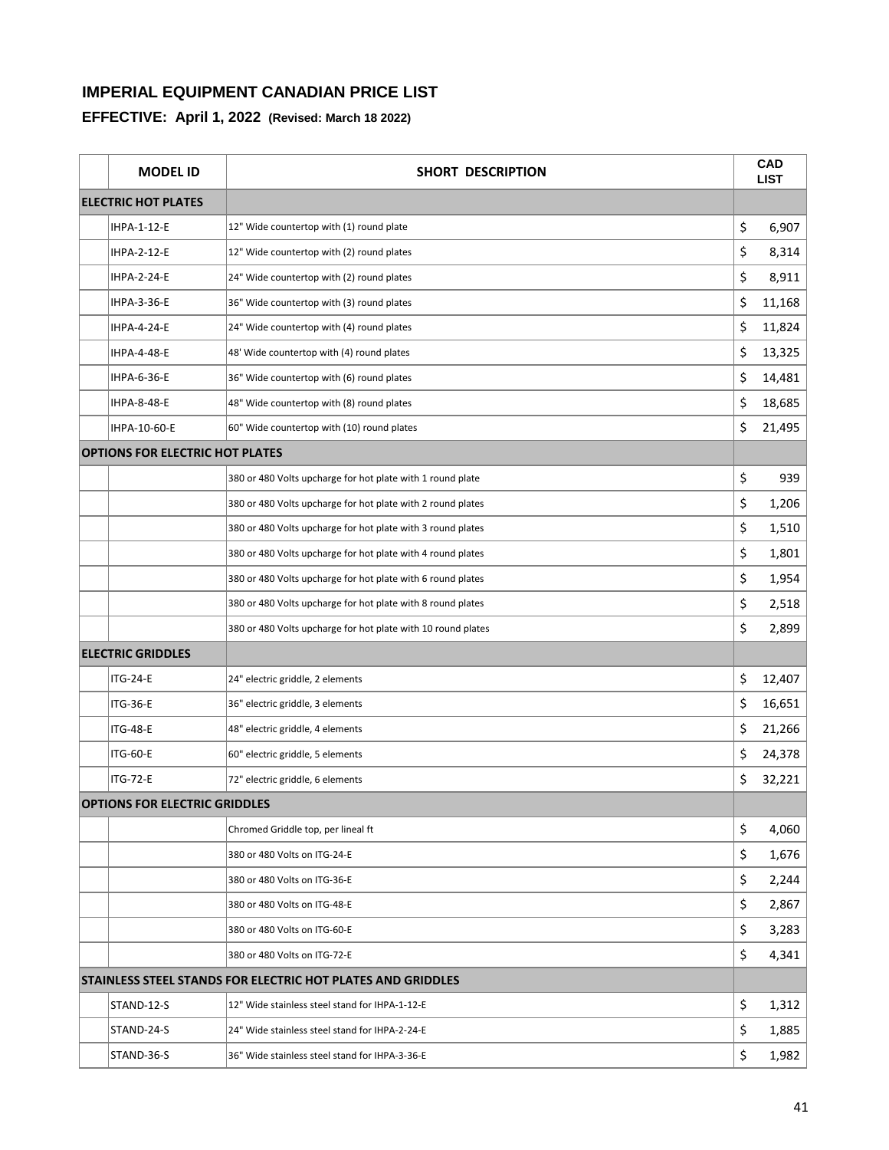| <b>MODEL ID</b>                        | <b>SHORT DESCRIPTION</b>                                           | <b>CAD</b><br><b>LIST</b> |
|----------------------------------------|--------------------------------------------------------------------|---------------------------|
| <b>ELECTRIC HOT PLATES</b>             |                                                                    |                           |
| IHPA-1-12-E                            | 12" Wide countertop with (1) round plate                           | \$<br>6,907               |
| IHPA-2-12-E                            | 12" Wide countertop with (2) round plates                          | \$<br>8,314               |
| <b>IHPA-2-24-E</b>                     | 24" Wide countertop with (2) round plates                          | \$<br>8,911               |
| IHPA-3-36-E                            | 36" Wide countertop with (3) round plates                          | \$<br>11,168              |
| <b>IHPA-4-24-E</b>                     | 24" Wide countertop with (4) round plates                          | \$<br>11,824              |
| IHPA-4-48-E                            | 48' Wide countertop with (4) round plates                          | \$<br>13,325              |
| IHPA-6-36-E                            | 36" Wide countertop with (6) round plates                          | \$<br>14,481              |
| <b>IHPA-8-48-E</b>                     | 48" Wide countertop with (8) round plates                          | \$<br>18,685              |
| IHPA-10-60-E                           | 60" Wide countertop with (10) round plates                         | \$<br>21,495              |
| <b>OPTIONS FOR ELECTRIC HOT PLATES</b> |                                                                    |                           |
|                                        | 380 or 480 Volts upcharge for hot plate with 1 round plate         | \$<br>939                 |
|                                        | 380 or 480 Volts upcharge for hot plate with 2 round plates        | \$<br>1,206               |
|                                        | 380 or 480 Volts upcharge for hot plate with 3 round plates        | \$<br>1,510               |
|                                        | 380 or 480 Volts upcharge for hot plate with 4 round plates        | \$<br>1,801               |
|                                        | 380 or 480 Volts upcharge for hot plate with 6 round plates        | \$<br>1,954               |
|                                        | 380 or 480 Volts upcharge for hot plate with 8 round plates        | \$<br>2,518               |
|                                        | 380 or 480 Volts upcharge for hot plate with 10 round plates       | \$<br>2,899               |
| <b>ELECTRIC GRIDDLES</b>               |                                                                    |                           |
| <b>ITG-24-E</b>                        | 24" electric griddle, 2 elements                                   | \$<br>12,407              |
| <b>ITG-36-E</b>                        | 36" electric griddle, 3 elements                                   | \$<br>16,651              |
| <b>ITG-48-E</b>                        | 48" electric griddle, 4 elements                                   | \$<br>21,266              |
| <b>ITG-60-E</b>                        | 60" electric griddle, 5 elements                                   | \$<br>24,378              |
| <b>ITG-72-E</b>                        | 72" electric griddle, 6 elements                                   | \$<br>32,221              |
| <b>OPTIONS FOR ELECTRIC GRIDDLES</b>   |                                                                    |                           |
|                                        | Chromed Griddle top, per lineal ft                                 | \$<br>4,060               |
|                                        | 380 or 480 Volts on ITG-24-E                                       | \$<br>1,676               |
|                                        | 380 or 480 Volts on ITG-36-E                                       | \$<br>2,244               |
|                                        | 380 or 480 Volts on ITG-48-E                                       | \$<br>2,867               |
|                                        | 380 or 480 Volts on ITG-60-E                                       | \$<br>3,283               |
|                                        | 380 or 480 Volts on ITG-72-E                                       | \$<br>4,341               |
|                                        | <b>STAINLESS STEEL STANDS FOR ELECTRIC HOT PLATES AND GRIDDLES</b> |                           |
| STAND-12-S                             | 12" Wide stainless steel stand for IHPA-1-12-E                     | \$<br>1,312               |
| STAND-24-S                             | 24" Wide stainless steel stand for IHPA-2-24-E                     | \$<br>1,885               |
| STAND-36-S                             | 36" Wide stainless steel stand for IHPA-3-36-E                     | \$<br>1,982               |